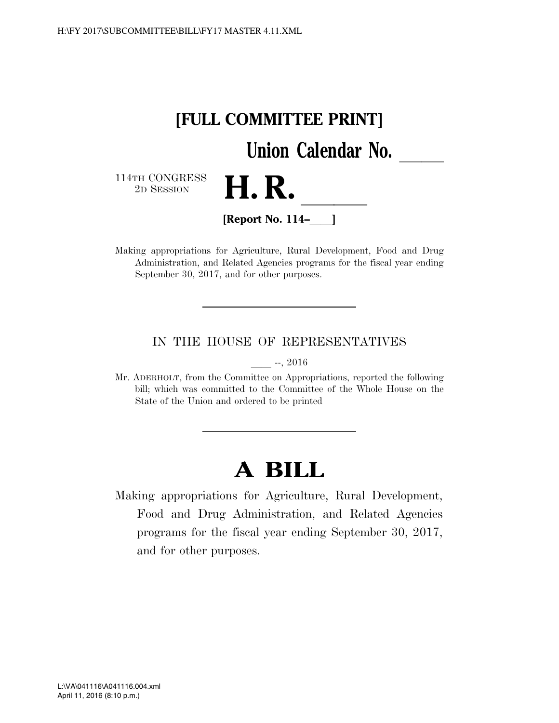

Making appropriations for Agriculture, Rural Development, Food and Drug Administration, and Related Agencies programs for the fiscal year ending September 30, 2017, and for other purposes.

# IN THE HOUSE OF REPRESENTATIVES

 $-$ , 2016

Mr. ADERHOLT, from the Committee on Appropriations, reported the following bill; which was committed to the Committee of the Whole House on the State of the Union and ordered to be printed

# **A BILL**

Making appropriations for Agriculture, Rural Development, Food and Drug Administration, and Related Agencies programs for the fiscal year ending September 30, 2017, and for other purposes.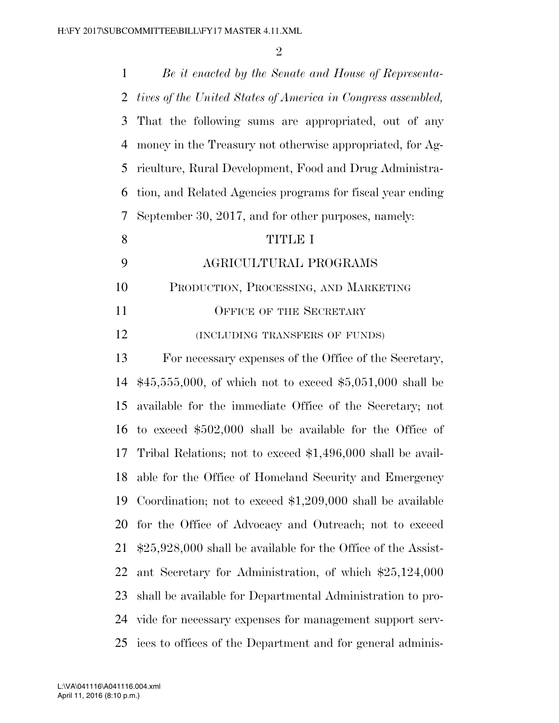| $\mathbf{1}$   | Be it enacted by the Senate and House of Representa-           |
|----------------|----------------------------------------------------------------|
| 2              | tives of the United States of America in Congress assembled,   |
| 3              | That the following sums are appropriated, out of any           |
| $\overline{4}$ | money in the Treasury not otherwise appropriated, for Ag-      |
| 5              | riculture, Rural Development, Food and Drug Administra-        |
| 6              | tion, and Related Agencies programs for fiscal year ending     |
| 7              | September 30, 2017, and for other purposes, namely:            |
| 8              | <b>TITLE I</b>                                                 |
| 9              | AGRICULTURAL PROGRAMS                                          |
| 10             | PRODUCTION, PROCESSING, AND MARKETING                          |
| 11             | OFFICE OF THE SECRETARY                                        |
| 12             | (INCLUDING TRANSFERS OF FUNDS)                                 |
| 13             | For necessary expenses of the Office of the Secretary,         |
| 14             | $$45,555,000$ , of which not to exceed $$5,051,000$ shall be   |
| 15             | available for the immediate Office of the Secretary; not       |
| 16             | to exceed $$502,000$ shall be available for the Office of      |
| 17             | Tribal Relations; not to exceed \$1,496,000 shall be avail-    |
| 18             | able for the Office of Homeland Security and Emergency         |
| 19             | Coordination; not to exceed $$1,209,000$ shall be available    |
| 20             | for the Office of Advocacy and Outreach; not to exceed         |
| 21             | $$25,928,000$ shall be available for the Office of the Assist- |
| 22             | ant Secretary for Administration, of which \$25,124,000        |
| 23             | shall be available for Departmental Administration to pro-     |
| 24             | vide for necessary expenses for management support serv-       |
| 25             | ices to offices of the Department and for general adminis-     |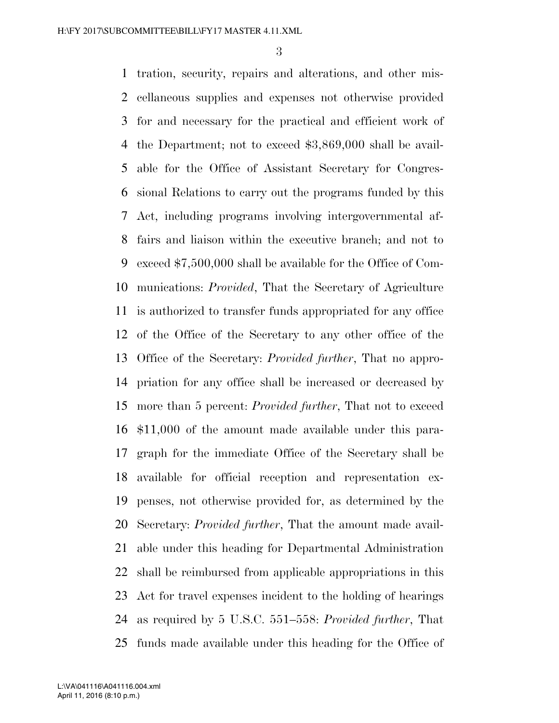tration, security, repairs and alterations, and other mis- cellaneous supplies and expenses not otherwise provided for and necessary for the practical and efficient work of the Department; not to exceed \$3,869,000 shall be avail- able for the Office of Assistant Secretary for Congres- sional Relations to carry out the programs funded by this Act, including programs involving intergovernmental af- fairs and liaison within the executive branch; and not to exceed \$7,500,000 shall be available for the Office of Com- munications: *Provided*, That the Secretary of Agriculture is authorized to transfer funds appropriated for any office of the Office of the Secretary to any other office of the Office of the Secretary: *Provided further*, That no appro- priation for any office shall be increased or decreased by more than 5 percent: *Provided further*, That not to exceed \$11,000 of the amount made available under this para- graph for the immediate Office of the Secretary shall be available for official reception and representation ex- penses, not otherwise provided for, as determined by the Secretary: *Provided further*, That the amount made avail- able under this heading for Departmental Administration shall be reimbursed from applicable appropriations in this Act for travel expenses incident to the holding of hearings as required by 5 U.S.C. 551–558: *Provided further*, That funds made available under this heading for the Office of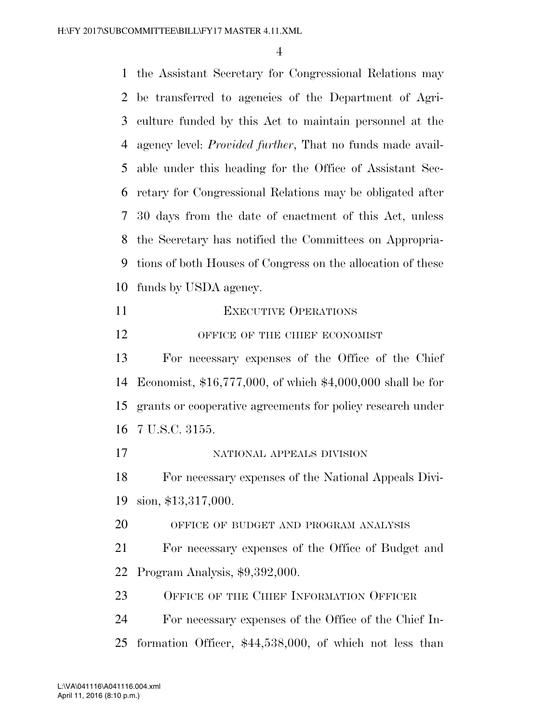the Assistant Secretary for Congressional Relations may be transferred to agencies of the Department of Agri- culture funded by this Act to maintain personnel at the agency level: *Provided further*, That no funds made avail- able under this heading for the Office of Assistant Sec- retary for Congressional Relations may be obligated after 30 days from the date of enactment of this Act, unless the Secretary has notified the Committees on Appropria- tions of both Houses of Congress on the allocation of these funds by USDA agency. 11 EXECUTIVE OPERATIONS 12 OFFICE OF THE CHIEF ECONOMIST For necessary expenses of the Office of the Chief Economist, \$16,777,000, of which \$4,000,000 shall be for grants or cooperative agreements for policy research under 7 U.S.C. 3155. NATIONAL APPEALS DIVISION For necessary expenses of the National Appeals Divi- sion, \$13,317,000. OFFICE OF BUDGET AND PROGRAM ANALYSIS For necessary expenses of the Office of Budget and Program Analysis, \$9,392,000. 23 OFFICE OF THE CHIEF INFORMATION OFFICER For necessary expenses of the Office of the Chief In-formation Officer, \$44,538,000, of which not less than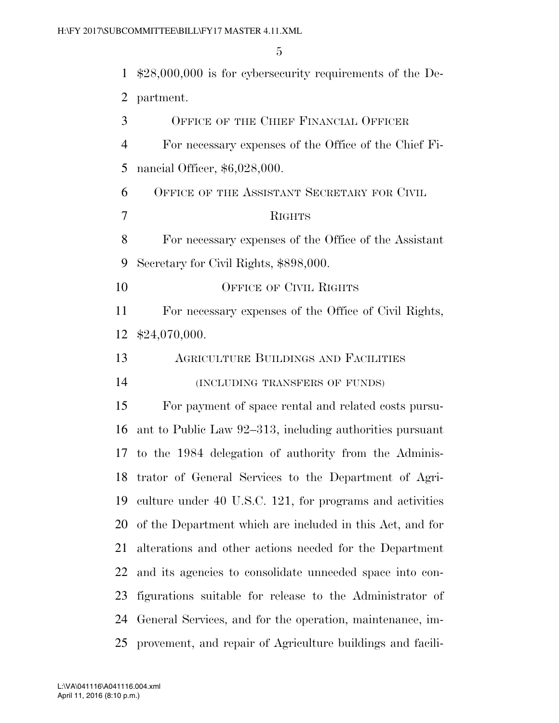| $\mathbf{1}$   | $$28,000,000$ is for cybersecurity requirements of the De- |
|----------------|------------------------------------------------------------|
| 2              | partment.                                                  |
| 3              | OFFICE OF THE CHIEF FINANCIAL OFFICER                      |
| $\overline{4}$ | For necessary expenses of the Office of the Chief Fi-      |
| 5              | nancial Officer, $$6,028,000$ .                            |
| 6              | OFFICE OF THE ASSISTANT SECRETARY FOR CIVIL                |
| 7              | <b>RIGHTS</b>                                              |
| 8              | For necessary expenses of the Office of the Assistant      |
| 9              | Secretary for Civil Rights, \$898,000.                     |
| 10             | OFFICE OF CIVIL RIGHTS                                     |
| 11             | For necessary expenses of the Office of Civil Rights,      |
| 12             | \$24,070,000.                                              |
| 13             | <b>AGRICULTURE BUILDINGS AND FACILITIES</b>                |
| 14             | (INCLUDING TRANSFERS OF FUNDS)                             |
| 15             | For payment of space rental and related costs pursu-       |
| 16             | ant to Public Law 92–313, including authorities pursuant   |
| 17             | to the 1984 delegation of authority from the Adminis-      |
|                | 18 trator of General Services to the Department of Agri-   |
| 19             | culture under 40 U.S.C. 121, for programs and activities   |
| 20             | of the Department which are included in this Act, and for  |
| 21             | alterations and other actions needed for the Department    |
| 22             | and its agencies to consolidate unneeded space into con-   |
| 23             | figurations suitable for release to the Administrator of   |
| 24             | General Services, and for the operation, maintenance, im-  |
| 25             | provement, and repair of Agriculture buildings and facili- |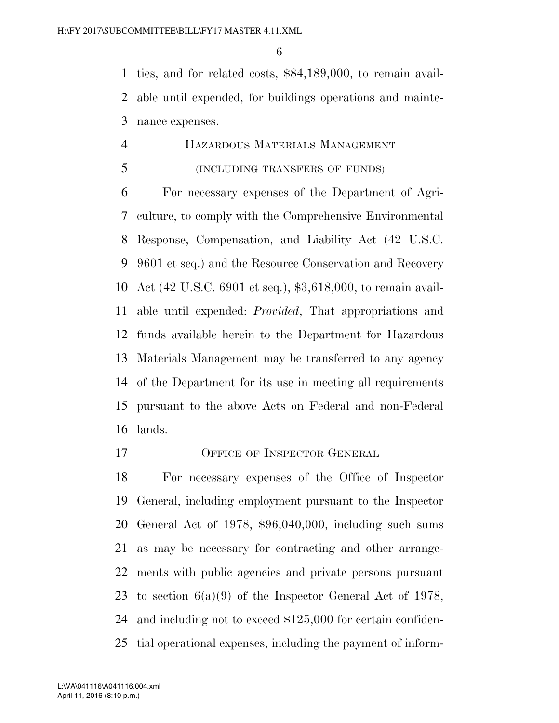ties, and for related costs, \$84,189,000, to remain avail- able until expended, for buildings operations and mainte-nance expenses.

# HAZARDOUS MATERIALS MANAGEMENT (INCLUDING TRANSFERS OF FUNDS)

 For necessary expenses of the Department of Agri- culture, to comply with the Comprehensive Environmental Response, Compensation, and Liability Act (42 U.S.C. 9601 et seq.) and the Resource Conservation and Recovery Act (42 U.S.C. 6901 et seq.), \$3,618,000, to remain avail- able until expended: *Provided*, That appropriations and funds available herein to the Department for Hazardous Materials Management may be transferred to any agency of the Department for its use in meeting all requirements pursuant to the above Acts on Federal and non-Federal lands.

# 17 OFFICE OF INSPECTOR GENERAL

 For necessary expenses of the Office of Inspector General, including employment pursuant to the Inspector General Act of 1978, \$96,040,000, including such sums as may be necessary for contracting and other arrange- ments with public agencies and private persons pursuant to section 6(a)(9) of the Inspector General Act of 1978, and including not to exceed \$125,000 for certain confiden-tial operational expenses, including the payment of inform-

April 11, 2016 (8:10 p.m.) L:\VA\041116\A041116.004.xml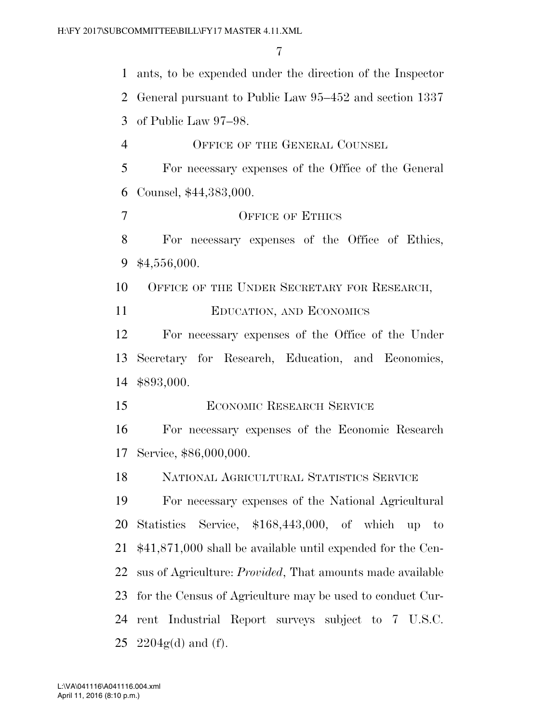ants, to be expended under the direction of the Inspector General pursuant to Public Law 95–452 and section 1337 of Public Law 97–98. 4 OFFICE OF THE GENERAL COUNSEL For necessary expenses of the Office of the General Counsel, \$44,383,000. OFFICE OF ETHICS For necessary expenses of the Office of Ethics, \$4,556,000. 10 OFFICE OF THE UNDER SECRETARY FOR RESEARCH, EDUCATION, AND ECONOMICS For necessary expenses of the Office of the Under Secretary for Research, Education, and Economics, \$893,000. ECONOMIC RESEARCH SERVICE For necessary expenses of the Economic Research Service, \$86,000,000. NATIONAL AGRICULTURAL STATISTICS SERVICE For necessary expenses of the National Agricultural Statistics Service, \$168,443,000, of which up to \$41,871,000 shall be available until expended for the Cen- sus of Agriculture: *Provided*, That amounts made available for the Census of Agriculture may be used to conduct Cur- rent Industrial Report surveys subject to 7 U.S.C.  $2204g(d)$  and (f).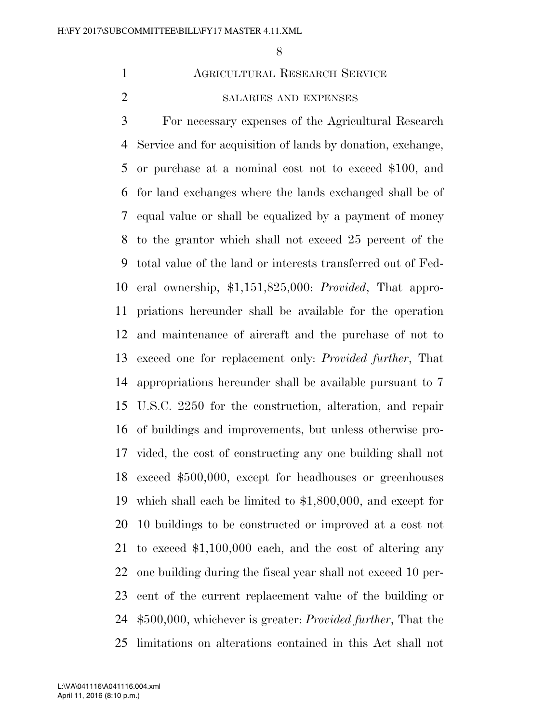### AGRICULTURAL RESEARCH SERVICE

# SALARIES AND EXPENSES

 For necessary expenses of the Agricultural Research Service and for acquisition of lands by donation, exchange, or purchase at a nominal cost not to exceed \$100, and for land exchanges where the lands exchanged shall be of equal value or shall be equalized by a payment of money to the grantor which shall not exceed 25 percent of the total value of the land or interests transferred out of Fed- eral ownership, \$1,151,825,000: *Provided*, That appro- priations hereunder shall be available for the operation and maintenance of aircraft and the purchase of not to exceed one for replacement only: *Provided further*, That appropriations hereunder shall be available pursuant to 7 U.S.C. 2250 for the construction, alteration, and repair of buildings and improvements, but unless otherwise pro- vided, the cost of constructing any one building shall not exceed \$500,000, except for headhouses or greenhouses which shall each be limited to \$1,800,000, and except for 10 buildings to be constructed or improved at a cost not to exceed \$1,100,000 each, and the cost of altering any one building during the fiscal year shall not exceed 10 per- cent of the current replacement value of the building or \$500,000, whichever is greater: *Provided further*, That the limitations on alterations contained in this Act shall not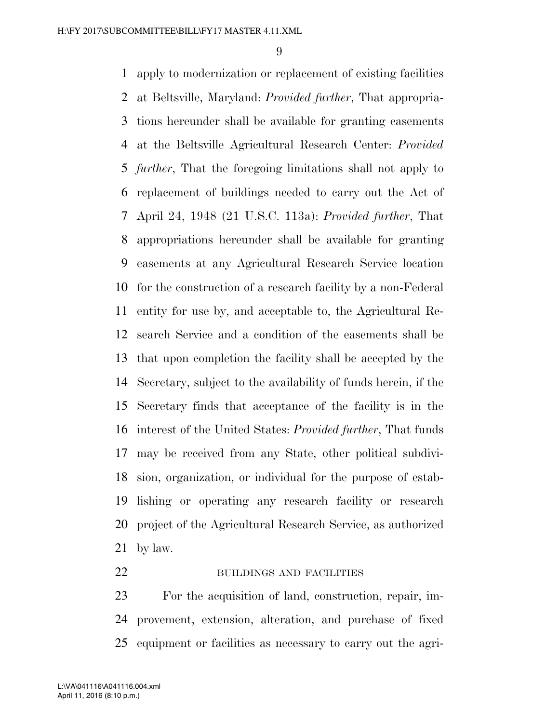apply to modernization or replacement of existing facilities at Beltsville, Maryland: *Provided further*, That appropria- tions hereunder shall be available for granting easements at the Beltsville Agricultural Research Center: *Provided further*, That the foregoing limitations shall not apply to replacement of buildings needed to carry out the Act of April 24, 1948 (21 U.S.C. 113a): *Provided further*, That appropriations hereunder shall be available for granting easements at any Agricultural Research Service location for the construction of a research facility by a non-Federal entity for use by, and acceptable to, the Agricultural Re- search Service and a condition of the easements shall be that upon completion the facility shall be accepted by the Secretary, subject to the availability of funds herein, if the Secretary finds that acceptance of the facility is in the interest of the United States: *Provided further*, That funds may be received from any State, other political subdivi- sion, organization, or individual for the purpose of estab- lishing or operating any research facility or research project of the Agricultural Research Service, as authorized by law.

#### 22 BUILDINGS AND FACILITIES

 For the acquisition of land, construction, repair, im- provement, extension, alteration, and purchase of fixed equipment or facilities as necessary to carry out the agri-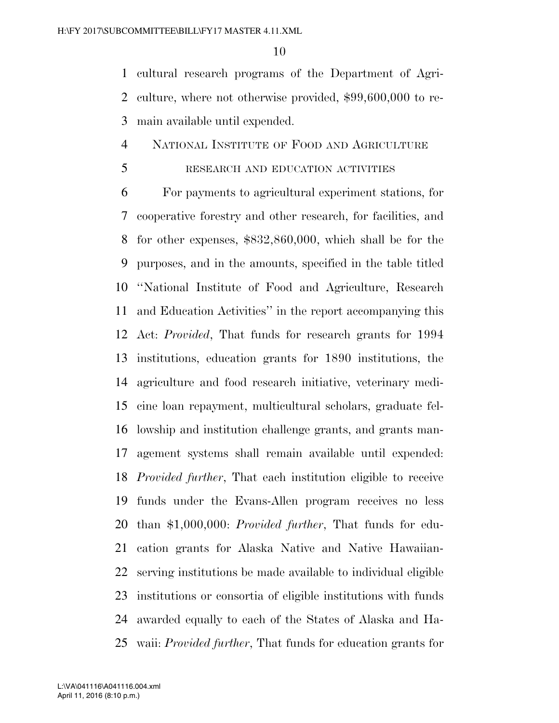cultural research programs of the Department of Agri- culture, where not otherwise provided, \$99,600,000 to re-main available until expended.

#### NATIONAL INSTITUTE OF FOOD AND AGRICULTURE

RESEARCH AND EDUCATION ACTIVITIES

 For payments to agricultural experiment stations, for cooperative forestry and other research, for facilities, and for other expenses, \$832,860,000, which shall be for the purposes, and in the amounts, specified in the table titled ''National Institute of Food and Agriculture, Research and Education Activities'' in the report accompanying this Act: *Provided*, That funds for research grants for 1994 institutions, education grants for 1890 institutions, the agriculture and food research initiative, veterinary medi- cine loan repayment, multicultural scholars, graduate fel- lowship and institution challenge grants, and grants man- agement systems shall remain available until expended: *Provided further*, That each institution eligible to receive funds under the Evans-Allen program receives no less than \$1,000,000: *Provided further*, That funds for edu- cation grants for Alaska Native and Native Hawaiian- serving institutions be made available to individual eligible institutions or consortia of eligible institutions with funds awarded equally to each of the States of Alaska and Ha-waii: *Provided further*, That funds for education grants for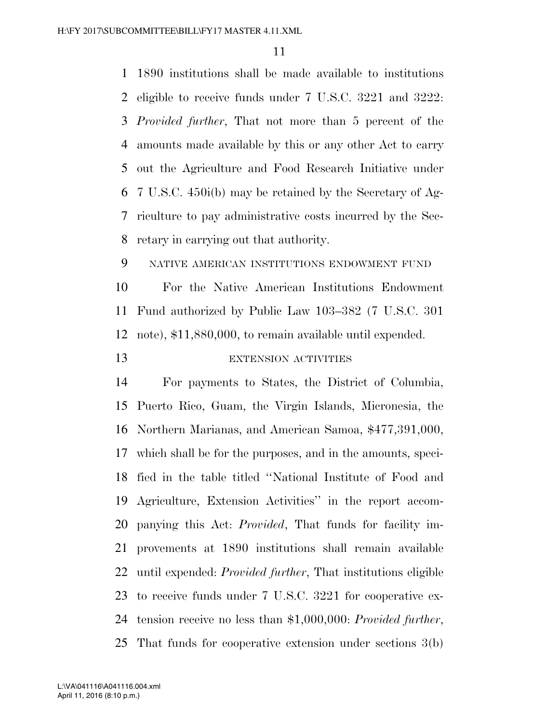1890 institutions shall be made available to institutions eligible to receive funds under 7 U.S.C. 3221 and 3222: *Provided further*, That not more than 5 percent of the amounts made available by this or any other Act to carry out the Agriculture and Food Research Initiative under 7 U.S.C. 450i(b) may be retained by the Secretary of Ag- riculture to pay administrative costs incurred by the Sec-retary in carrying out that authority.

NATIVE AMERICAN INSTITUTIONS ENDOWMENT FUND

 For the Native American Institutions Endowment Fund authorized by Public Law 103–382 (7 U.S.C. 301 note), \$11,880,000, to remain available until expended.

# 13 EXTENSION ACTIVITIES

 For payments to States, the District of Columbia, Puerto Rico, Guam, the Virgin Islands, Micronesia, the Northern Marianas, and American Samoa, \$477,391,000, which shall be for the purposes, and in the amounts, speci- fied in the table titled ''National Institute of Food and Agriculture, Extension Activities'' in the report accom- panying this Act: *Provided*, That funds for facility im- provements at 1890 institutions shall remain available until expended: *Provided further*, That institutions eligible to receive funds under 7 U.S.C. 3221 for cooperative ex- tension receive no less than \$1,000,000: *Provided further*, That funds for cooperative extension under sections 3(b)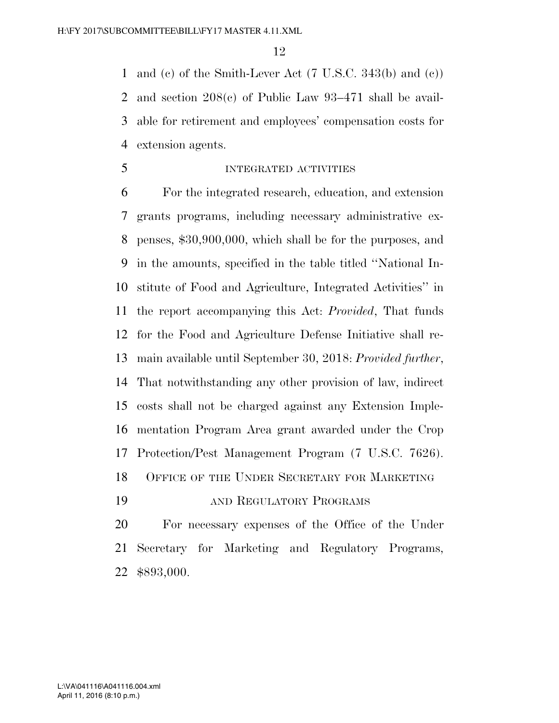and (c) of the Smith-Lever Act (7 U.S.C. 343(b) and (c)) and section 208(c) of Public Law 93–471 shall be avail- able for retirement and employees' compensation costs for extension agents.

INTEGRATED ACTIVITIES

 For the integrated research, education, and extension grants programs, including necessary administrative ex- penses, \$30,900,000, which shall be for the purposes, and in the amounts, specified in the table titled ''National In- stitute of Food and Agriculture, Integrated Activities'' in the report accompanying this Act: *Provided*, That funds for the Food and Agriculture Defense Initiative shall re- main available until September 30, 2018: *Provided further*, That notwithstanding any other provision of law, indirect costs shall not be charged against any Extension Imple- mentation Program Area grant awarded under the Crop Protection/Pest Management Program (7 U.S.C. 7626). OFFICE OF THE UNDER SECRETARY FOR MARKETING AND REGULATORY PROGRAMS

 For necessary expenses of the Office of the Under Secretary for Marketing and Regulatory Programs, \$893,000.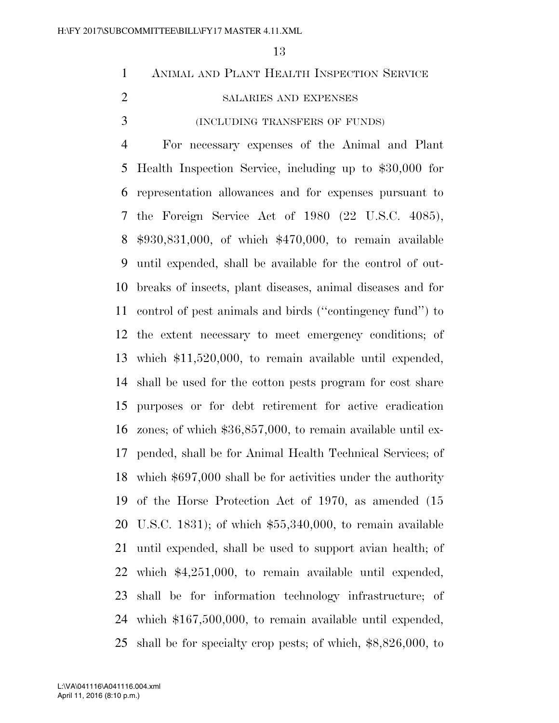|   | 1 ANIMAL AND PLANT HEALTH INSPECTION SERVICE |
|---|----------------------------------------------|
| 2 | <b>SALARIES AND EXPENSES</b>                 |
|   | (INCLUDING TRANSFERS OF FUNDS)               |

 For necessary expenses of the Animal and Plant Health Inspection Service, including up to \$30,000 for representation allowances and for expenses pursuant to the Foreign Service Act of 1980 (22 U.S.C. 4085), \$930,831,000, of which \$470,000, to remain available until expended, shall be available for the control of out- breaks of insects, plant diseases, animal diseases and for control of pest animals and birds (''contingency fund'') to the extent necessary to meet emergency conditions; of which \$11,520,000, to remain available until expended, shall be used for the cotton pests program for cost share purposes or for debt retirement for active eradication zones; of which \$36,857,000, to remain available until ex- pended, shall be for Animal Health Technical Services; of which \$697,000 shall be for activities under the authority of the Horse Protection Act of 1970, as amended (15 U.S.C. 1831); of which \$55,340,000, to remain available until expended, shall be used to support avian health; of which \$4,251,000, to remain available until expended, shall be for information technology infrastructure; of which \$167,500,000, to remain available until expended, shall be for specialty crop pests; of which, \$8,826,000, to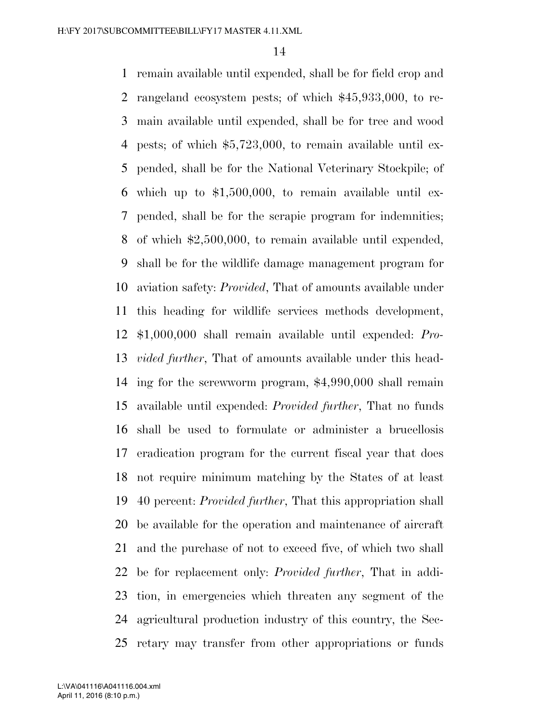remain available until expended, shall be for field crop and rangeland ecosystem pests; of which \$45,933,000, to re- main available until expended, shall be for tree and wood pests; of which \$5,723,000, to remain available until ex- pended, shall be for the National Veterinary Stockpile; of which up to \$1,500,000, to remain available until ex- pended, shall be for the scrapie program for indemnities; of which \$2,500,000, to remain available until expended, shall be for the wildlife damage management program for aviation safety: *Provided*, That of amounts available under this heading for wildlife services methods development, \$1,000,000 shall remain available until expended: *Pro- vided further*, That of amounts available under this head- ing for the screwworm program, \$4,990,000 shall remain available until expended: *Provided further*, That no funds shall be used to formulate or administer a brucellosis eradication program for the current fiscal year that does not require minimum matching by the States of at least 40 percent: *Provided further*, That this appropriation shall be available for the operation and maintenance of aircraft and the purchase of not to exceed five, of which two shall be for replacement only: *Provided further*, That in addi- tion, in emergencies which threaten any segment of the agricultural production industry of this country, the Sec-retary may transfer from other appropriations or funds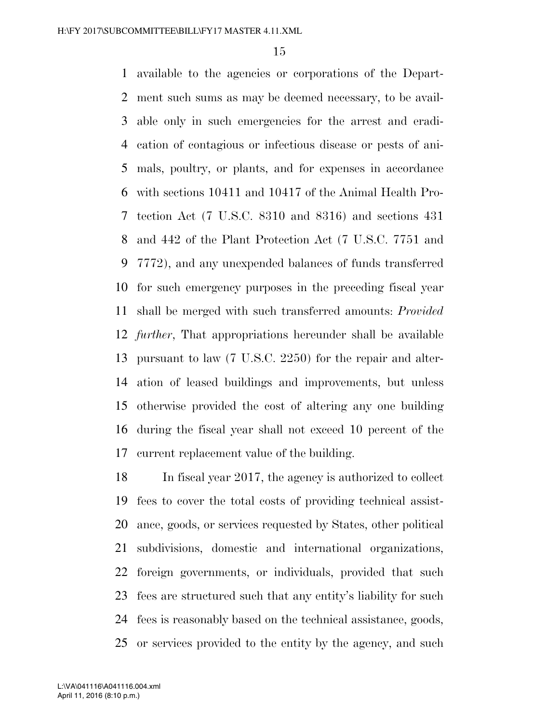available to the agencies or corporations of the Depart- ment such sums as may be deemed necessary, to be avail- able only in such emergencies for the arrest and eradi- cation of contagious or infectious disease or pests of ani- mals, poultry, or plants, and for expenses in accordance with sections 10411 and 10417 of the Animal Health Pro- tection Act (7 U.S.C. 8310 and 8316) and sections 431 and 442 of the Plant Protection Act (7 U.S.C. 7751 and 7772), and any unexpended balances of funds transferred for such emergency purposes in the preceding fiscal year shall be merged with such transferred amounts: *Provided further*, That appropriations hereunder shall be available pursuant to law (7 U.S.C. 2250) for the repair and alter- ation of leased buildings and improvements, but unless otherwise provided the cost of altering any one building during the fiscal year shall not exceed 10 percent of the current replacement value of the building.

 In fiscal year 2017, the agency is authorized to collect fees to cover the total costs of providing technical assist- ance, goods, or services requested by States, other political subdivisions, domestic and international organizations, foreign governments, or individuals, provided that such fees are structured such that any entity's liability for such fees is reasonably based on the technical assistance, goods, or services provided to the entity by the agency, and such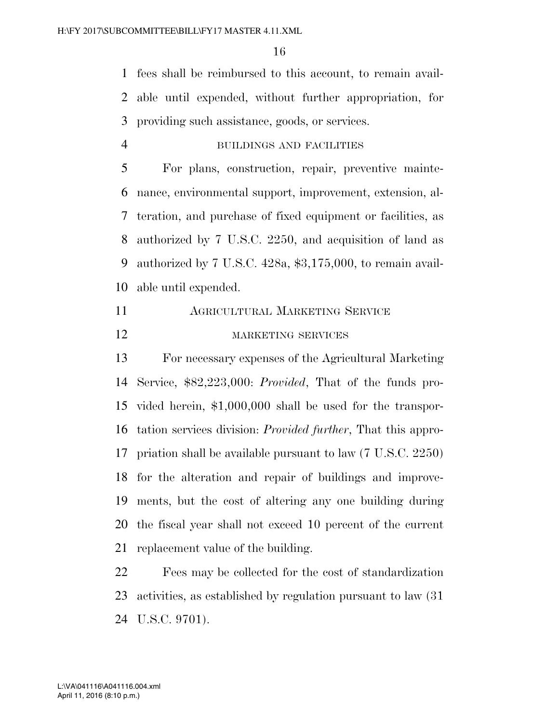fees shall be reimbursed to this account, to remain avail- able until expended, without further appropriation, for providing such assistance, goods, or services.

#### BUILDINGS AND FACILITIES

 For plans, construction, repair, preventive mainte- nance, environmental support, improvement, extension, al- teration, and purchase of fixed equipment or facilities, as authorized by 7 U.S.C. 2250, and acquisition of land as authorized by 7 U.S.C. 428a, \$3,175,000, to remain avail-able until expended.

 AGRICULTURAL MARKETING SERVICE 12 MARKETING SERVICES

 For necessary expenses of the Agricultural Marketing Service, \$82,223,000: *Provided*, That of the funds pro- vided herein, \$1,000,000 shall be used for the transpor- tation services division: *Provided further*, That this appro- priation shall be available pursuant to law (7 U.S.C. 2250) for the alteration and repair of buildings and improve- ments, but the cost of altering any one building during the fiscal year shall not exceed 10 percent of the current replacement value of the building.

 Fees may be collected for the cost of standardization activities, as established by regulation pursuant to law (31 U.S.C. 9701).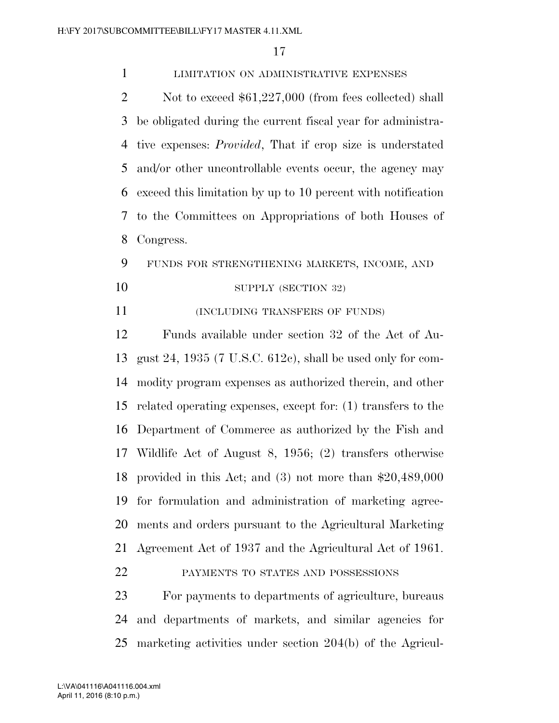LIMITATION ON ADMINISTRATIVE EXPENSES

2 Not to exceed  $$61,227,000$  (from fees collected) shall be obligated during the current fiscal year for administra- tive expenses: *Provided*, That if crop size is understated and/or other uncontrollable events occur, the agency may exceed this limitation by up to 10 percent with notification to the Committees on Appropriations of both Houses of Congress.

 FUNDS FOR STRENGTHENING MARKETS, INCOME, AND 10 SUPPLY (SECTION 32)

**INCLUDING TRANSFERS OF FUNDS**)

 Funds available under section 32 of the Act of Au- gust 24, 1935 (7 U.S.C. 612c), shall be used only for com- modity program expenses as authorized therein, and other related operating expenses, except for: (1) transfers to the Department of Commerce as authorized by the Fish and Wildlife Act of August 8, 1956; (2) transfers otherwise provided in this Act; and (3) not more than \$20,489,000 for formulation and administration of marketing agree- ments and orders pursuant to the Agricultural Marketing Agreement Act of 1937 and the Agricultural Act of 1961.

PAYMENTS TO STATES AND POSSESSIONS

 For payments to departments of agriculture, bureaus and departments of markets, and similar agencies for marketing activities under section 204(b) of the Agricul-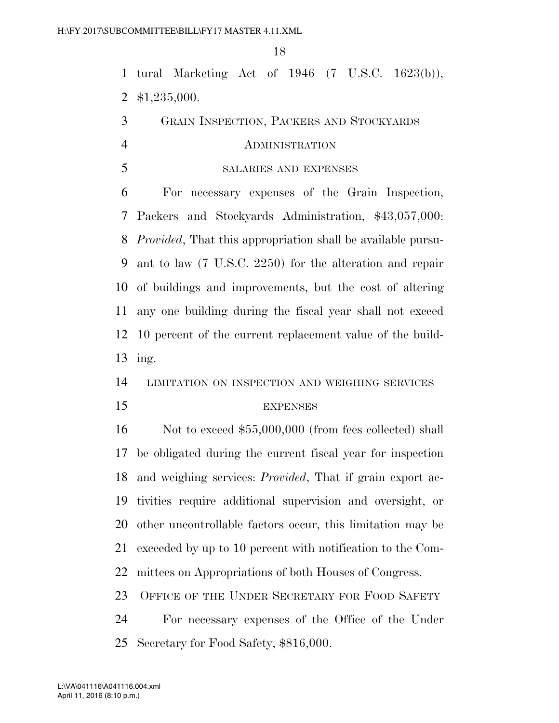tural Marketing Act of 1946 (7 U.S.C. 1623(b)), \$1,235,000.

GRAIN INSPECTION, PACKERS AND STOCKYARDS

#### ADMINISTRATION

SALARIES AND EXPENSES

 For necessary expenses of the Grain Inspection, Packers and Stockyards Administration, \$43,057,000: *Provided*, That this appropriation shall be available pursu- ant to law (7 U.S.C. 2250) for the alteration and repair of buildings and improvements, but the cost of altering any one building during the fiscal year shall not exceed 10 percent of the current replacement value of the build-ing.

#### LIMITATION ON INSPECTION AND WEIGHING SERVICES

#### EXPENSES

16 Not to exceed \$55,000,000 (from fees collected) shall be obligated during the current fiscal year for inspection and weighing services: *Provided*, That if grain export ac- tivities require additional supervision and oversight, or other uncontrollable factors occur, this limitation may be exceeded by up to 10 percent with notification to the Com-mittees on Appropriations of both Houses of Congress.

OFFICE OF THE UNDER SECRETARY FOR FOOD SAFETY

 For necessary expenses of the Office of the Under Secretary for Food Safety, \$816,000.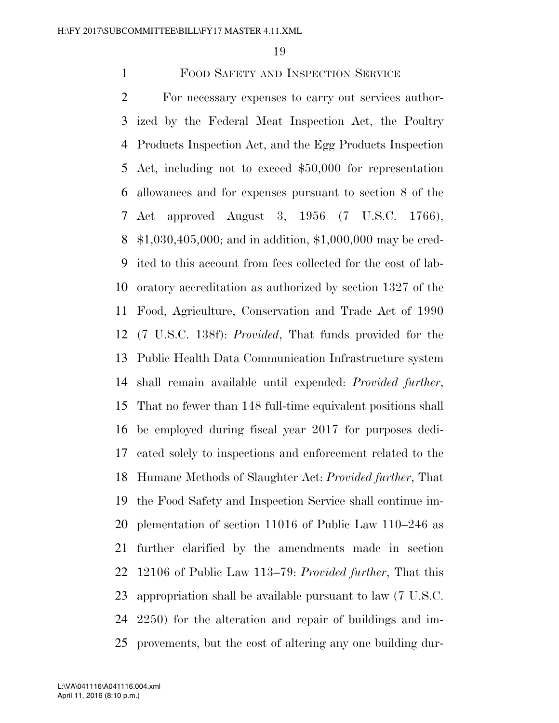FOOD SAFETY AND INSPECTION SERVICE

 For necessary expenses to carry out services author- ized by the Federal Meat Inspection Act, the Poultry Products Inspection Act, and the Egg Products Inspection Act, including not to exceed \$50,000 for representation allowances and for expenses pursuant to section 8 of the Act approved August 3, 1956 (7 U.S.C. 1766), \$1,030,405,000; and in addition, \$1,000,000 may be cred- ited to this account from fees collected for the cost of lab- oratory accreditation as authorized by section 1327 of the Food, Agriculture, Conservation and Trade Act of 1990 (7 U.S.C. 138f): *Provided*, That funds provided for the Public Health Data Communication Infrastructure system shall remain available until expended: *Provided further*, That no fewer than 148 full-time equivalent positions shall be employed during fiscal year 2017 for purposes dedi- cated solely to inspections and enforcement related to the Humane Methods of Slaughter Act: *Provided further*, That the Food Safety and Inspection Service shall continue im- plementation of section 11016 of Public Law 110–246 as further clarified by the amendments made in section 12106 of Public Law 113–79: *Provided further*, That this appropriation shall be available pursuant to law (7 U.S.C. 2250) for the alteration and repair of buildings and im-provements, but the cost of altering any one building dur-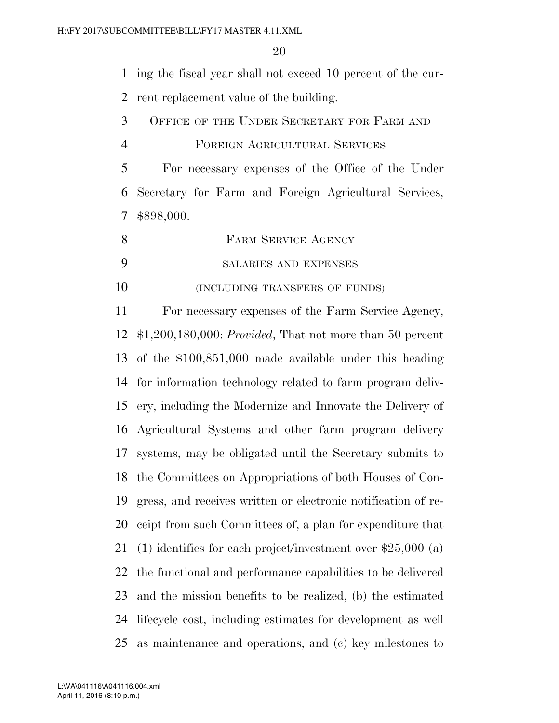ing the fiscal year shall not exceed 10 percent of the cur-rent replacement value of the building.

3 OFFICE OF THE UNDER SECRETARY FOR FARM AND

FOREIGN AGRICULTURAL SERVICES

 For necessary expenses of the Office of the Under Secretary for Farm and Foreign Agricultural Services, \$898,000.

**FARM SERVICE AGENCY** SALARIES AND EXPENSES

**(INCLUDING TRANSFERS OF FUNDS)** 

 For necessary expenses of the Farm Service Agency, \$1,200,180,000: *Provided*, That not more than 50 percent of the \$100,851,000 made available under this heading for information technology related to farm program deliv- ery, including the Modernize and Innovate the Delivery of Agricultural Systems and other farm program delivery systems, may be obligated until the Secretary submits to the Committees on Appropriations of both Houses of Con- gress, and receives written or electronic notification of re- ceipt from such Committees of, a plan for expenditure that (1) identifies for each project/investment over \$25,000 (a) the functional and performance capabilities to be delivered and the mission benefits to be realized, (b) the estimated lifecycle cost, including estimates for development as well as maintenance and operations, and (c) key milestones to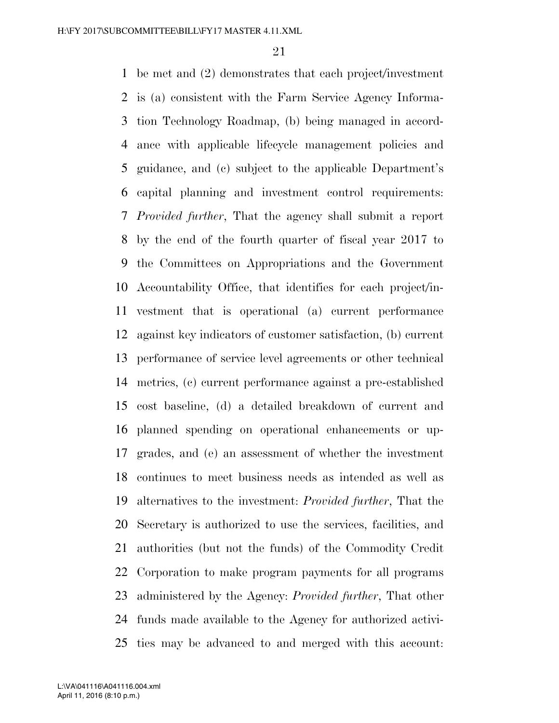be met and (2) demonstrates that each project/investment is (a) consistent with the Farm Service Agency Informa- tion Technology Roadmap, (b) being managed in accord- ance with applicable lifecycle management policies and guidance, and (c) subject to the applicable Department's capital planning and investment control requirements: *Provided further*, That the agency shall submit a report by the end of the fourth quarter of fiscal year 2017 to the Committees on Appropriations and the Government Accountability Office, that identifies for each project/in- vestment that is operational (a) current performance against key indicators of customer satisfaction, (b) current performance of service level agreements or other technical metrics, (c) current performance against a pre-established cost baseline, (d) a detailed breakdown of current and planned spending on operational enhancements or up- grades, and (e) an assessment of whether the investment continues to meet business needs as intended as well as alternatives to the investment: *Provided further*, That the Secretary is authorized to use the services, facilities, and authorities (but not the funds) of the Commodity Credit Corporation to make program payments for all programs administered by the Agency: *Provided further*, That other funds made available to the Agency for authorized activi-ties may be advanced to and merged with this account: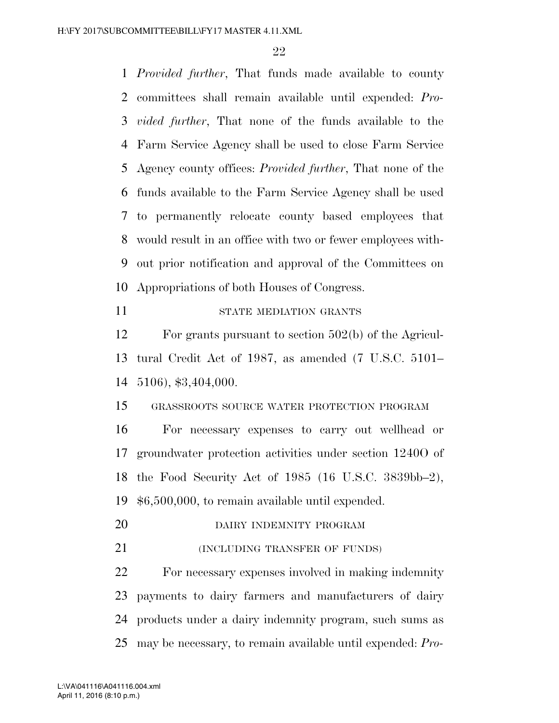*Provided further*, That funds made available to county committees shall remain available until expended: *Pro- vided further*, That none of the funds available to the Farm Service Agency shall be used to close Farm Service Agency county offices: *Provided further*, That none of the funds available to the Farm Service Agency shall be used to permanently relocate county based employees that would result in an office with two or fewer employees with- out prior notification and approval of the Committees on Appropriations of both Houses of Congress.

11 STATE MEDIATION GRANTS

 For grants pursuant to section 502(b) of the Agricul- tural Credit Act of 1987, as amended (7 U.S.C. 5101– 5106), \$3,404,000.

GRASSROOTS SOURCE WATER PROTECTION PROGRAM

 For necessary expenses to carry out wellhead or groundwater protection activities under section 1240O of the Food Security Act of 1985 (16 U.S.C. 3839bb–2), \$6,500,000, to remain available until expended.

- 20 DAIRY INDEMNITY PROGRAM
- **(INCLUDING TRANSFER OF FUNDS)**

 For necessary expenses involved in making indemnity payments to dairy farmers and manufacturers of dairy products under a dairy indemnity program, such sums as may be necessary, to remain available until expended: *Pro-*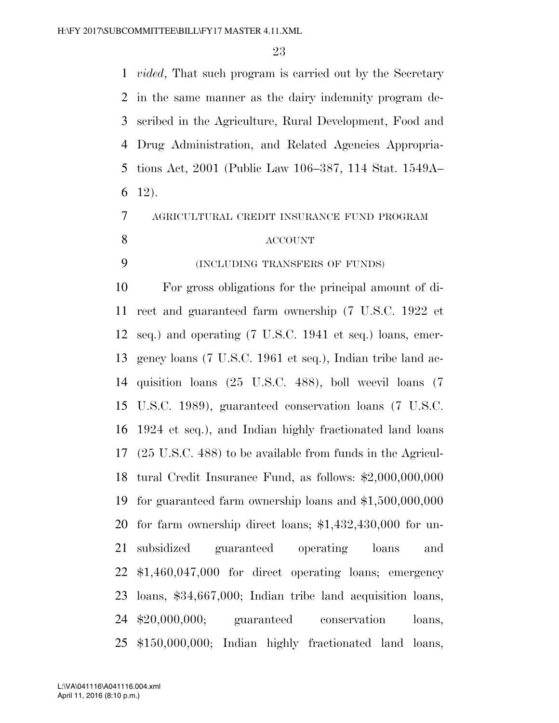*vided*, That such program is carried out by the Secretary in the same manner as the dairy indemnity program de- scribed in the Agriculture, Rural Development, Food and Drug Administration, and Related Agencies Appropria- tions Act, 2001 (Public Law 106–387, 114 Stat. 1549A– 12).

AGRICULTURAL CREDIT INSURANCE FUND PROGRAM

#### ACCOUNT

# (INCLUDING TRANSFERS OF FUNDS)

 For gross obligations for the principal amount of di- rect and guaranteed farm ownership (7 U.S.C. 1922 et seq.) and operating (7 U.S.C. 1941 et seq.) loans, emer- gency loans (7 U.S.C. 1961 et seq.), Indian tribe land ac- quisition loans (25 U.S.C. 488), boll weevil loans (7 U.S.C. 1989), guaranteed conservation loans (7 U.S.C. 1924 et seq.), and Indian highly fractionated land loans (25 U.S.C. 488) to be available from funds in the Agricul- tural Credit Insurance Fund, as follows: \$2,000,000,000 for guaranteed farm ownership loans and \$1,500,000,000 for farm ownership direct loans; \$1,432,430,000 for un- subsidized guaranteed operating loans and \$1,460,047,000 for direct operating loans; emergency loans, \$34,667,000; Indian tribe land acquisition loans, \$20,000,000; guaranteed conservation loans, \$150,000,000; Indian highly fractionated land loans,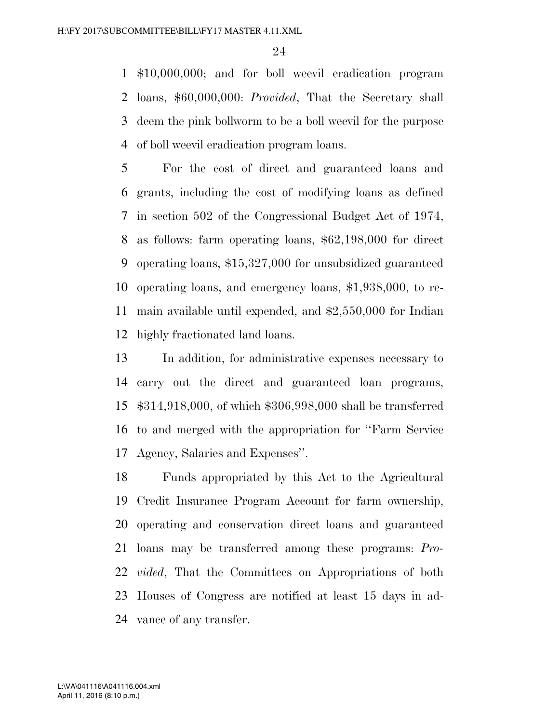\$10,000,000; and for boll weevil eradication program loans, \$60,000,000: *Provided*, That the Secretary shall deem the pink bollworm to be a boll weevil for the purpose of boll weevil eradication program loans.

 For the cost of direct and guaranteed loans and grants, including the cost of modifying loans as defined in section 502 of the Congressional Budget Act of 1974, as follows: farm operating loans, \$62,198,000 for direct operating loans, \$15,327,000 for unsubsidized guaranteed operating loans, and emergency loans, \$1,938,000, to re- main available until expended, and \$2,550,000 for Indian highly fractionated land loans.

 In addition, for administrative expenses necessary to carry out the direct and guaranteed loan programs, \$314,918,000, of which \$306,998,000 shall be transferred to and merged with the appropriation for ''Farm Service Agency, Salaries and Expenses''.

 Funds appropriated by this Act to the Agricultural Credit Insurance Program Account for farm ownership, operating and conservation direct loans and guaranteed loans may be transferred among these programs: *Pro- vided*, That the Committees on Appropriations of both Houses of Congress are notified at least 15 days in ad-vance of any transfer.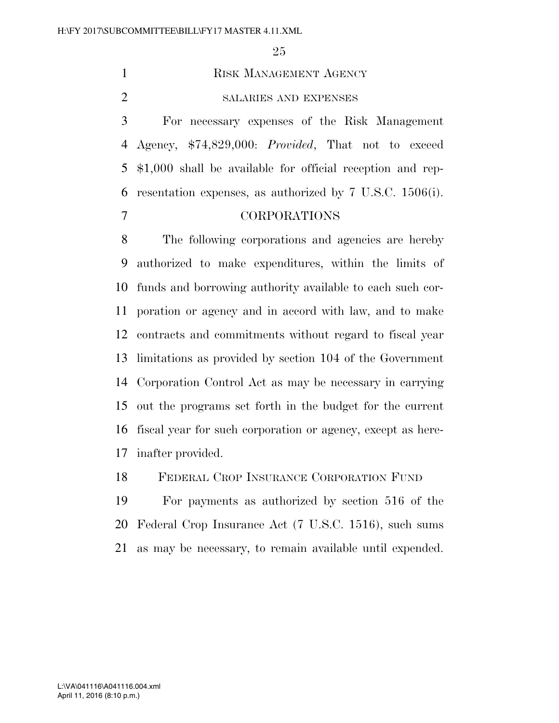1 RISK MANAGEMENT AGENCY

SALARIES AND EXPENSES

 For necessary expenses of the Risk Management Agency, \$74,829,000: *Provided*, That not to exceed \$1,000 shall be available for official reception and rep-resentation expenses, as authorized by 7 U.S.C. 1506(i).

### CORPORATIONS

 The following corporations and agencies are hereby authorized to make expenditures, within the limits of funds and borrowing authority available to each such cor- poration or agency and in accord with law, and to make contracts and commitments without regard to fiscal year limitations as provided by section 104 of the Government Corporation Control Act as may be necessary in carrying out the programs set forth in the budget for the current fiscal year for such corporation or agency, except as here-inafter provided.

FEDERAL CROP INSURANCE CORPORATION FUND

 For payments as authorized by section 516 of the Federal Crop Insurance Act (7 U.S.C. 1516), such sums as may be necessary, to remain available until expended.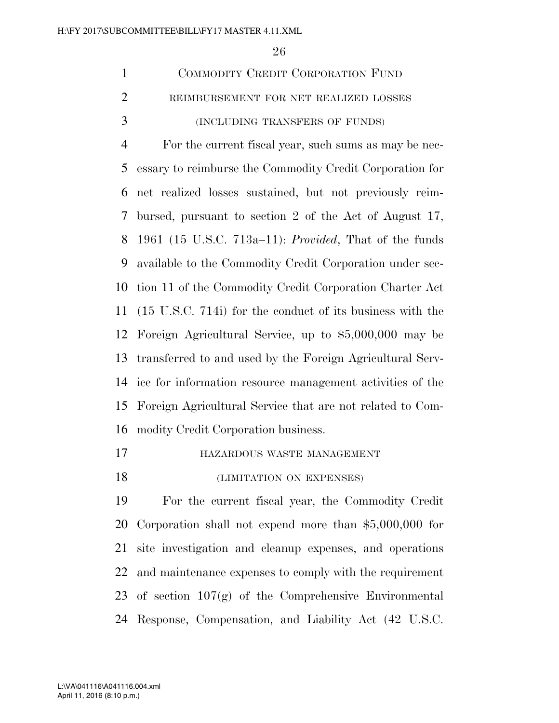|               | COMMODITY CREDIT CORPORATION FUND     |
|---------------|---------------------------------------|
| $\mathcal{D}$ | REIMBURSEMENT FOR NET REALIZED LOSSES |
| $\mathcal{R}$ | (INCLUDING TRANSFERS OF FUNDS)        |

 For the current fiscal year, such sums as may be nec- essary to reimburse the Commodity Credit Corporation for net realized losses sustained, but not previously reim- bursed, pursuant to section 2 of the Act of August 17, 1961 (15 U.S.C. 713a–11): *Provided*, That of the funds available to the Commodity Credit Corporation under sec- tion 11 of the Commodity Credit Corporation Charter Act (15 U.S.C. 714i) for the conduct of its business with the Foreign Agricultural Service, up to \$5,000,000 may be transferred to and used by the Foreign Agricultural Serv- ice for information resource management activities of the Foreign Agricultural Service that are not related to Com-modity Credit Corporation business.

HAZARDOUS WASTE MANAGEMENT

#### (LIMITATION ON EXPENSES)

 For the current fiscal year, the Commodity Credit Corporation shall not expend more than \$5,000,000 for site investigation and cleanup expenses, and operations and maintenance expenses to comply with the requirement of section 107(g) of the Comprehensive Environmental Response, Compensation, and Liability Act (42 U.S.C.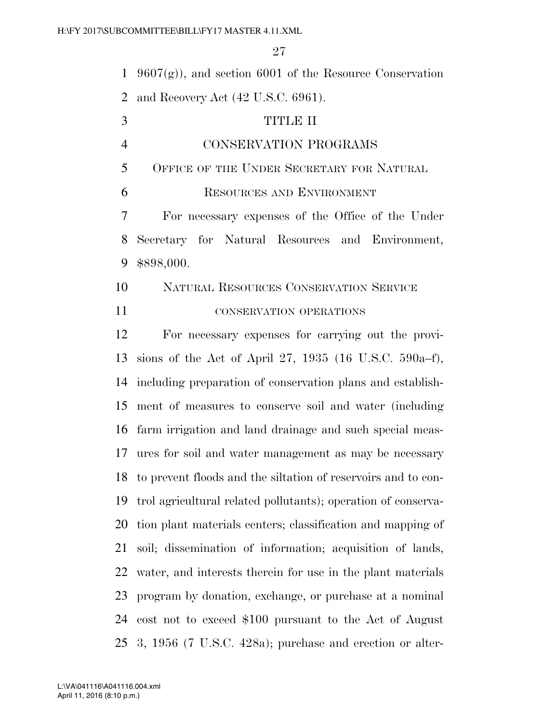9607(g)), and section 6001 of the Resource Conservation and Recovery Act (42 U.S.C. 6961).

| 3              | TITLE II                                                      |
|----------------|---------------------------------------------------------------|
| $\overline{4}$ | <b>CONSERVATION PROGRAMS</b>                                  |
| 5              | OFFICE OF THE UNDER SECRETARY FOR NATURAL                     |
| 6              | <b>RESOURCES AND ENVIRONMENT</b>                              |
| 7              | For necessary expenses of the Office of the Under             |
| 8              | Secretary for Natural Resources and Environment,              |
| 9              | \$898,000.                                                    |
| 10             | NATURAL RESOURCES CONSERVATION SERVICE                        |
| 11             | CONSERVATION OPERATIONS                                       |
| 12             | For necessary expenses for carrying out the provi-            |
| 13             | sions of the Act of April 27, 1935 (16 U.S.C. 590a–f),        |
|                | 14 including preparation of conservation plans and establish- |
| 15             | ment of measures to conserve soil and water (including        |
| 16             | farm irrigation and land drainage and such special meas-      |
| 17             | ures for soil and water management as may be necessary        |
| 18             | to prevent floods and the siltation of reservoirs and to con- |
| 19             | trol agricultural related pollutants); operation of conserva- |
| 20             | tion plant materials centers; classification and mapping of   |
| 21             | soil; dissemination of information; acquisition of lands,     |
| 22             | water, and interests therein for use in the plant materials   |
| 23             | program by donation, exchange, or purchase at a nominal       |
| 24             | cost not to exceed \$100 pursuant to the Act of August        |
|                | $25$ 3, 1956 (7 U.S.C. 428a); purchase and erection or alter- |

April 11, 2016 (8:10 p.m.) L:\VA\041116\A041116.004.xml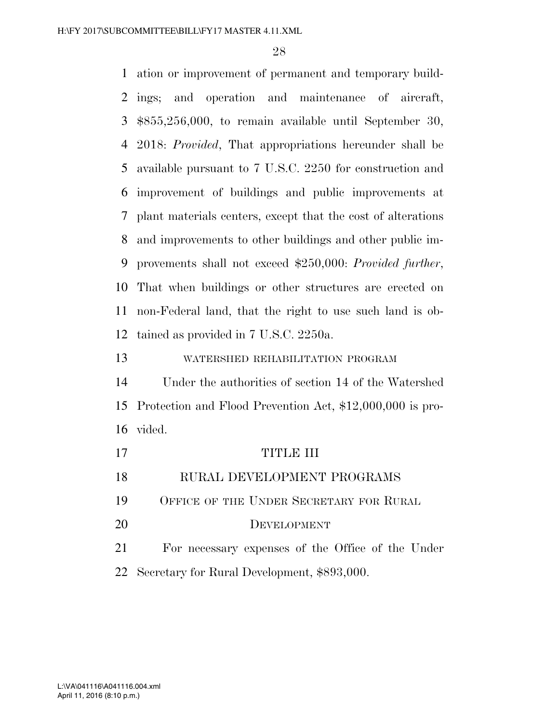ation or improvement of permanent and temporary build- ings; and operation and maintenance of aircraft, \$855,256,000, to remain available until September 30, 2018: *Provided*, That appropriations hereunder shall be available pursuant to 7 U.S.C. 2250 for construction and improvement of buildings and public improvements at plant materials centers, except that the cost of alterations and improvements to other buildings and other public im- provements shall not exceed \$250,000: *Provided further*, That when buildings or other structures are erected on non-Federal land, that the right to use such land is ob-tained as provided in 7 U.S.C. 2250a.

WATERSHED REHABILITATION PROGRAM

 Under the authorities of section 14 of the Watershed Protection and Flood Prevention Act, \$12,000,000 is pro-vided.

| 17 | <b>TITLE III</b>                                  |
|----|---------------------------------------------------|
| 18 | RURAL DEVELOPMENT PROGRAMS                        |
| 19 | OFFICE OF THE UNDER SECRETARY FOR RURAL           |
| 20 | <b>DEVELOPMENT</b>                                |
| 21 | For necessary expenses of the Office of the Under |
|    | 22 Secretary for Rural Development, \$893,000.    |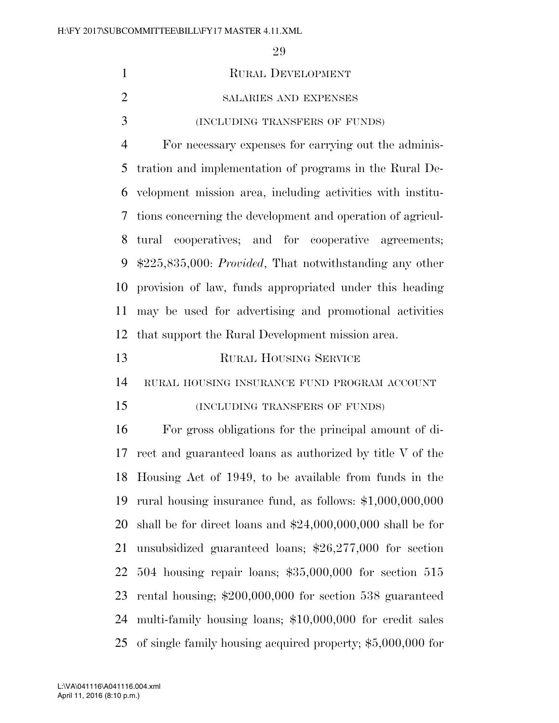| $\mathbf{1}$   | <b>RURAL DEVELOPMENT</b>                                     |
|----------------|--------------------------------------------------------------|
| $\mathbf{2}$   | SALARIES AND EXPENSES                                        |
| 3              | (INCLUDING TRANSFERS OF FUNDS)                               |
| $\overline{4}$ | For necessary expenses for carrying out the adminis-         |
| 5              | tration and implementation of programs in the Rural De-      |
| 6              | velopment mission area, including activities with institu-   |
| 7              | tions concerning the development and operation of agricul-   |
| 8              | tural cooperatives; and for cooperative agreements;          |
| 9              | $$225,835,000: Provided, That not with standing any other$   |
| 10             | provision of law, funds appropriated under this heading      |
| 11             | may be used for advertising and promotional activities       |
| 12             | that support the Rural Development mission area.             |
| 13             | <b>RURAL HOUSING SERVICE</b>                                 |
| 14             | RURAL HOUSING INSURANCE FUND PROGRAM ACCOUNT                 |
| 15             | (INCLUDING TRANSFERS OF FUNDS)                               |
| 16             | For gross obligations for the principal amount of di-        |
| 17             | rect and guaranteed loans as authorized by title V of the    |
| 18             | Housing Act of 1949, to be available from funds in the       |
| 19             | rural housing insurance fund, as follows: $$1,000,000,000$   |
| 20             | shall be for direct loans and $$24,000,000,000$ shall be for |
| 21             | unsubsidized guaranteed loans; \$26,277,000 for section      |
| 22             | 504 housing repair loans; $$35,000,000$ for section $515$    |
| 23             | rental housing; $$200,000,000$ for section 538 guaranteed    |
| 24             | multi-family housing loans; \$10,000,000 for credit sales    |
| 25             | of single family housing acquired property; $$5,000,000$ for |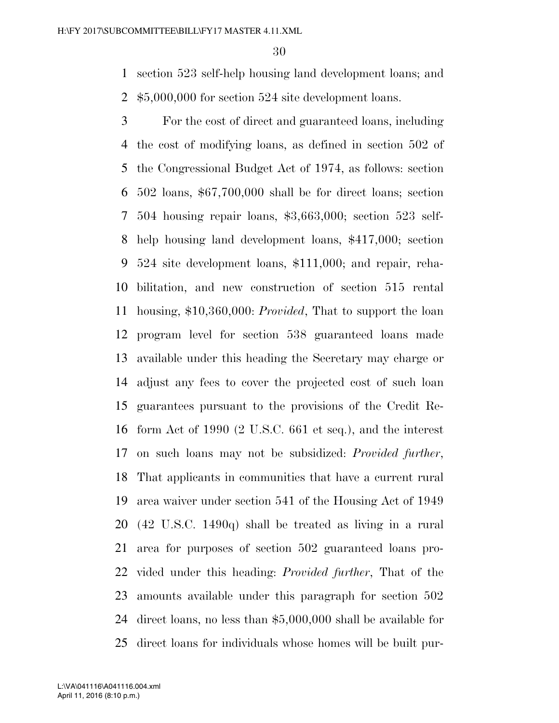section 523 self-help housing land development loans; and \$5,000,000 for section 524 site development loans.

 For the cost of direct and guaranteed loans, including the cost of modifying loans, as defined in section 502 of the Congressional Budget Act of 1974, as follows: section 502 loans, \$67,700,000 shall be for direct loans; section 504 housing repair loans, \$3,663,000; section 523 self- help housing land development loans, \$417,000; section 524 site development loans, \$111,000; and repair, reha- bilitation, and new construction of section 515 rental housing, \$10,360,000: *Provided*, That to support the loan program level for section 538 guaranteed loans made available under this heading the Secretary may charge or adjust any fees to cover the projected cost of such loan guarantees pursuant to the provisions of the Credit Re- form Act of 1990 (2 U.S.C. 661 et seq.), and the interest on such loans may not be subsidized: *Provided further*, That applicants in communities that have a current rural area waiver under section 541 of the Housing Act of 1949 (42 U.S.C. 1490q) shall be treated as living in a rural area for purposes of section 502 guaranteed loans pro- vided under this heading: *Provided further*, That of the amounts available under this paragraph for section 502 direct loans, no less than \$5,000,000 shall be available for direct loans for individuals whose homes will be built pur-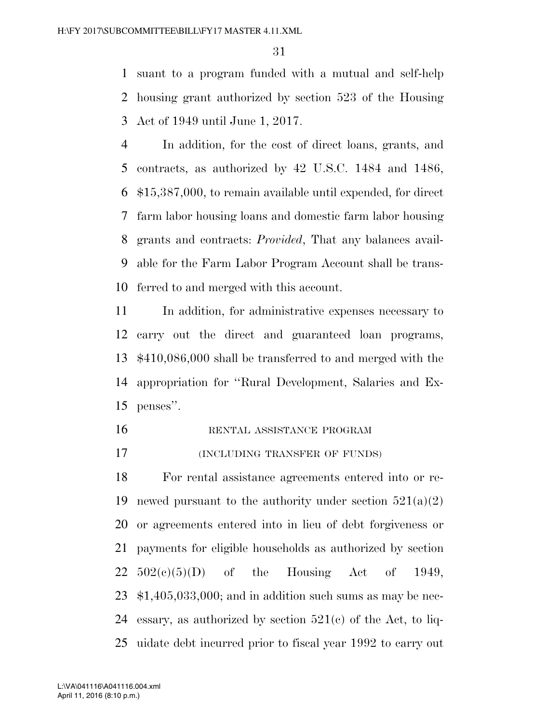suant to a program funded with a mutual and self-help housing grant authorized by section 523 of the Housing Act of 1949 until June 1, 2017.

 In addition, for the cost of direct loans, grants, and contracts, as authorized by 42 U.S.C. 1484 and 1486, \$15,387,000, to remain available until expended, for direct farm labor housing loans and domestic farm labor housing grants and contracts: *Provided*, That any balances avail- able for the Farm Labor Program Account shall be trans-ferred to and merged with this account.

 In addition, for administrative expenses necessary to carry out the direct and guaranteed loan programs, \$410,086,000 shall be transferred to and merged with the appropriation for ''Rural Development, Salaries and Ex-penses''.

- RENTAL ASSISTANCE PROGRAM
- (INCLUDING TRANSFER OF FUNDS)

 For rental assistance agreements entered into or re-19 newed pursuant to the authority under section  $521(a)(2)$  or agreements entered into in lieu of debt forgiveness or payments for eligible households as authorized by section  $502(e)(5)(D)$  of the Housing Act of 1949, \$1,405,033,000; and in addition such sums as may be nec-24 essary, as authorized by section  $521(c)$  of the Act, to liq-uidate debt incurred prior to fiscal year 1992 to carry out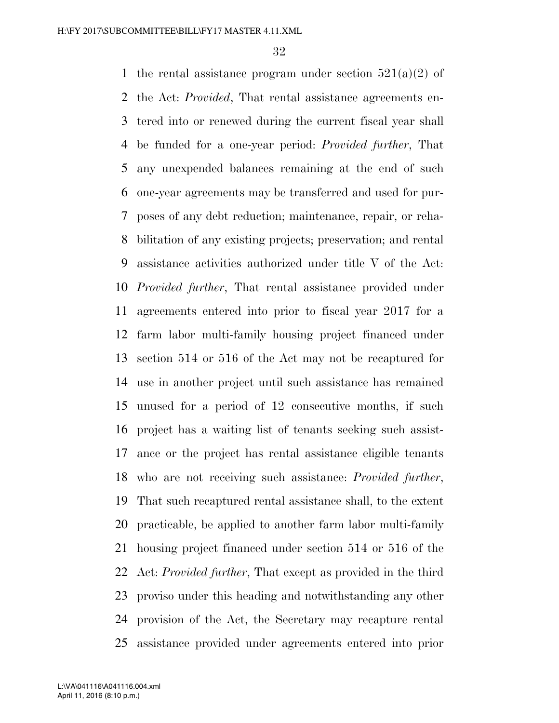1 the rental assistance program under section  $521(a)(2)$  of the Act: *Provided*, That rental assistance agreements en- tered into or renewed during the current fiscal year shall be funded for a one-year period: *Provided further*, That any unexpended balances remaining at the end of such one-year agreements may be transferred and used for pur- poses of any debt reduction; maintenance, repair, or reha- bilitation of any existing projects; preservation; and rental assistance activities authorized under title V of the Act: *Provided further*, That rental assistance provided under agreements entered into prior to fiscal year 2017 for a farm labor multi-family housing project financed under section 514 or 516 of the Act may not be recaptured for use in another project until such assistance has remained unused for a period of 12 consecutive months, if such project has a waiting list of tenants seeking such assist- ance or the project has rental assistance eligible tenants who are not receiving such assistance: *Provided further*, That such recaptured rental assistance shall, to the extent practicable, be applied to another farm labor multi-family housing project financed under section 514 or 516 of the Act: *Provided further*, That except as provided in the third proviso under this heading and notwithstanding any other provision of the Act, the Secretary may recapture rental assistance provided under agreements entered into prior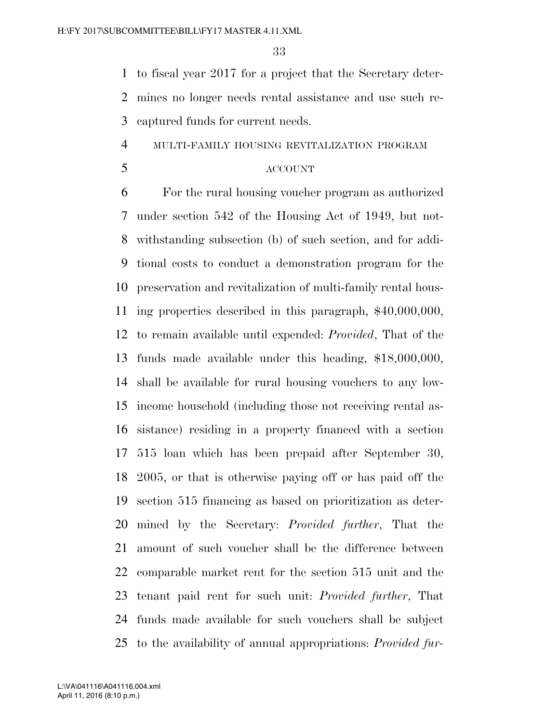to fiscal year 2017 for a project that the Secretary deter- mines no longer needs rental assistance and use such re-captured funds for current needs.

#### MULTI-FAMILY HOUSING REVITALIZATION PROGRAM

# ACCOUNT

 For the rural housing voucher program as authorized under section 542 of the Housing Act of 1949, but not- withstanding subsection (b) of such section, and for addi- tional costs to conduct a demonstration program for the preservation and revitalization of multi-family rental hous- ing properties described in this paragraph, \$40,000,000, to remain available until expended: *Provided*, That of the funds made available under this heading, \$18,000,000, shall be available for rural housing vouchers to any low- income household (including those not receiving rental as- sistance) residing in a property financed with a section 515 loan which has been prepaid after September 30, 2005, or that is otherwise paying off or has paid off the section 515 financing as based on prioritization as deter- mined by the Secretary: *Provided further*, That the amount of such voucher shall be the difference between comparable market rent for the section 515 unit and the tenant paid rent for such unit: *Provided further*, That funds made available for such vouchers shall be subject to the availability of annual appropriations: *Provided fur-*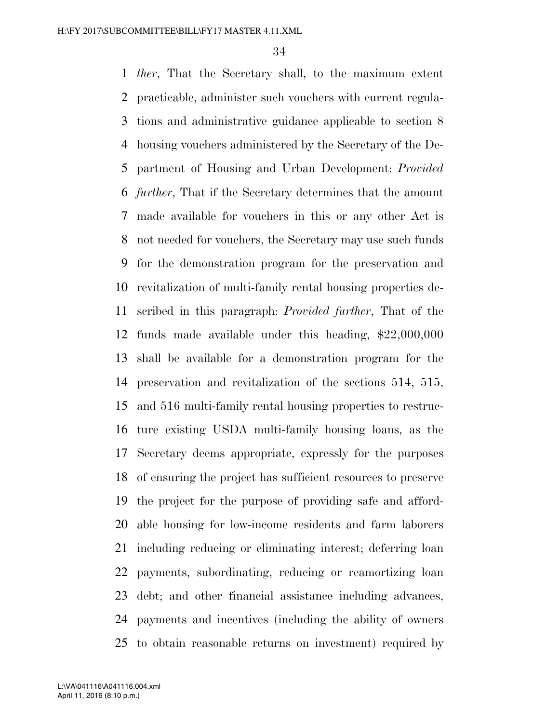*ther*, That the Secretary shall, to the maximum extent practicable, administer such vouchers with current regula- tions and administrative guidance applicable to section 8 housing vouchers administered by the Secretary of the De- partment of Housing and Urban Development: *Provided further*, That if the Secretary determines that the amount made available for vouchers in this or any other Act is not needed for vouchers, the Secretary may use such funds for the demonstration program for the preservation and revitalization of multi-family rental housing properties de- scribed in this paragraph: *Provided further*, That of the funds made available under this heading, \$22,000,000 shall be available for a demonstration program for the preservation and revitalization of the sections 514, 515, and 516 multi-family rental housing properties to restruc- ture existing USDA multi-family housing loans, as the Secretary deems appropriate, expressly for the purposes of ensuring the project has sufficient resources to preserve the project for the purpose of providing safe and afford- able housing for low-income residents and farm laborers including reducing or eliminating interest; deferring loan payments, subordinating, reducing or reamortizing loan debt; and other financial assistance including advances, payments and incentives (including the ability of owners to obtain reasonable returns on investment) required by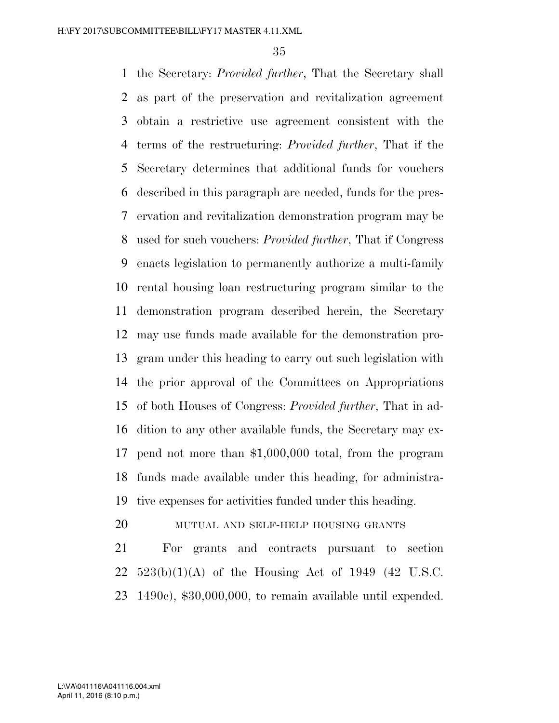the Secretary: *Provided further*, That the Secretary shall as part of the preservation and revitalization agreement obtain a restrictive use agreement consistent with the terms of the restructuring: *Provided further*, That if the Secretary determines that additional funds for vouchers described in this paragraph are needed, funds for the pres- ervation and revitalization demonstration program may be used for such vouchers: *Provided further*, That if Congress enacts legislation to permanently authorize a multi-family rental housing loan restructuring program similar to the demonstration program described herein, the Secretary may use funds made available for the demonstration pro- gram under this heading to carry out such legislation with the prior approval of the Committees on Appropriations of both Houses of Congress: *Provided further*, That in ad- dition to any other available funds, the Secretary may ex- pend not more than \$1,000,000 total, from the program funds made available under this heading, for administra-tive expenses for activities funded under this heading.

MUTUAL AND SELF-HELP HOUSING GRANTS

 For grants and contracts pursuant to section 22  $523(b)(1)(A)$  of the Housing Act of 1949 (42 U.S.C. 1490c), \$30,000,000, to remain available until expended.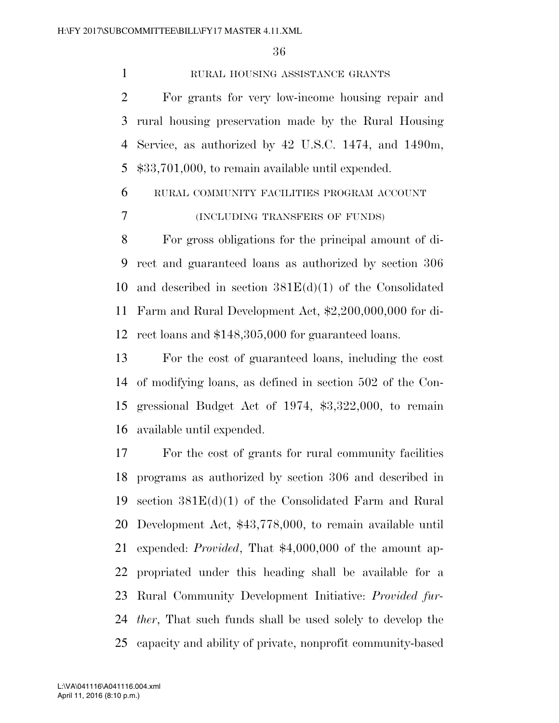1 RURAL HOUSING ASSISTANCE GRANTS

 For grants for very low-income housing repair and rural housing preservation made by the Rural Housing Service, as authorized by 42 U.S.C. 1474, and 1490m, \$33,701,000, to remain available until expended.

 RURAL COMMUNITY FACILITIES PROGRAM ACCOUNT (INCLUDING TRANSFERS OF FUNDS)

 For gross obligations for the principal amount of di- rect and guaranteed loans as authorized by section 306 10 and described in section  $381E(d)(1)$  of the Consolidated Farm and Rural Development Act, \$2,200,000,000 for di-rect loans and \$148,305,000 for guaranteed loans.

 For the cost of guaranteed loans, including the cost of modifying loans, as defined in section 502 of the Con- gressional Budget Act of 1974, \$3,322,000, to remain available until expended.

 For the cost of grants for rural community facilities programs as authorized by section 306 and described in section 381E(d)(1) of the Consolidated Farm and Rural Development Act, \$43,778,000, to remain available until expended: *Provided*, That \$4,000,000 of the amount ap- propriated under this heading shall be available for a Rural Community Development Initiative: *Provided fur- ther*, That such funds shall be used solely to develop the capacity and ability of private, nonprofit community-based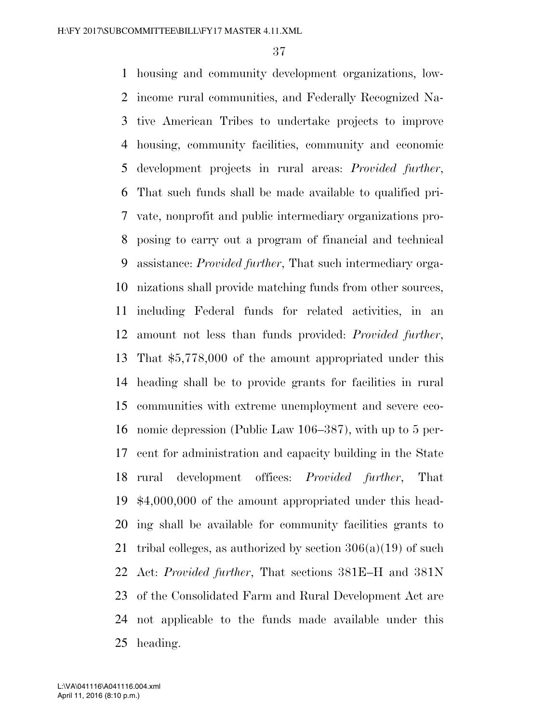housing and community development organizations, low- income rural communities, and Federally Recognized Na- tive American Tribes to undertake projects to improve housing, community facilities, community and economic development projects in rural areas: *Provided further*, That such funds shall be made available to qualified pri- vate, nonprofit and public intermediary organizations pro- posing to carry out a program of financial and technical assistance: *Provided further*, That such intermediary orga- nizations shall provide matching funds from other sources, including Federal funds for related activities, in an amount not less than funds provided: *Provided further*, That \$5,778,000 of the amount appropriated under this heading shall be to provide grants for facilities in rural communities with extreme unemployment and severe eco- nomic depression (Public Law 106–387), with up to 5 per- cent for administration and capacity building in the State rural development offices: *Provided further*, That \$4,000,000 of the amount appropriated under this head- ing shall be available for community facilities grants to 21 tribal colleges, as authorized by section  $306(a)(19)$  of such Act: *Provided further*, That sections 381E–H and 381N of the Consolidated Farm and Rural Development Act are not applicable to the funds made available under this heading.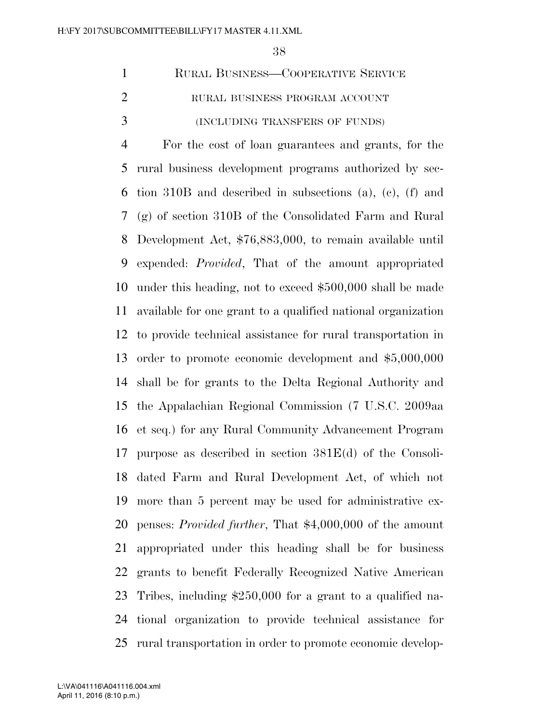|                             | RURAL BUSINESS-COOPERATIVE SERVICE |
|-----------------------------|------------------------------------|
| $\mathcal{D}_{\mathcal{L}}$ | RURAL BUSINESS PROGRAM ACCOUNT     |
| 3                           | (INCLUDING TRANSFERS OF FUNDS)     |

 For the cost of loan guarantees and grants, for the rural business development programs authorized by sec- tion 310B and described in subsections (a), (c), (f) and (g) of section 310B of the Consolidated Farm and Rural Development Act, \$76,883,000, to remain available until expended: *Provided*, That of the amount appropriated under this heading, not to exceed \$500,000 shall be made available for one grant to a qualified national organization to provide technical assistance for rural transportation in order to promote economic development and \$5,000,000 shall be for grants to the Delta Regional Authority and the Appalachian Regional Commission (7 U.S.C. 2009aa et seq.) for any Rural Community Advancement Program purpose as described in section 381E(d) of the Consoli- dated Farm and Rural Development Act, of which not more than 5 percent may be used for administrative ex- penses: *Provided further*, That \$4,000,000 of the amount appropriated under this heading shall be for business grants to benefit Federally Recognized Native American Tribes, including \$250,000 for a grant to a qualified na- tional organization to provide technical assistance for rural transportation in order to promote economic develop-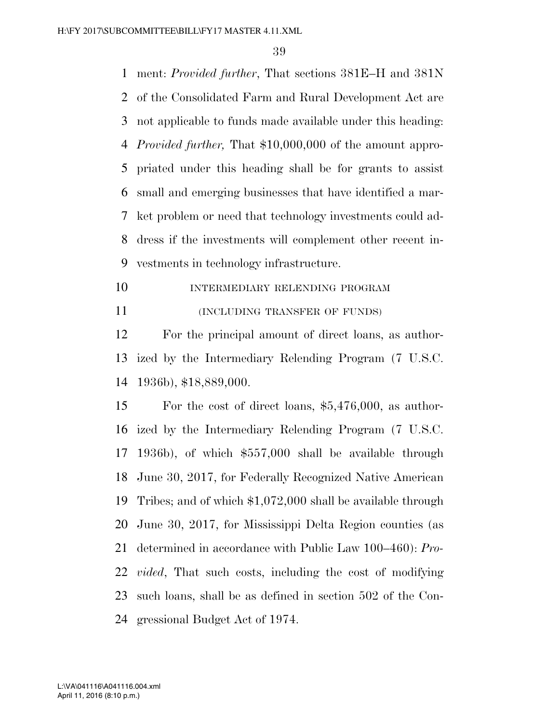ment: *Provided further*, That sections 381E–H and 381N of the Consolidated Farm and Rural Development Act are not applicable to funds made available under this heading: *Provided further,* That \$10,000,000 of the amount appro- priated under this heading shall be for grants to assist small and emerging businesses that have identified a mar- ket problem or need that technology investments could ad- dress if the investments will complement other recent in-vestments in technology infrastructure.

10 INTERMEDIARY RELENDING PROGRAM

11 (INCLUDING TRANSFER OF FUNDS)

 For the principal amount of direct loans, as author- ized by the Intermediary Relending Program (7 U.S.C. 1936b), \$18,889,000.

 For the cost of direct loans, \$5,476,000, as author- ized by the Intermediary Relending Program (7 U.S.C. 1936b), of which \$557,000 shall be available through June 30, 2017, for Federally Recognized Native American Tribes; and of which \$1,072,000 shall be available through June 30, 2017, for Mississippi Delta Region counties (as determined in accordance with Public Law 100–460): *Pro- vided*, That such costs, including the cost of modifying such loans, shall be as defined in section 502 of the Con-gressional Budget Act of 1974.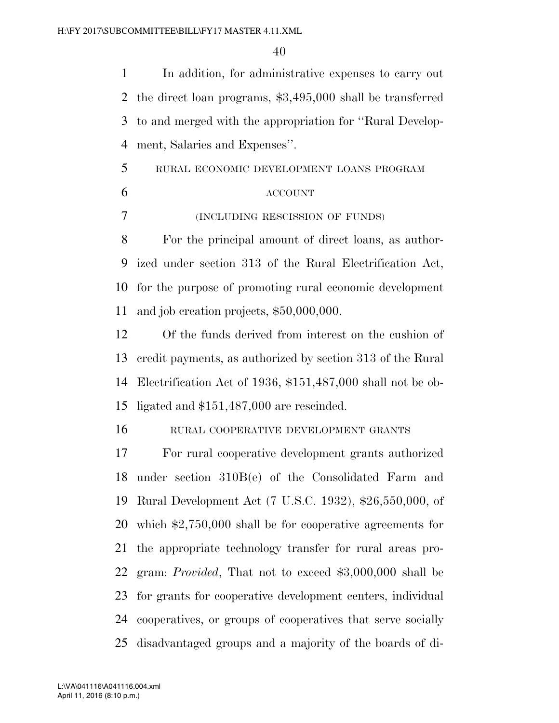In addition, for administrative expenses to carry out the direct loan programs, \$3,495,000 shall be transferred to and merged with the appropriation for ''Rural Develop-ment, Salaries and Expenses''.

- RURAL ECONOMIC DEVELOPMENT LOANS PROGRAM
- ACCOUNT
- (INCLUDING RESCISSION OF FUNDS)

 For the principal amount of direct loans, as author- ized under section 313 of the Rural Electrification Act, for the purpose of promoting rural economic development and job creation projects, \$50,000,000.

 Of the funds derived from interest on the cushion of credit payments, as authorized by section 313 of the Rural Electrification Act of 1936, \$151,487,000 shall not be ob-ligated and \$151,487,000 are rescinded.

RURAL COOPERATIVE DEVELOPMENT GRANTS

 For rural cooperative development grants authorized under section 310B(e) of the Consolidated Farm and Rural Development Act (7 U.S.C. 1932), \$26,550,000, of which \$2,750,000 shall be for cooperative agreements for the appropriate technology transfer for rural areas pro- gram: *Provided*, That not to exceed \$3,000,000 shall be for grants for cooperative development centers, individual cooperatives, or groups of cooperatives that serve socially disadvantaged groups and a majority of the boards of di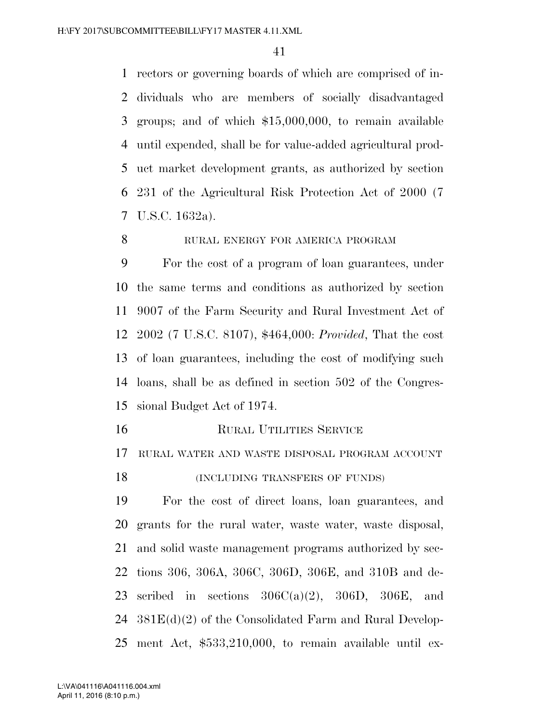rectors or governing boards of which are comprised of in- dividuals who are members of socially disadvantaged groups; and of which \$15,000,000, to remain available until expended, shall be for value-added agricultural prod- uct market development grants, as authorized by section 231 of the Agricultural Risk Protection Act of 2000 (7 U.S.C. 1632a).

#### RURAL ENERGY FOR AMERICA PROGRAM

 For the cost of a program of loan guarantees, under the same terms and conditions as authorized by section 9007 of the Farm Security and Rural Investment Act of 2002 (7 U.S.C. 8107), \$464,000: *Provided*, That the cost of loan guarantees, including the cost of modifying such loans, shall be as defined in section 502 of the Congres-sional Budget Act of 1974.

16 RURAL UTILITIES SERVICE

RURAL WATER AND WASTE DISPOSAL PROGRAM ACCOUNT

18 (INCLUDING TRANSFERS OF FUNDS)

 For the cost of direct loans, loan guarantees, and grants for the rural water, waste water, waste disposal, and solid waste management programs authorized by sec- tions 306, 306A, 306C, 306D, 306E, and 310B and de-23 scribed in sections  $306C(a)(2)$ ,  $306D$ ,  $306E$ , and 381E(d)(2) of the Consolidated Farm and Rural Develop-ment Act, \$533,210,000, to remain available until ex-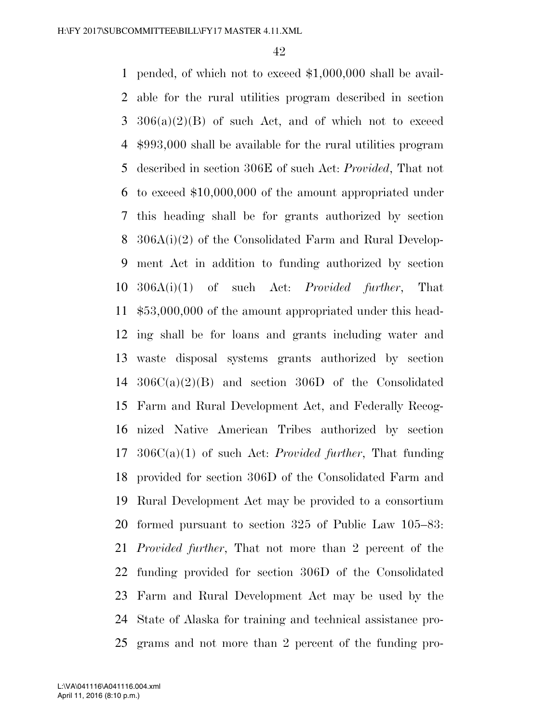pended, of which not to exceed \$1,000,000 shall be avail- able for the rural utilities program described in section  $3 \cdot 306(a)(2)(B)$  of such Act, and of which not to exceed \$993,000 shall be available for the rural utilities program described in section 306E of such Act: *Provided*, That not to exceed \$10,000,000 of the amount appropriated under this heading shall be for grants authorized by section 306A(i)(2) of the Consolidated Farm and Rural Develop- ment Act in addition to funding authorized by section 306A(i)(1) of such Act: *Provided further*, That \$53,000,000 of the amount appropriated under this head- ing shall be for loans and grants including water and waste disposal systems grants authorized by section 306C(a)(2)(B) and section 306D of the Consolidated Farm and Rural Development Act, and Federally Recog- nized Native American Tribes authorized by section 306C(a)(1) of such Act: *Provided further*, That funding provided for section 306D of the Consolidated Farm and Rural Development Act may be provided to a consortium formed pursuant to section 325 of Public Law 105–83: *Provided further*, That not more than 2 percent of the funding provided for section 306D of the Consolidated Farm and Rural Development Act may be used by the State of Alaska for training and technical assistance pro-grams and not more than 2 percent of the funding pro-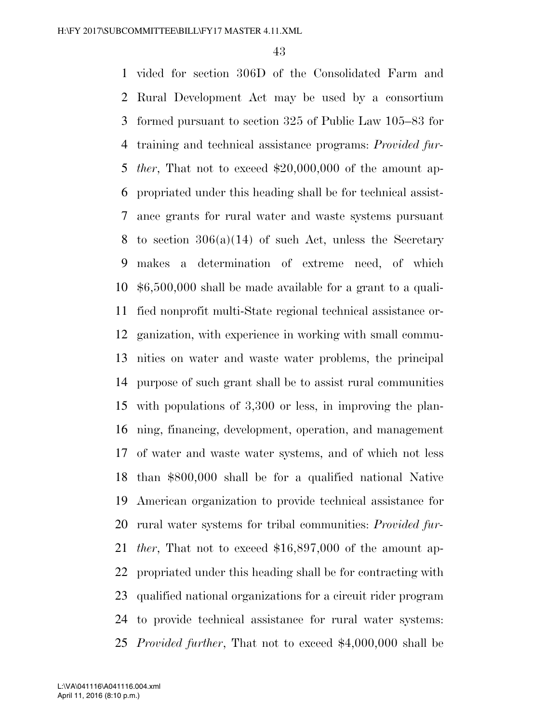vided for section 306D of the Consolidated Farm and Rural Development Act may be used by a consortium formed pursuant to section 325 of Public Law 105–83 for training and technical assistance programs: *Provided fur- ther*, That not to exceed \$20,000,000 of the amount ap- propriated under this heading shall be for technical assist- ance grants for rural water and waste systems pursuant 8 to section  $306(a)(14)$  of such Act, unless the Secretary makes a determination of extreme need, of which \$6,500,000 shall be made available for a grant to a quali- fied nonprofit multi-State regional technical assistance or- ganization, with experience in working with small commu- nities on water and waste water problems, the principal purpose of such grant shall be to assist rural communities with populations of 3,300 or less, in improving the plan- ning, financing, development, operation, and management of water and waste water systems, and of which not less than \$800,000 shall be for a qualified national Native American organization to provide technical assistance for rural water systems for tribal communities: *Provided fur- ther*, That not to exceed \$16,897,000 of the amount ap- propriated under this heading shall be for contracting with qualified national organizations for a circuit rider program to provide technical assistance for rural water systems: *Provided further*, That not to exceed \$4,000,000 shall be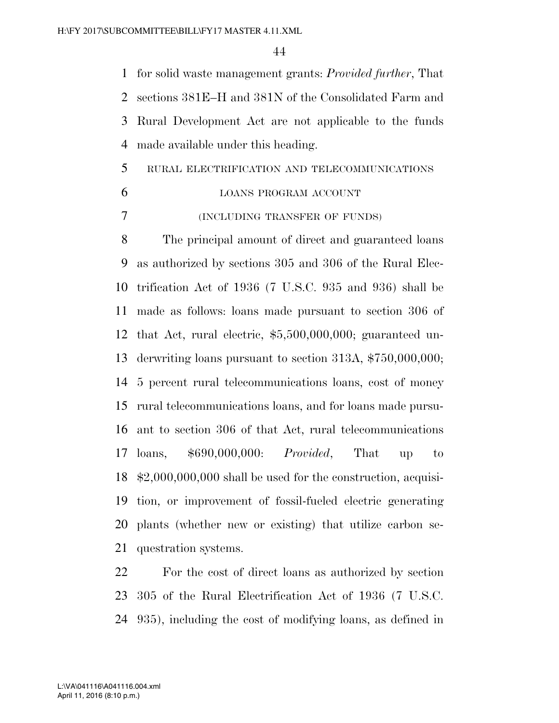for solid waste management grants: *Provided further*, That sections 381E–H and 381N of the Consolidated Farm and Rural Development Act are not applicable to the funds made available under this heading.

#### RURAL ELECTRIFICATION AND TELECOMMUNICATIONS

- LOANS PROGRAM ACCOUNT
- (INCLUDING TRANSFER OF FUNDS)

 The principal amount of direct and guaranteed loans as authorized by sections 305 and 306 of the Rural Elec- trification Act of 1936 (7 U.S.C. 935 and 936) shall be made as follows: loans made pursuant to section 306 of that Act, rural electric, \$5,500,000,000; guaranteed un- derwriting loans pursuant to section 313A, \$750,000,000; 5 percent rural telecommunications loans, cost of money rural telecommunications loans, and for loans made pursu- ant to section 306 of that Act, rural telecommunications loans, \$690,000,000: *Provided*, That up to \$2,000,000,000 shall be used for the construction, acquisi- tion, or improvement of fossil-fueled electric generating plants (whether new or existing) that utilize carbon se-questration systems.

 For the cost of direct loans as authorized by section 305 of the Rural Electrification Act of 1936 (7 U.S.C. 935), including the cost of modifying loans, as defined in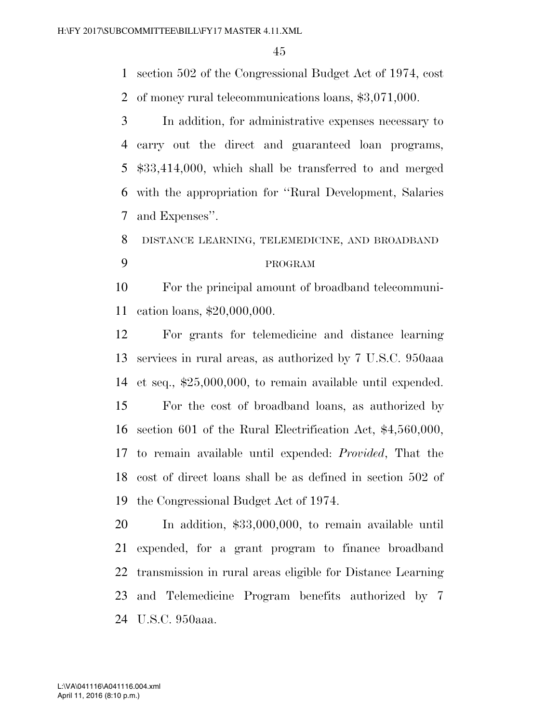section 502 of the Congressional Budget Act of 1974, cost

of money rural telecommunications loans, \$3,071,000.

 In addition, for administrative expenses necessary to carry out the direct and guaranteed loan programs, \$33,414,000, which shall be transferred to and merged with the appropriation for ''Rural Development, Salaries and Expenses''.

# DISTANCE LEARNING, TELEMEDICINE, AND BROADBAND PROGRAM

 For the principal amount of broadband telecommuni-cation loans, \$20,000,000.

 For grants for telemedicine and distance learning services in rural areas, as authorized by 7 U.S.C. 950aaa et seq., \$25,000,000, to remain available until expended. For the cost of broadband loans, as authorized by section 601 of the Rural Electrification Act, \$4,560,000, to remain available until expended: *Provided*, That the cost of direct loans shall be as defined in section 502 of the Congressional Budget Act of 1974.

 In addition, \$33,000,000, to remain available until expended, for a grant program to finance broadband transmission in rural areas eligible for Distance Learning and Telemedicine Program benefits authorized by 7 U.S.C. 950aaa.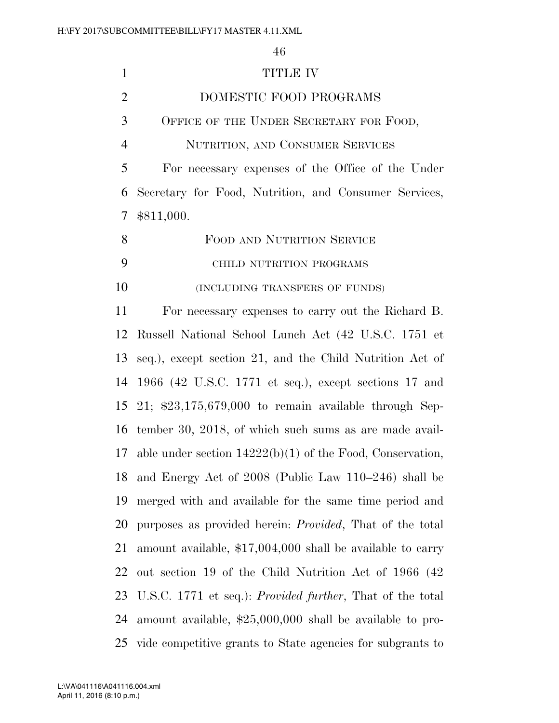TITLE IV DOMESTIC FOOD PROGRAMS OFFICE OF THE UNDER SECRETARY FOR FOOD, NUTRITION, AND CONSUMER SERVICES For necessary expenses of the Office of the Under Secretary for Food, Nutrition, and Consumer Services, \$811,000. 8 FOOD AND NUTRITION SERVICE CHILD NUTRITION PROGRAMS **(INCLUDING TRANSFERS OF FUNDS)**  For necessary expenses to carry out the Richard B. Russell National School Lunch Act (42 U.S.C. 1751 et seq.), except section 21, and the Child Nutrition Act of 1966 (42 U.S.C. 1771 et seq.), except sections 17 and 21; \$23,175,679,000 to remain available through Sep- tember 30, 2018, of which such sums as are made avail- able under section 14222(b)(1) of the Food, Conservation, and Energy Act of 2008 (Public Law 110–246) shall be merged with and available for the same time period and purposes as provided herein: *Provided*, That of the total amount available, \$17,004,000 shall be available to carry out section 19 of the Child Nutrition Act of 1966 (42

 U.S.C. 1771 et seq.): *Provided further*, That of the total amount available, \$25,000,000 shall be available to pro-vide competitive grants to State agencies for subgrants to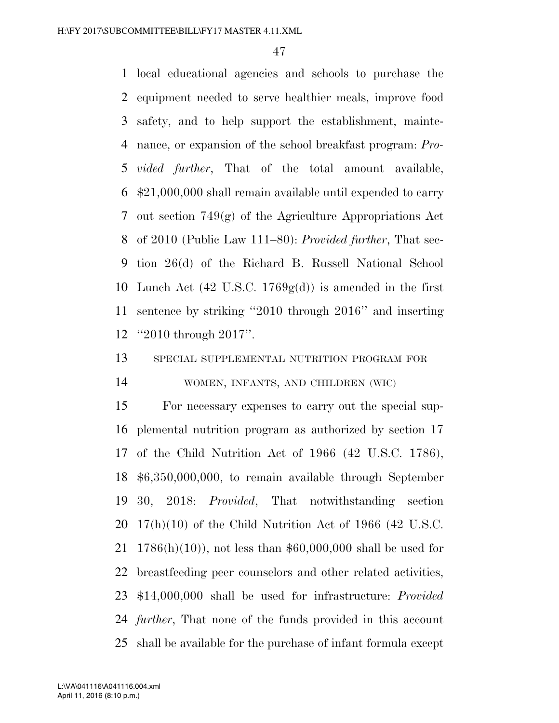local educational agencies and schools to purchase the equipment needed to serve healthier meals, improve food safety, and to help support the establishment, mainte- nance, or expansion of the school breakfast program: *Pro- vided further*, That of the total amount available, \$21,000,000 shall remain available until expended to carry out section 749(g) of the Agriculture Appropriations Act of 2010 (Public Law 111–80): *Provided further*, That sec- tion 26(d) of the Richard B. Russell National School 10 Lunch Act  $(42 \text{ U.S.C. } 1769g(d))$  is amended in the first sentence by striking ''2010 through 2016'' and inserting ''2010 through 2017''.

SPECIAL SUPPLEMENTAL NUTRITION PROGRAM FOR

#### WOMEN, INFANTS, AND CHILDREN (WIC)

 For necessary expenses to carry out the special sup- plemental nutrition program as authorized by section 17 of the Child Nutrition Act of 1966 (42 U.S.C. 1786), \$6,350,000,000, to remain available through September 30, 2018: *Provided*, That notwithstanding section 17(h)(10) of the Child Nutrition Act of 1966 (42 U.S.C. 1786(h)(10)), not less than \$60,000,000 shall be used for breastfeeding peer counselors and other related activities, \$14,000,000 shall be used for infrastructure: *Provided further*, That none of the funds provided in this account shall be available for the purchase of infant formula except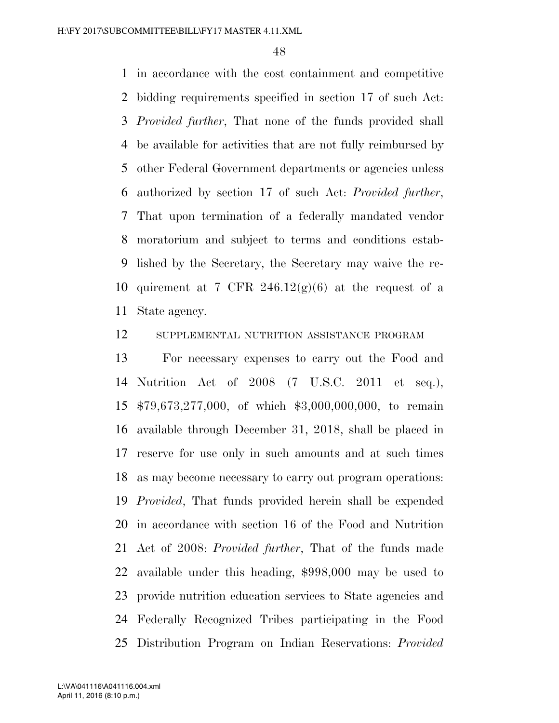in accordance with the cost containment and competitive bidding requirements specified in section 17 of such Act: *Provided further*, That none of the funds provided shall be available for activities that are not fully reimbursed by other Federal Government departments or agencies unless authorized by section 17 of such Act: *Provided further*, That upon termination of a federally mandated vendor moratorium and subject to terms and conditions estab- lished by the Secretary, the Secretary may waive the re-10 quirement at 7 CFR  $246.12(g)(6)$  at the request of a State agency.

SUPPLEMENTAL NUTRITION ASSISTANCE PROGRAM

 For necessary expenses to carry out the Food and Nutrition Act of 2008 (7 U.S.C. 2011 et seq.), \$79,673,277,000, of which \$3,000,000,000, to remain available through December 31, 2018, shall be placed in reserve for use only in such amounts and at such times as may become necessary to carry out program operations: *Provided*, That funds provided herein shall be expended in accordance with section 16 of the Food and Nutrition Act of 2008: *Provided further*, That of the funds made available under this heading, \$998,000 may be used to provide nutrition education services to State agencies and Federally Recognized Tribes participating in the Food Distribution Program on Indian Reservations: *Provided*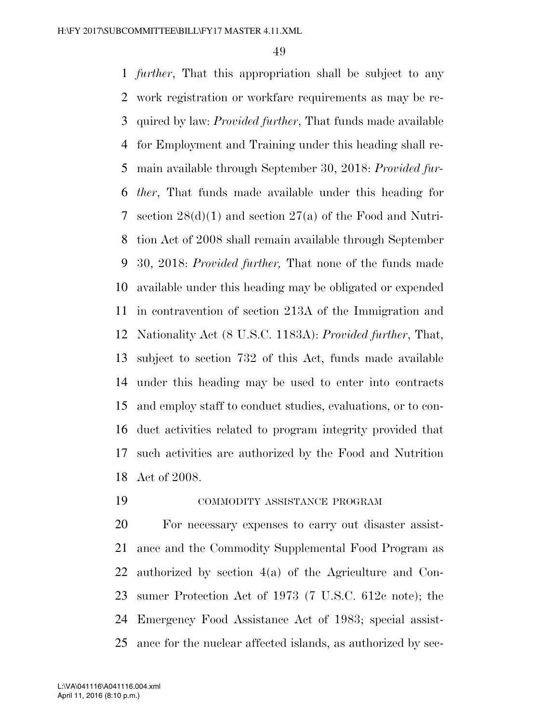*further*, That this appropriation shall be subject to any work registration or workfare requirements as may be re- quired by law: *Provided further*, That funds made available for Employment and Training under this heading shall re- main available through September 30, 2018: *Provided fur- ther*, That funds made available under this heading for section 28(d)(1) and section 27(a) of the Food and Nutri- tion Act of 2008 shall remain available through September 30, 2018: *Provided further,* That none of the funds made available under this heading may be obligated or expended in contravention of section 213A of the Immigration and Nationality Act (8 U.S.C. 1183A): *Provided further*, That, subject to section 732 of this Act, funds made available under this heading may be used to enter into contracts and employ staff to conduct studies, evaluations, or to con- duct activities related to program integrity provided that such activities are authorized by the Food and Nutrition Act of 2008.

#### COMMODITY ASSISTANCE PROGRAM

 For necessary expenses to carry out disaster assist- ance and the Commodity Supplemental Food Program as authorized by section 4(a) of the Agriculture and Con- sumer Protection Act of 1973 (7 U.S.C. 612c note); the Emergency Food Assistance Act of 1983; special assist-ance for the nuclear affected islands, as authorized by sec-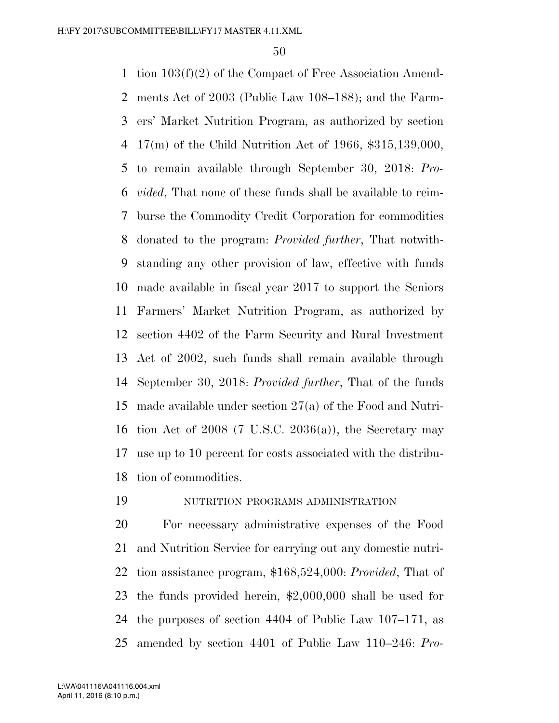tion 103(f)(2) of the Compact of Free Association Amend- ments Act of 2003 (Public Law 108–188); and the Farm- ers' Market Nutrition Program, as authorized by section 17(m) of the Child Nutrition Act of 1966, \$315,139,000, to remain available through September 30, 2018: *Pro- vided*, That none of these funds shall be available to reim- burse the Commodity Credit Corporation for commodities donated to the program: *Provided further*, That notwith- standing any other provision of law, effective with funds made available in fiscal year 2017 to support the Seniors Farmers' Market Nutrition Program, as authorized by section 4402 of the Farm Security and Rural Investment Act of 2002, such funds shall remain available through September 30, 2018: *Provided further*, That of the funds made available under section 27(a) of the Food and Nutri- tion Act of 2008 (7 U.S.C. 2036(a)), the Secretary may use up to 10 percent for costs associated with the distribu-tion of commodities.

#### NUTRITION PROGRAMS ADMINISTRATION

 For necessary administrative expenses of the Food and Nutrition Service for carrying out any domestic nutri- tion assistance program, \$168,524,000: *Provided*, That of the funds provided herein, \$2,000,000 shall be used for the purposes of section 4404 of Public Law 107–171, as amended by section 4401 of Public Law 110–246: *Pro-*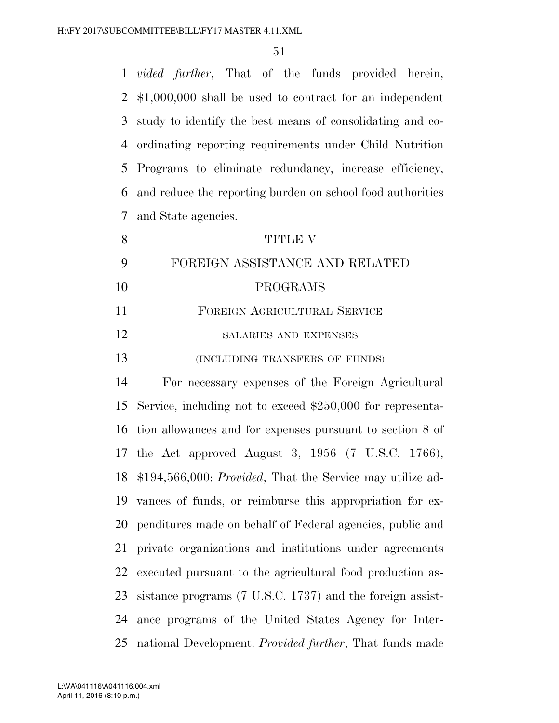|                | 1 vided further, That of the funds provided herein,             |
|----------------|-----------------------------------------------------------------|
| $\overline{2}$ | $$1,000,000$ shall be used to contract for an independent       |
| 3              | study to identify the best means of consolidating and co-       |
| 4              | ordinating reporting requirements under Child Nutrition         |
| 5              | Programs to eliminate redundancy, increase efficiency,          |
| 6              | and reduce the reporting burden on school food authorities      |
| 7              | and State agencies.                                             |
| 8              | <b>TITLE V</b>                                                  |
| 9              | FOREIGN ASSISTANCE AND RELATED                                  |
| 10             | PROGRAMS                                                        |
| 11             | FOREIGN AGRICULTURAL SERVICE                                    |
| 12             | SALARIES AND EXPENSES                                           |
| 13             | (INCLUDING TRANSFERS OF FUNDS)                                  |
| 14             | For necessary expenses of the Foreign Agricultural              |
| 15             | Service, including not to exceed $$250,000$ for representa-     |
| 16             | tion allowances and for expenses pursuant to section 8 of       |
|                | 17 the Act approved August 3, 1956 (7 U.S.C. 1766),             |
| 18             | \$194,566,000: Provided, That the Service may utilize ad-       |
| 19             | vances of funds, or reimburse this appropriation for ex-        |
| 20             | penditures made on behalf of Federal agencies, public and       |
| 21             | private organizations and institutions under agreements         |
| 22             | executed pursuant to the agricultural food production as-       |
| 23             | sistance programs (7 U.S.C. 1737) and the foreign assist-       |
| 24             | ance programs of the United States Agency for Inter-            |
| 25             | national Development: <i>Provided further</i> , That funds made |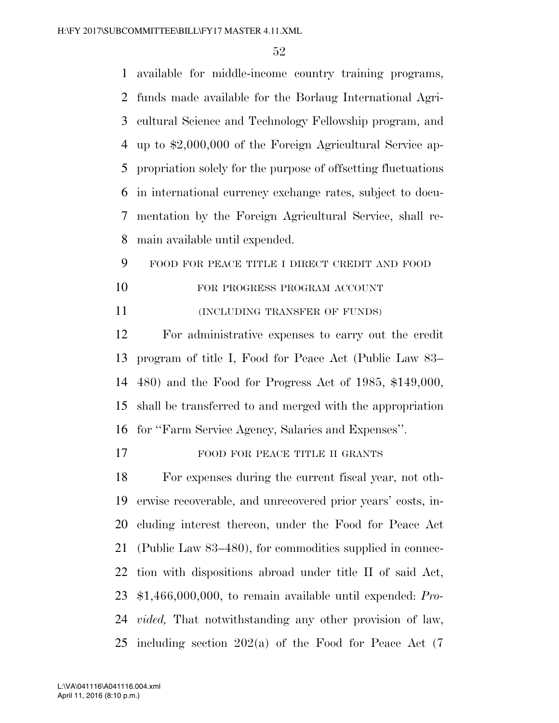available for middle-income country training programs, funds made available for the Borlaug International Agri- cultural Science and Technology Fellowship program, and up to \$2,000,000 of the Foreign Agricultural Service ap- propriation solely for the purpose of offsetting fluctuations in international currency exchange rates, subject to docu- mentation by the Foreign Agricultural Service, shall re-main available until expended.

FOOD FOR PEACE TITLE I DIRECT CREDIT AND FOOD

10 FOR PROGRESS PROGRAM ACCOUNT

11 (INCLUDING TRANSFER OF FUNDS)

 For administrative expenses to carry out the credit program of title I, Food for Peace Act (Public Law 83– 480) and the Food for Progress Act of 1985, \$149,000, shall be transferred to and merged with the appropriation for ''Farm Service Agency, Salaries and Expenses''.

17 FOOD FOR PEACE TITLE II GRANTS

 For expenses during the current fiscal year, not oth- erwise recoverable, and unrecovered prior years' costs, in- cluding interest thereon, under the Food for Peace Act (Public Law 83–480), for commodities supplied in connec- tion with dispositions abroad under title II of said Act, \$1,466,000,000, to remain available until expended: *Pro- vided,* That notwithstanding any other provision of law, including section 202(a) of the Food for Peace Act (7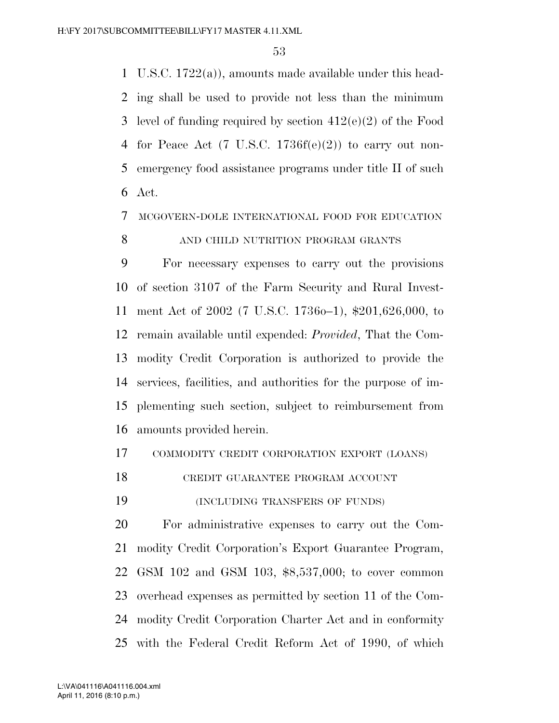U.S.C. 1722(a)), amounts made available under this head- ing shall be used to provide not less than the minimum 3 level of funding required by section  $412(e)(2)$  of the Food for Peace Act (7 U.S.C. 1736f(e)(2)) to carry out non- emergency food assistance programs under title II of such Act.

#### MCGOVERN-DOLE INTERNATIONAL FOOD FOR EDUCATION

#### 8 AND CHILD NUTRITION PROGRAM GRANTS

 For necessary expenses to carry out the provisions of section 3107 of the Farm Security and Rural Invest- ment Act of 2002 (7 U.S.C. 1736o–1), \$201,626,000, to remain available until expended: *Provided*, That the Com- modity Credit Corporation is authorized to provide the services, facilities, and authorities for the purpose of im- plementing such section, subject to reimbursement from amounts provided herein.

#### COMMODITY CREDIT CORPORATION EXPORT (LOANS)

#### CREDIT GUARANTEE PROGRAM ACCOUNT

(INCLUDING TRANSFERS OF FUNDS)

 For administrative expenses to carry out the Com- modity Credit Corporation's Export Guarantee Program, GSM 102 and GSM 103, \$8,537,000; to cover common overhead expenses as permitted by section 11 of the Com- modity Credit Corporation Charter Act and in conformity with the Federal Credit Reform Act of 1990, of which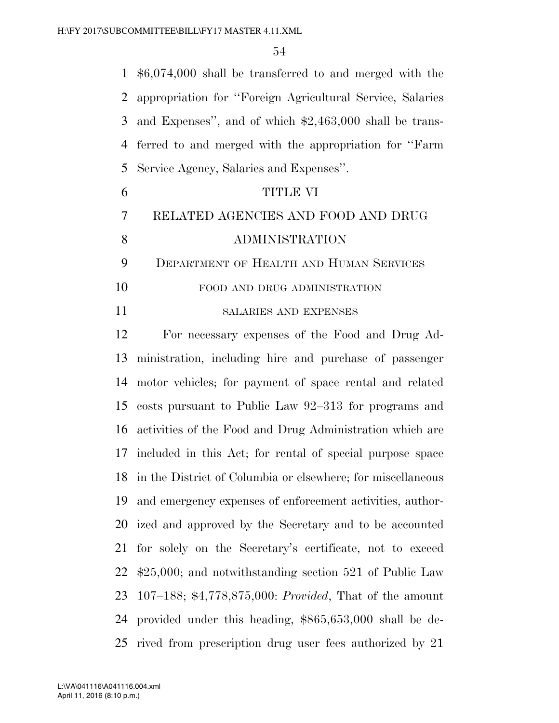\$6,074,000 shall be transferred to and merged with the appropriation for ''Foreign Agricultural Service, Salaries and Expenses'', and of which \$2,463,000 shall be trans- ferred to and merged with the appropriation for ''Farm Service Agency, Salaries and Expenses''.

| 6 | TITLE VI                                |
|---|-----------------------------------------|
| 7 | RELATED AGENCIES AND FOOD AND DRUG      |
| 8 | ADMINISTRATION                          |
| 9 | DEPARTMENT OF HEALTH AND HUMAN SERVICES |

- 10 FOOD AND DRUG ADMINISTRATION
- SALARIES AND EXPENSES

 For necessary expenses of the Food and Drug Ad- ministration, including hire and purchase of passenger motor vehicles; for payment of space rental and related costs pursuant to Public Law 92–313 for programs and activities of the Food and Drug Administration which are included in this Act; for rental of special purpose space in the District of Columbia or elsewhere; for miscellaneous and emergency expenses of enforcement activities, author- ized and approved by the Secretary and to be accounted for solely on the Secretary's certificate, not to exceed \$25,000; and notwithstanding section 521 of Public Law 107–188; \$4,778,875,000: *Provided*, That of the amount provided under this heading, \$865,653,000 shall be de-rived from prescription drug user fees authorized by 21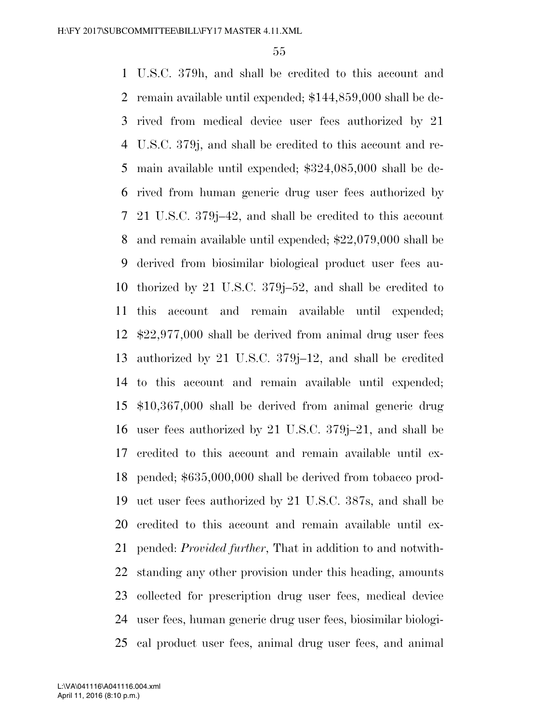U.S.C. 379h, and shall be credited to this account and remain available until expended; \$144,859,000 shall be de- rived from medical device user fees authorized by 21 U.S.C. 379j, and shall be credited to this account and re- main available until expended; \$324,085,000 shall be de- rived from human generic drug user fees authorized by 21 U.S.C. 379j–42, and shall be credited to this account and remain available until expended; \$22,079,000 shall be derived from biosimilar biological product user fees au- thorized by 21 U.S.C. 379j–52, and shall be credited to this account and remain available until expended; \$22,977,000 shall be derived from animal drug user fees authorized by 21 U.S.C. 379j–12, and shall be credited to this account and remain available until expended; \$10,367,000 shall be derived from animal generic drug user fees authorized by 21 U.S.C. 379j–21, and shall be credited to this account and remain available until ex- pended; \$635,000,000 shall be derived from tobacco prod- uct user fees authorized by 21 U.S.C. 387s, and shall be credited to this account and remain available until ex- pended: *Provided further*, That in addition to and notwith- standing any other provision under this heading, amounts collected for prescription drug user fees, medical device user fees, human generic drug user fees, biosimilar biologi-cal product user fees, animal drug user fees, and animal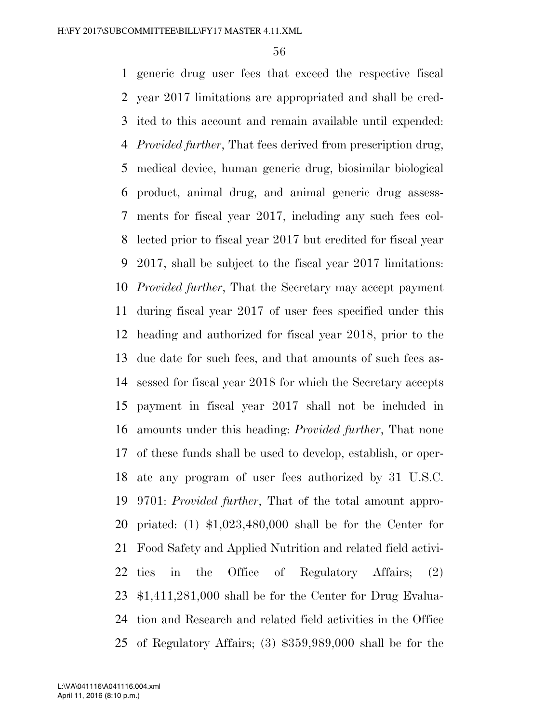generic drug user fees that exceed the respective fiscal year 2017 limitations are appropriated and shall be cred- ited to this account and remain available until expended: *Provided further*, That fees derived from prescription drug, medical device, human generic drug, biosimilar biological product, animal drug, and animal generic drug assess- ments for fiscal year 2017, including any such fees col- lected prior to fiscal year 2017 but credited for fiscal year 2017, shall be subject to the fiscal year 2017 limitations: *Provided further*, That the Secretary may accept payment during fiscal year 2017 of user fees specified under this heading and authorized for fiscal year 2018, prior to the due date for such fees, and that amounts of such fees as- sessed for fiscal year 2018 for which the Secretary accepts payment in fiscal year 2017 shall not be included in amounts under this heading: *Provided further*, That none of these funds shall be used to develop, establish, or oper- ate any program of user fees authorized by 31 U.S.C. 9701: *Provided further*, That of the total amount appro- priated: (1) \$1,023,480,000 shall be for the Center for Food Safety and Applied Nutrition and related field activi- ties in the Office of Regulatory Affairs; (2) \$1,411,281,000 shall be for the Center for Drug Evalua- tion and Research and related field activities in the Office of Regulatory Affairs; (3) \$359,989,000 shall be for the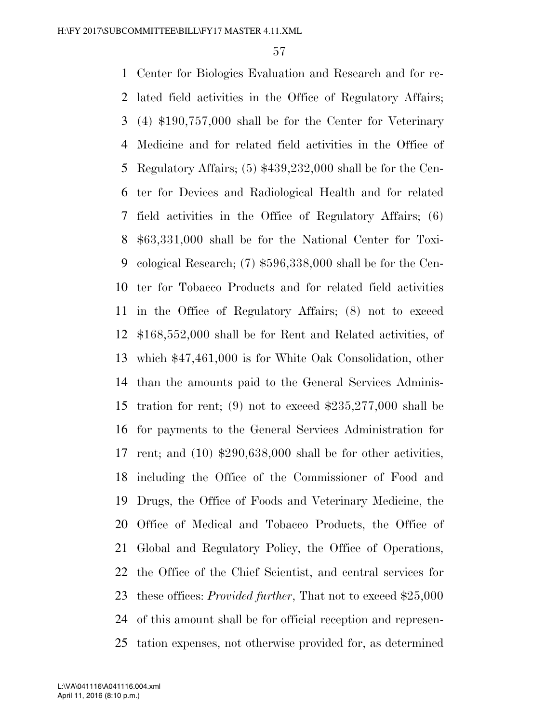Center for Biologics Evaluation and Research and for re- lated field activities in the Office of Regulatory Affairs; (4) \$190,757,000 shall be for the Center for Veterinary Medicine and for related field activities in the Office of Regulatory Affairs; (5) \$439,232,000 shall be for the Cen- ter for Devices and Radiological Health and for related field activities in the Office of Regulatory Affairs; (6) \$63,331,000 shall be for the National Center for Toxi- cological Research; (7) \$596,338,000 shall be for the Cen- ter for Tobacco Products and for related field activities in the Office of Regulatory Affairs; (8) not to exceed \$168,552,000 shall be for Rent and Related activities, of which \$47,461,000 is for White Oak Consolidation, other than the amounts paid to the General Services Adminis- tration for rent; (9) not to exceed \$235,277,000 shall be for payments to the General Services Administration for rent; and (10) \$290,638,000 shall be for other activities, including the Office of the Commissioner of Food and Drugs, the Office of Foods and Veterinary Medicine, the Office of Medical and Tobacco Products, the Office of Global and Regulatory Policy, the Office of Operations, the Office of the Chief Scientist, and central services for these offices: *Provided further*, That not to exceed \$25,000 of this amount shall be for official reception and represen-tation expenses, not otherwise provided for, as determined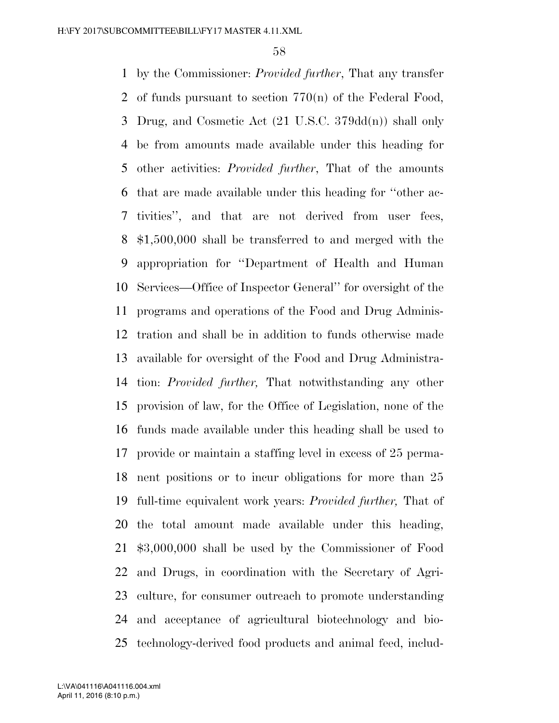by the Commissioner: *Provided further*, That any transfer of funds pursuant to section 770(n) of the Federal Food, Drug, and Cosmetic Act (21 U.S.C. 379dd(n)) shall only be from amounts made available under this heading for other activities: *Provided further*, That of the amounts that are made available under this heading for ''other ac- tivities'', and that are not derived from user fees, \$1,500,000 shall be transferred to and merged with the appropriation for ''Department of Health and Human Services—Office of Inspector General'' for oversight of the programs and operations of the Food and Drug Adminis- tration and shall be in addition to funds otherwise made available for oversight of the Food and Drug Administra- tion: *Provided further,* That notwithstanding any other provision of law, for the Office of Legislation, none of the funds made available under this heading shall be used to provide or maintain a staffing level in excess of 25 perma- nent positions or to incur obligations for more than 25 full-time equivalent work years: *Provided further,* That of the total amount made available under this heading, \$3,000,000 shall be used by the Commissioner of Food and Drugs, in coordination with the Secretary of Agri- culture, for consumer outreach to promote understanding and acceptance of agricultural biotechnology and bio-technology-derived food products and animal feed, includ-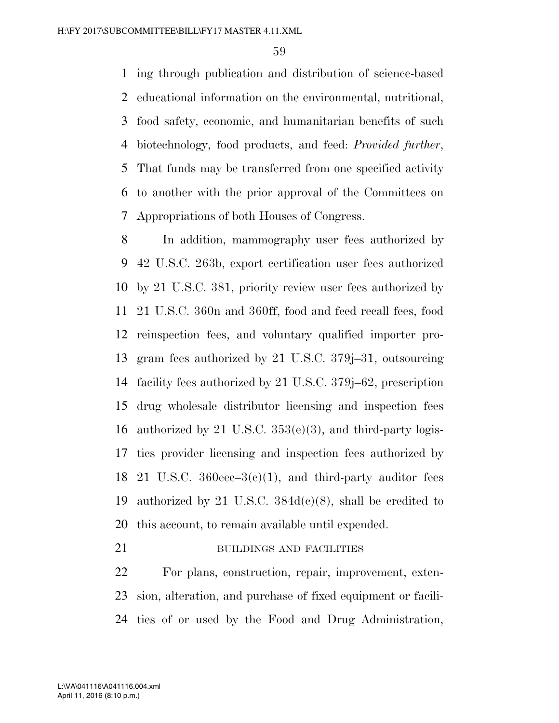ing through publication and distribution of science-based educational information on the environmental, nutritional, food safety, economic, and humanitarian benefits of such biotechnology, food products, and feed: *Provided further*, That funds may be transferred from one specified activity to another with the prior approval of the Committees on Appropriations of both Houses of Congress.

 In addition, mammography user fees authorized by 42 U.S.C. 263b, export certification user fees authorized by 21 U.S.C. 381, priority review user fees authorized by 21 U.S.C. 360n and 360ff, food and feed recall fees, food reinspection fees, and voluntary qualified importer pro- gram fees authorized by 21 U.S.C. 379j–31, outsourcing facility fees authorized by 21 U.S.C. 379j–62, prescription drug wholesale distributor licensing and inspection fees authorized by 21 U.S.C. 353(e)(3), and third-party logis- tics provider licensing and inspection fees authorized by 18 21 U.S.C. eee $-3(c)(1)$ , and third-party auditor fees 19 authorized by 21 U.S.C.  $384d(e)(8)$ , shall be credited to this account, to remain available until expended.

21 BUILDINGS AND FACILITIES

 For plans, construction, repair, improvement, exten- sion, alteration, and purchase of fixed equipment or facili-ties of or used by the Food and Drug Administration,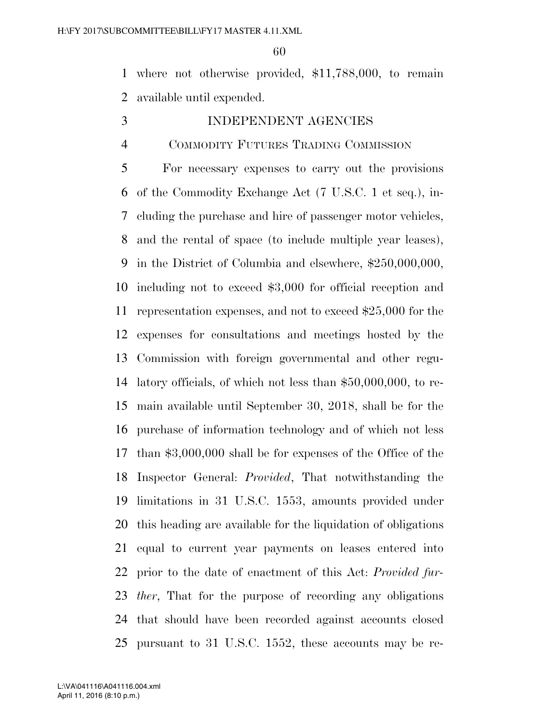where not otherwise provided, \$11,788,000, to remain available until expended.

# INDEPENDENT AGENCIES

COMMODITY FUTURES TRADING COMMISSION

 For necessary expenses to carry out the provisions of the Commodity Exchange Act (7 U.S.C. 1 et seq.), in- cluding the purchase and hire of passenger motor vehicles, and the rental of space (to include multiple year leases), in the District of Columbia and elsewhere, \$250,000,000, including not to exceed \$3,000 for official reception and representation expenses, and not to exceed \$25,000 for the expenses for consultations and meetings hosted by the Commission with foreign governmental and other regu- latory officials, of which not less than \$50,000,000, to re- main available until September 30, 2018, shall be for the purchase of information technology and of which not less than \$3,000,000 shall be for expenses of the Office of the Inspector General: *Provided*, That notwithstanding the limitations in 31 U.S.C. 1553, amounts provided under this heading are available for the liquidation of obligations equal to current year payments on leases entered into prior to the date of enactment of this Act: *Provided fur- ther*, That for the purpose of recording any obligations that should have been recorded against accounts closed pursuant to 31 U.S.C. 1552, these accounts may be re-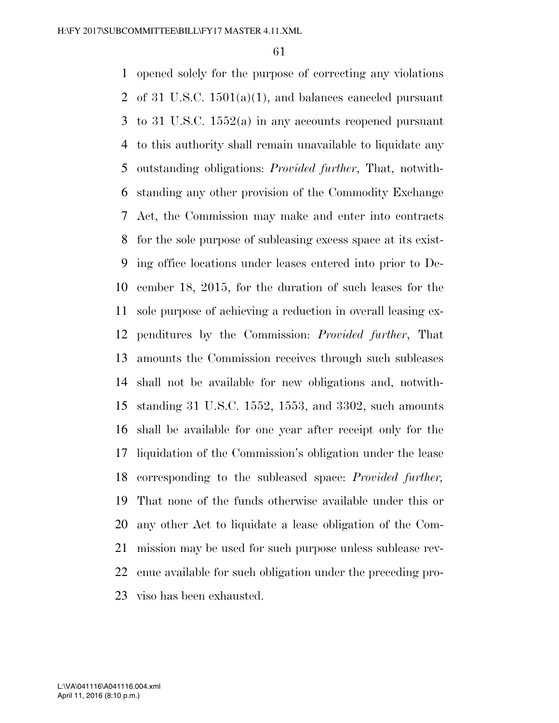opened solely for the purpose of correcting any violations of 31 U.S.C. 1501(a)(1), and balances canceled pursuant to 31 U.S.C. 1552(a) in any accounts reopened pursuant to this authority shall remain unavailable to liquidate any outstanding obligations: *Provided further*, That, notwith- standing any other provision of the Commodity Exchange Act, the Commission may make and enter into contracts for the sole purpose of subleasing excess space at its exist- ing office locations under leases entered into prior to De- cember 18, 2015, for the duration of such leases for the sole purpose of achieving a reduction in overall leasing ex- penditures by the Commission: *Provided further*, That amounts the Commission receives through such subleases shall not be available for new obligations and, notwith- standing 31 U.S.C. 1552, 1553, and 3302, such amounts shall be available for one year after receipt only for the liquidation of the Commission's obligation under the lease corresponding to the subleased space: *Provided further,*  That none of the funds otherwise available under this or any other Act to liquidate a lease obligation of the Com- mission may be used for such purpose unless sublease rev- enue available for such obligation under the preceding pro-viso has been exhausted.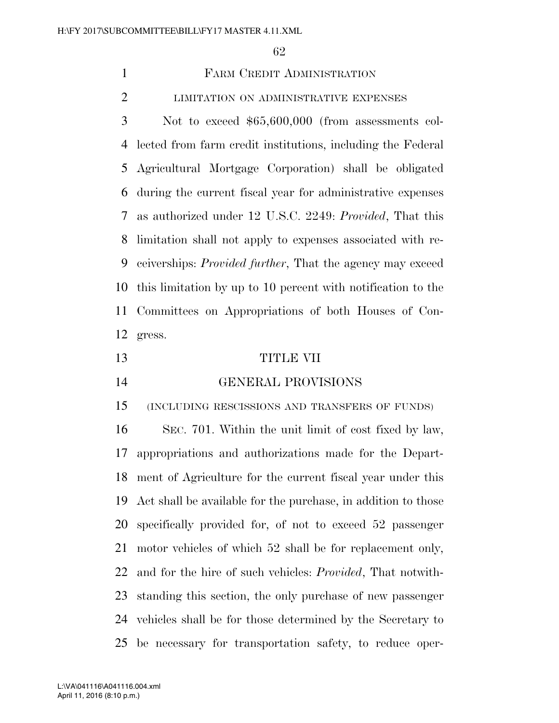## FARM CREDIT ADMINISTRATION

#### LIMITATION ON ADMINISTRATIVE EXPENSES

 Not to exceed \$65,600,000 (from assessments col- lected from farm credit institutions, including the Federal Agricultural Mortgage Corporation) shall be obligated during the current fiscal year for administrative expenses as authorized under 12 U.S.C. 2249: *Provided*, That this limitation shall not apply to expenses associated with re- ceiverships: *Provided further*, That the agency may exceed this limitation by up to 10 percent with notification to the Committees on Appropriations of both Houses of Con-gress.

- TITLE VII
- 

### GENERAL PROVISIONS

(INCLUDING RESCISSIONS AND TRANSFERS OF FUNDS)

 SEC. 701. Within the unit limit of cost fixed by law, appropriations and authorizations made for the Depart- ment of Agriculture for the current fiscal year under this Act shall be available for the purchase, in addition to those specifically provided for, of not to exceed 52 passenger motor vehicles of which 52 shall be for replacement only, and for the hire of such vehicles: *Provided*, That notwith- standing this section, the only purchase of new passenger vehicles shall be for those determined by the Secretary to be necessary for transportation safety, to reduce oper-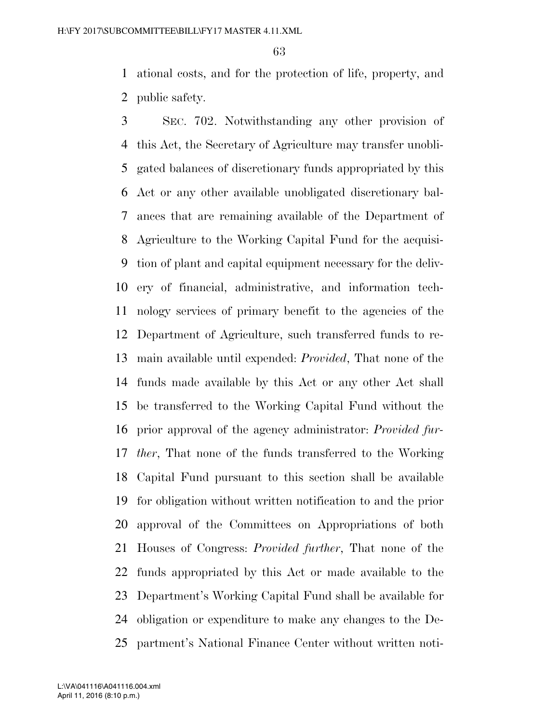ational costs, and for the protection of life, property, and public safety.

 SEC. 702. Notwithstanding any other provision of this Act, the Secretary of Agriculture may transfer unobli- gated balances of discretionary funds appropriated by this Act or any other available unobligated discretionary bal- ances that are remaining available of the Department of Agriculture to the Working Capital Fund for the acquisi- tion of plant and capital equipment necessary for the deliv- ery of financial, administrative, and information tech- nology services of primary benefit to the agencies of the Department of Agriculture, such transferred funds to re- main available until expended: *Provided*, That none of the funds made available by this Act or any other Act shall be transferred to the Working Capital Fund without the prior approval of the agency administrator: *Provided fur- ther*, That none of the funds transferred to the Working Capital Fund pursuant to this section shall be available for obligation without written notification to and the prior approval of the Committees on Appropriations of both Houses of Congress: *Provided further*, That none of the funds appropriated by this Act or made available to the Department's Working Capital Fund shall be available for obligation or expenditure to make any changes to the De-partment's National Finance Center without written noti-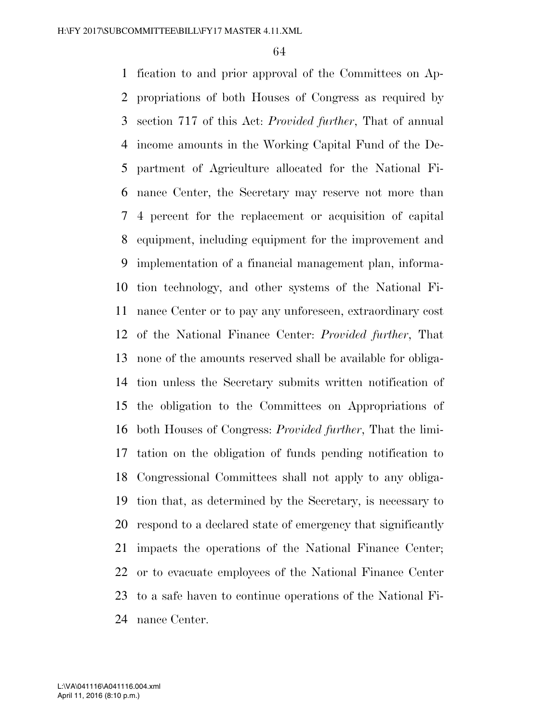fication to and prior approval of the Committees on Ap- propriations of both Houses of Congress as required by section 717 of this Act: *Provided further*, That of annual income amounts in the Working Capital Fund of the De- partment of Agriculture allocated for the National Fi- nance Center, the Secretary may reserve not more than 4 percent for the replacement or acquisition of capital equipment, including equipment for the improvement and implementation of a financial management plan, informa- tion technology, and other systems of the National Fi- nance Center or to pay any unforeseen, extraordinary cost of the National Finance Center: *Provided further*, That none of the amounts reserved shall be available for obliga- tion unless the Secretary submits written notification of the obligation to the Committees on Appropriations of both Houses of Congress: *Provided further*, That the limi- tation on the obligation of funds pending notification to Congressional Committees shall not apply to any obliga- tion that, as determined by the Secretary, is necessary to respond to a declared state of emergency that significantly impacts the operations of the National Finance Center; or to evacuate employees of the National Finance Center to a safe haven to continue operations of the National Fi-nance Center.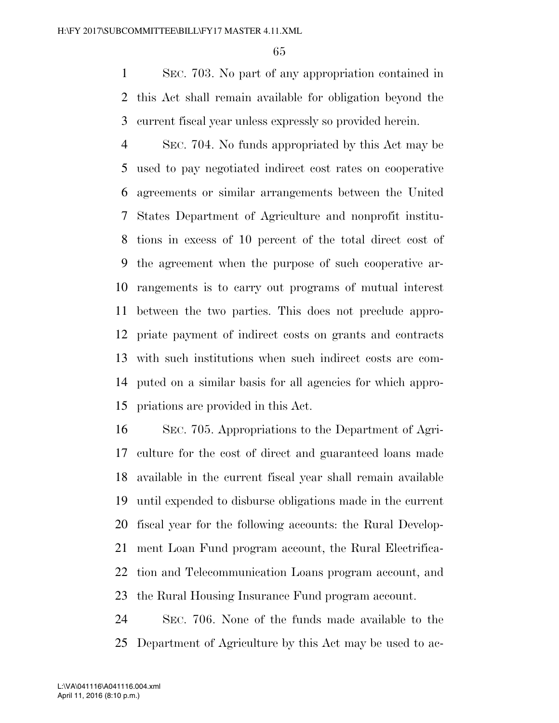SEC. 703. No part of any appropriation contained in this Act shall remain available for obligation beyond the current fiscal year unless expressly so provided herein.

 SEC. 704. No funds appropriated by this Act may be used to pay negotiated indirect cost rates on cooperative agreements or similar arrangements between the United States Department of Agriculture and nonprofit institu- tions in excess of 10 percent of the total direct cost of the agreement when the purpose of such cooperative ar- rangements is to carry out programs of mutual interest between the two parties. This does not preclude appro- priate payment of indirect costs on grants and contracts with such institutions when such indirect costs are com- puted on a similar basis for all agencies for which appro-priations are provided in this Act.

 SEC. 705. Appropriations to the Department of Agri- culture for the cost of direct and guaranteed loans made available in the current fiscal year shall remain available until expended to disburse obligations made in the current fiscal year for the following accounts: the Rural Develop- ment Loan Fund program account, the Rural Electrifica- tion and Telecommunication Loans program account, and the Rural Housing Insurance Fund program account.

 SEC. 706. None of the funds made available to the Department of Agriculture by this Act may be used to ac-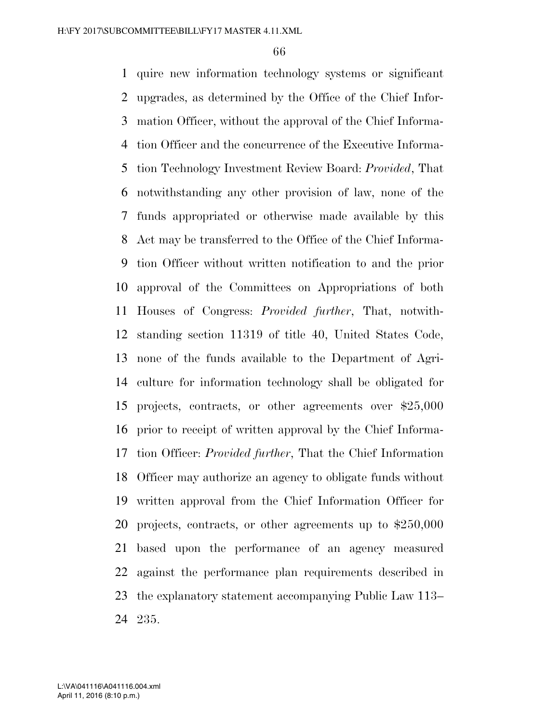quire new information technology systems or significant upgrades, as determined by the Office of the Chief Infor- mation Officer, without the approval of the Chief Informa- tion Officer and the concurrence of the Executive Informa- tion Technology Investment Review Board: *Provided*, That notwithstanding any other provision of law, none of the funds appropriated or otherwise made available by this Act may be transferred to the Office of the Chief Informa- tion Officer without written notification to and the prior approval of the Committees on Appropriations of both Houses of Congress: *Provided further*, That, notwith- standing section 11319 of title 40, United States Code, none of the funds available to the Department of Agri- culture for information technology shall be obligated for projects, contracts, or other agreements over \$25,000 prior to receipt of written approval by the Chief Informa- tion Officer: *Provided further*, That the Chief Information Officer may authorize an agency to obligate funds without written approval from the Chief Information Officer for projects, contracts, or other agreements up to \$250,000 based upon the performance of an agency measured against the performance plan requirements described in the explanatory statement accompanying Public Law 113– 235.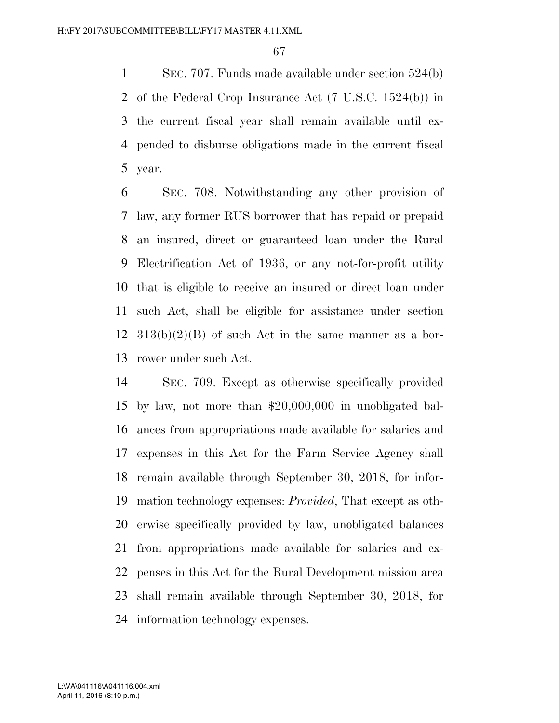SEC. 707. Funds made available under section 524(b) of the Federal Crop Insurance Act (7 U.S.C. 1524(b)) in the current fiscal year shall remain available until ex- pended to disburse obligations made in the current fiscal year.

 SEC. 708. Notwithstanding any other provision of law, any former RUS borrower that has repaid or prepaid an insured, direct or guaranteed loan under the Rural Electrification Act of 1936, or any not-for-profit utility that is eligible to receive an insured or direct loan under such Act, shall be eligible for assistance under section  $12 \quad 313(b)(2)(B)$  of such Act in the same manner as a bor-rower under such Act.

 SEC. 709. Except as otherwise specifically provided by law, not more than \$20,000,000 in unobligated bal- ances from appropriations made available for salaries and expenses in this Act for the Farm Service Agency shall remain available through September 30, 2018, for infor- mation technology expenses: *Provided*, That except as oth- erwise specifically provided by law, unobligated balances from appropriations made available for salaries and ex- penses in this Act for the Rural Development mission area shall remain available through September 30, 2018, for information technology expenses.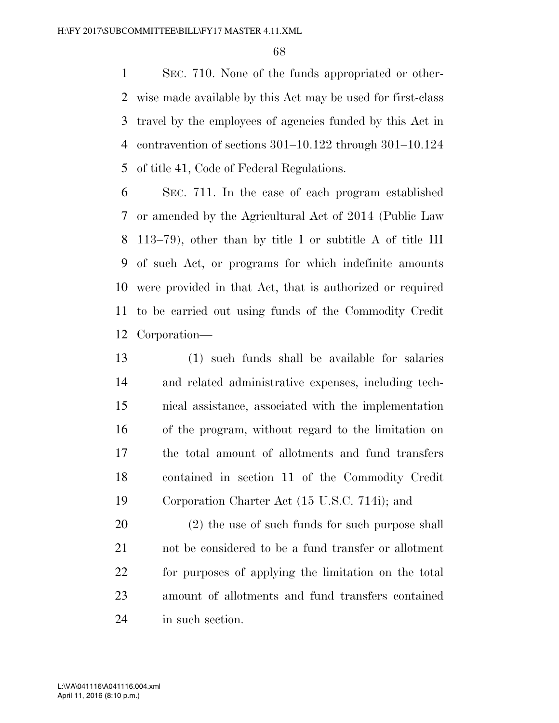SEC. 710. None of the funds appropriated or other- wise made available by this Act may be used for first-class travel by the employees of agencies funded by this Act in contravention of sections 301–10.122 through 301–10.124 of title 41, Code of Federal Regulations.

 SEC. 711. In the case of each program established or amended by the Agricultural Act of 2014 (Public Law 113–79), other than by title I or subtitle A of title III of such Act, or programs for which indefinite amounts were provided in that Act, that is authorized or required to be carried out using funds of the Commodity Credit Corporation—

 (1) such funds shall be available for salaries and related administrative expenses, including tech- nical assistance, associated with the implementation of the program, without regard to the limitation on the total amount of allotments and fund transfers contained in section 11 of the Commodity Credit Corporation Charter Act (15 U.S.C. 714i); and

 (2) the use of such funds for such purpose shall not be considered to be a fund transfer or allotment for purposes of applying the limitation on the total amount of allotments and fund transfers contained in such section.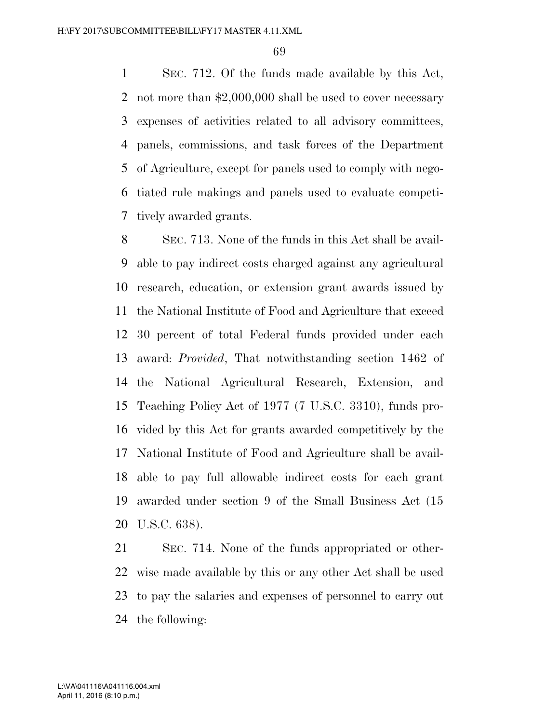SEC. 712. Of the funds made available by this Act, not more than \$2,000,000 shall be used to cover necessary expenses of activities related to all advisory committees, panels, commissions, and task forces of the Department of Agriculture, except for panels used to comply with nego- tiated rule makings and panels used to evaluate competi-tively awarded grants.

 SEC. 713. None of the funds in this Act shall be avail- able to pay indirect costs charged against any agricultural research, education, or extension grant awards issued by the National Institute of Food and Agriculture that exceed 30 percent of total Federal funds provided under each award: *Provided*, That notwithstanding section 1462 of the National Agricultural Research, Extension, and Teaching Policy Act of 1977 (7 U.S.C. 3310), funds pro- vided by this Act for grants awarded competitively by the National Institute of Food and Agriculture shall be avail- able to pay full allowable indirect costs for each grant awarded under section 9 of the Small Business Act (15 U.S.C. 638).

 SEC. 714. None of the funds appropriated or other- wise made available by this or any other Act shall be used to pay the salaries and expenses of personnel to carry out the following: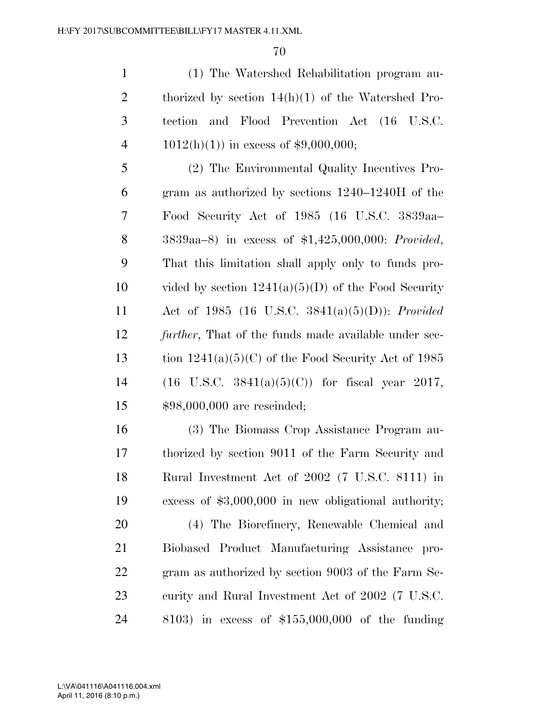(1) The Watershed Rehabilitation program au-2 thorized by section 14(h)(1) of the Watershed Pro- tection and Flood Prevention Act (16 U.S.C. 4 1012(h)(1)) in excess of  $$9,000,000;$ 

 (2) The Environmental Quality Incentives Pro- gram as authorized by sections 1240–1240H of the Food Security Act of 1985 (16 U.S.C. 3839aa– 3839aa–8) in excess of \$1,425,000,000: *Provided*, That this limitation shall apply only to funds pro-10 vided by section  $1241(a)(5)(D)$  of the Food Security Act of 1985 (16 U.S.C. 3841(a)(5)(D)): *Provided further*, That of the funds made available under sec-13 tion  $1241(a)(5)(C)$  of the Food Security Act of 1985 (16 U.S.C. 3841(a)(5)(C)) for fiscal year 2017, \$98,000,000 are rescinded;

 (3) The Biomass Crop Assistance Program au- thorized by section 9011 of the Farm Security and Rural Investment Act of 2002 (7 U.S.C. 8111) in excess of \$3,000,000 in new obligational authority; (4) The Biorefinery, Renewable Chemical and Biobased Product Manufacturing Assistance pro- gram as authorized by section 9003 of the Farm Se- curity and Rural Investment Act of 2002 (7 U.S.C. 8103) in excess of \$155,000,000 of the funding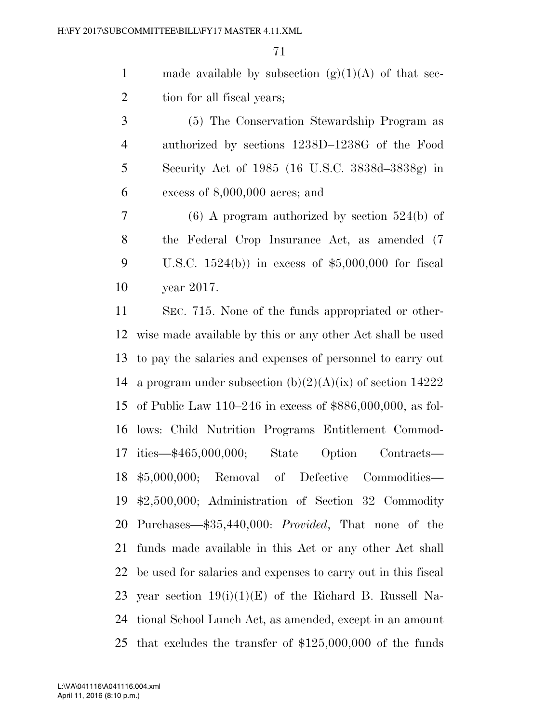1 made available by subsection  $(g)(1)(A)$  of that sec-2 tion for all fiscal years;

 (5) The Conservation Stewardship Program as authorized by sections 1238D–1238G of the Food Security Act of 1985 (16 U.S.C. 3838d–3838g) in excess of 8,000,000 acres; and

 (6) A program authorized by section 524(b) of the Federal Crop Insurance Act, as amended (7 U.S.C. 1524(b)) in excess of \$5,000,000 for fiscal year 2017.

 SEC. 715. None of the funds appropriated or other- wise made available by this or any other Act shall be used to pay the salaries and expenses of personnel to carry out 14 a program under subsection  $(b)(2)(A)(ix)$  of section 14222 of Public Law 110–246 in excess of \$886,000,000, as fol- lows: Child Nutrition Programs Entitlement Commod- ities—\$465,000,000; State Option Contracts— \$5,000,000; Removal of Defective Commodities— \$2,500,000; Administration of Section 32 Commodity Purchases—\$35,440,000: *Provided*, That none of the funds made available in this Act or any other Act shall be used for salaries and expenses to carry out in this fiscal 23 year section  $19(i)(1)(E)$  of the Richard B. Russell Na- tional School Lunch Act, as amended, except in an amount that excludes the transfer of \$125,000,000 of the funds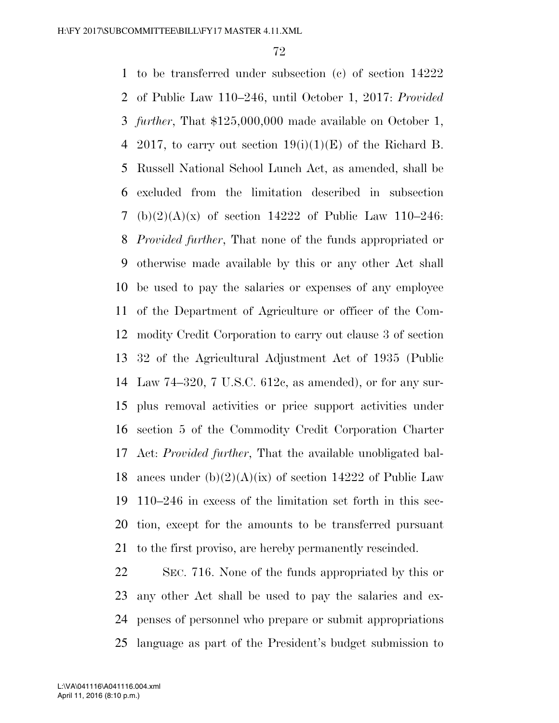to be transferred under subsection (c) of section 14222 of Public Law 110–246, until October 1, 2017: *Provided further*, That \$125,000,000 made available on October 1, 4 2017, to carry out section  $19(i)(1)(E)$  of the Richard B. Russell National School Lunch Act, as amended, shall be excluded from the limitation described in subsection 7 (b)(2)(A)(x) of section 14222 of Public Law 110–246: *Provided further*, That none of the funds appropriated or otherwise made available by this or any other Act shall be used to pay the salaries or expenses of any employee of the Department of Agriculture or officer of the Com- modity Credit Corporation to carry out clause 3 of section 32 of the Agricultural Adjustment Act of 1935 (Public Law 74–320, 7 U.S.C. 612c, as amended), or for any sur- plus removal activities or price support activities under section 5 of the Commodity Credit Corporation Charter Act: *Provided further*, That the available unobligated bal-18 ances under  $(b)(2)(A)(ix)$  of section 14222 of Public Law 110–246 in excess of the limitation set forth in this sec- tion, except for the amounts to be transferred pursuant to the first proviso, are hereby permanently rescinded.

 SEC. 716. None of the funds appropriated by this or any other Act shall be used to pay the salaries and ex- penses of personnel who prepare or submit appropriations language as part of the President's budget submission to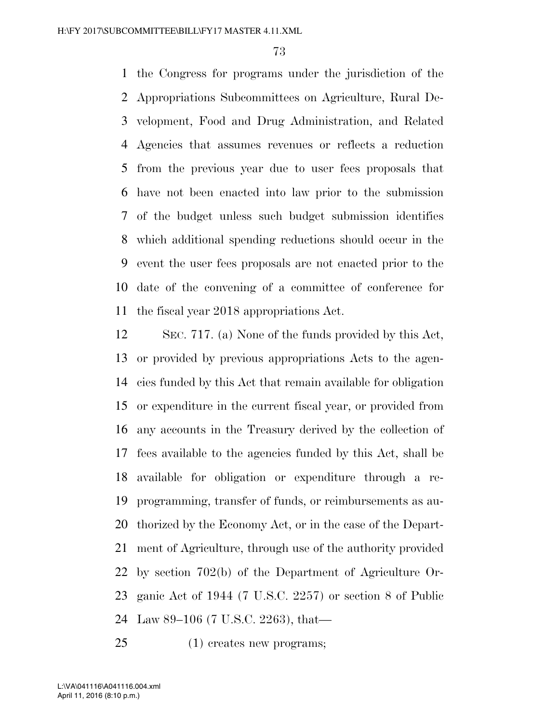the Congress for programs under the jurisdiction of the Appropriations Subcommittees on Agriculture, Rural De- velopment, Food and Drug Administration, and Related Agencies that assumes revenues or reflects a reduction from the previous year due to user fees proposals that have not been enacted into law prior to the submission of the budget unless such budget submission identifies which additional spending reductions should occur in the event the user fees proposals are not enacted prior to the date of the convening of a committee of conference for the fiscal year 2018 appropriations Act.

 SEC. 717. (a) None of the funds provided by this Act, or provided by previous appropriations Acts to the agen- cies funded by this Act that remain available for obligation or expenditure in the current fiscal year, or provided from any accounts in the Treasury derived by the collection of fees available to the agencies funded by this Act, shall be available for obligation or expenditure through a re- programming, transfer of funds, or reimbursements as au- thorized by the Economy Act, or in the case of the Depart- ment of Agriculture, through use of the authority provided by section 702(b) of the Department of Agriculture Or- ganic Act of 1944 (7 U.S.C. 2257) or section 8 of Public Law 89–106 (7 U.S.C. 2263), that—

(1) creates new programs;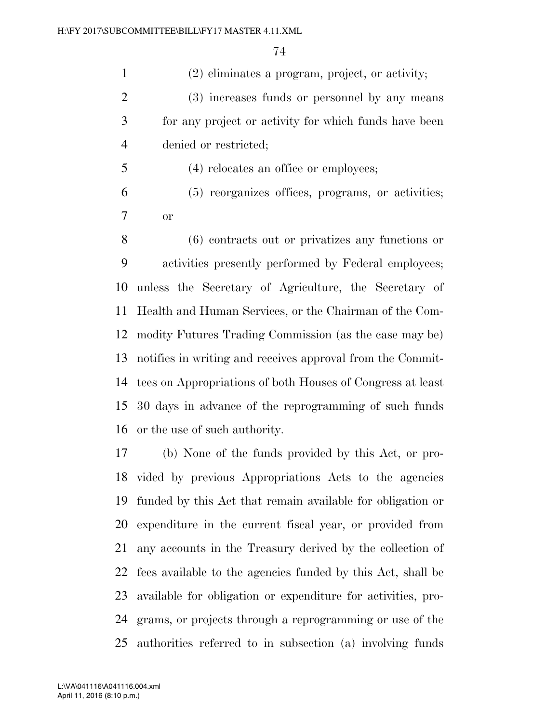(2) eliminates a program, project, or activity; (3) increases funds or personnel by any means for any project or activity for which funds have been denied or restricted;

(4) relocates an office or employees;

 (5) reorganizes offices, programs, or activities; or

 (6) contracts out or privatizes any functions or activities presently performed by Federal employees; unless the Secretary of Agriculture, the Secretary of Health and Human Services, or the Chairman of the Com- modity Futures Trading Commission (as the case may be) notifies in writing and receives approval from the Commit- tees on Appropriations of both Houses of Congress at least 30 days in advance of the reprogramming of such funds or the use of such authority.

 (b) None of the funds provided by this Act, or pro- vided by previous Appropriations Acts to the agencies funded by this Act that remain available for obligation or expenditure in the current fiscal year, or provided from any accounts in the Treasury derived by the collection of fees available to the agencies funded by this Act, shall be available for obligation or expenditure for activities, pro- grams, or projects through a reprogramming or use of the authorities referred to in subsection (a) involving funds

April 11, 2016 (8:10 p.m.) L:\VA\041116\A041116.004.xml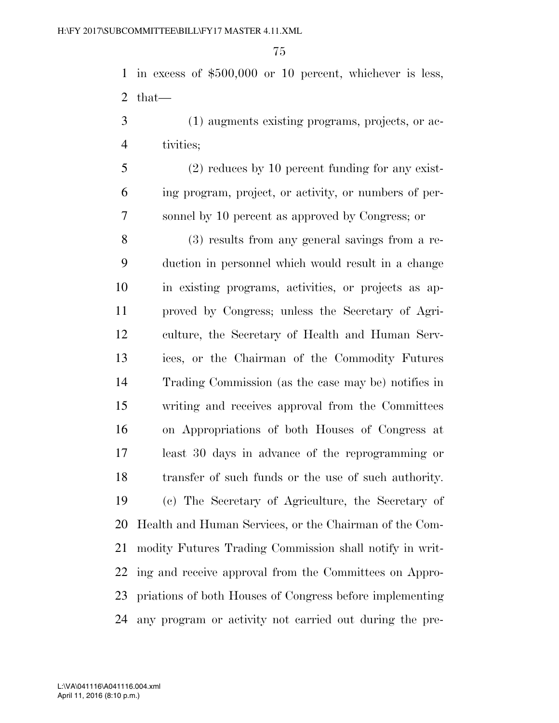in excess of \$500,000 or 10 percent, whichever is less, that—

- (1) augments existing programs, projects, or ac-tivities;
- (2) reduces by 10 percent funding for any exist- ing program, project, or activity, or numbers of per-sonnel by 10 percent as approved by Congress; or

 (3) results from any general savings from a re- duction in personnel which would result in a change in existing programs, activities, or projects as ap- proved by Congress; unless the Secretary of Agri- culture, the Secretary of Health and Human Serv- ices, or the Chairman of the Commodity Futures Trading Commission (as the case may be) notifies in writing and receives approval from the Committees on Appropriations of both Houses of Congress at least 30 days in advance of the reprogramming or transfer of such funds or the use of such authority. (c) The Secretary of Agriculture, the Secretary of Health and Human Services, or the Chairman of the Com- modity Futures Trading Commission shall notify in writ- ing and receive approval from the Committees on Appro- priations of both Houses of Congress before implementing any program or activity not carried out during the pre-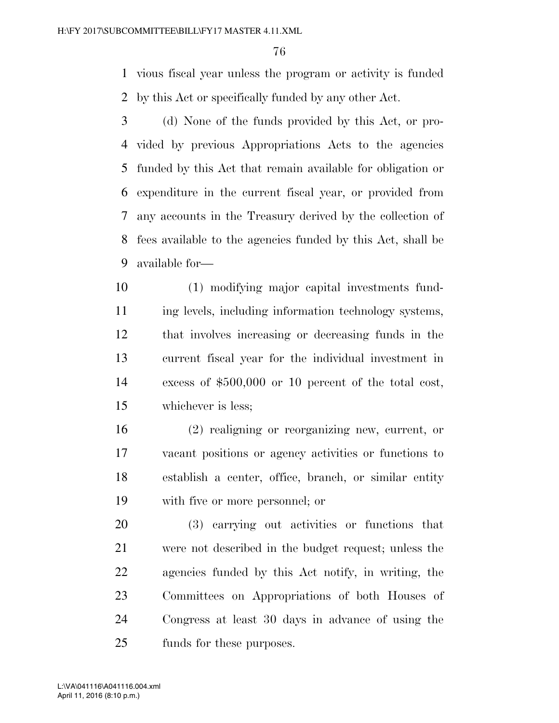vious fiscal year unless the program or activity is funded by this Act or specifically funded by any other Act.

 (d) None of the funds provided by this Act, or pro- vided by previous Appropriations Acts to the agencies funded by this Act that remain available for obligation or expenditure in the current fiscal year, or provided from any accounts in the Treasury derived by the collection of fees available to the agencies funded by this Act, shall be available for—

 (1) modifying major capital investments fund-11 ing levels, including information technology systems, that involves increasing or decreasing funds in the current fiscal year for the individual investment in excess of \$500,000 or 10 percent of the total cost, whichever is less;

 (2) realigning or reorganizing new, current, or vacant positions or agency activities or functions to establish a center, office, branch, or similar entity with five or more personnel; or

 (3) carrying out activities or functions that were not described in the budget request; unless the agencies funded by this Act notify, in writing, the Committees on Appropriations of both Houses of Congress at least 30 days in advance of using the funds for these purposes.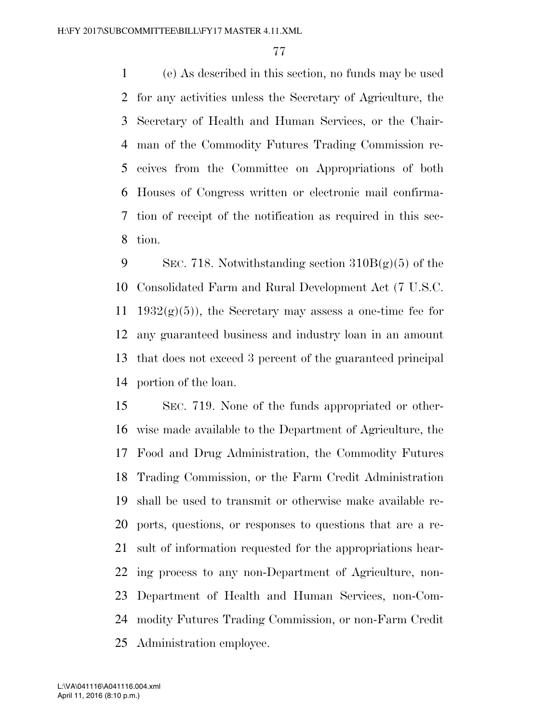(e) As described in this section, no funds may be used for any activities unless the Secretary of Agriculture, the Secretary of Health and Human Services, or the Chair- man of the Commodity Futures Trading Commission re- ceives from the Committee on Appropriations of both Houses of Congress written or electronic mail confirma- tion of receipt of the notification as required in this sec-tion.

9 SEC. 718. Notwithstanding section  $310B(g)(5)$  of the Consolidated Farm and Rural Development Act (7 U.S.C. 11 1932 $(g)(5)$ , the Secretary may assess a one-time fee for any guaranteed business and industry loan in an amount that does not exceed 3 percent of the guaranteed principal portion of the loan.

 SEC. 719. None of the funds appropriated or other- wise made available to the Department of Agriculture, the Food and Drug Administration, the Commodity Futures Trading Commission, or the Farm Credit Administration shall be used to transmit or otherwise make available re- ports, questions, or responses to questions that are a re- sult of information requested for the appropriations hear- ing process to any non-Department of Agriculture, non- Department of Health and Human Services, non-Com- modity Futures Trading Commission, or non-Farm Credit Administration employee.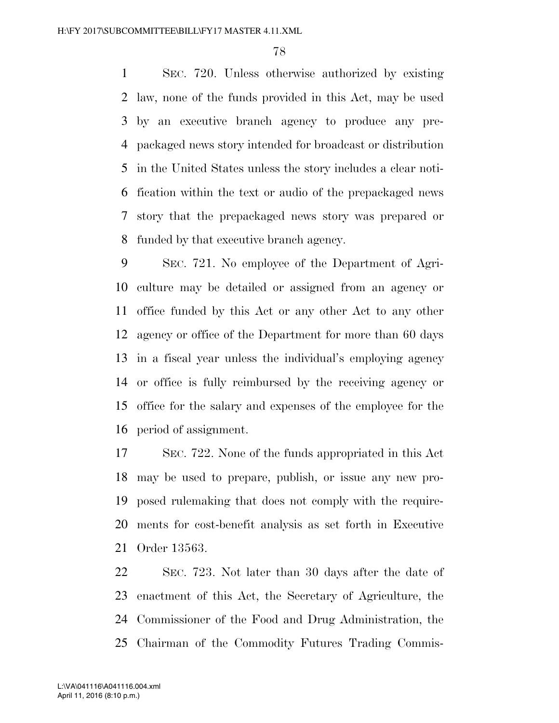SEC. 720. Unless otherwise authorized by existing law, none of the funds provided in this Act, may be used by an executive branch agency to produce any pre- packaged news story intended for broadcast or distribution in the United States unless the story includes a clear noti- fication within the text or audio of the prepackaged news story that the prepackaged news story was prepared or funded by that executive branch agency.

 SEC. 721. No employee of the Department of Agri- culture may be detailed or assigned from an agency or office funded by this Act or any other Act to any other agency or office of the Department for more than 60 days in a fiscal year unless the individual's employing agency or office is fully reimbursed by the receiving agency or office for the salary and expenses of the employee for the period of assignment.

 SEC. 722. None of the funds appropriated in this Act may be used to prepare, publish, or issue any new pro- posed rulemaking that does not comply with the require- ments for cost-benefit analysis as set forth in Executive Order 13563.

 SEC. 723. Not later than 30 days after the date of enactment of this Act, the Secretary of Agriculture, the Commissioner of the Food and Drug Administration, the Chairman of the Commodity Futures Trading Commis-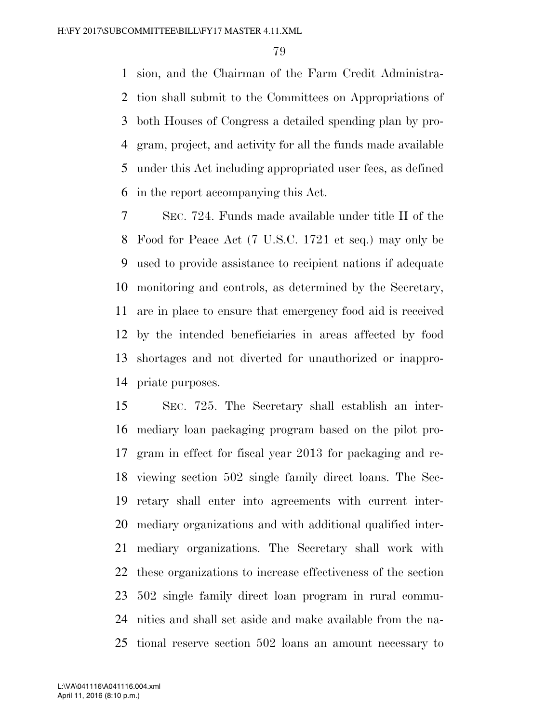sion, and the Chairman of the Farm Credit Administra- tion shall submit to the Committees on Appropriations of both Houses of Congress a detailed spending plan by pro- gram, project, and activity for all the funds made available under this Act including appropriated user fees, as defined in the report accompanying this Act.

 SEC. 724. Funds made available under title II of the Food for Peace Act (7 U.S.C. 1721 et seq.) may only be used to provide assistance to recipient nations if adequate monitoring and controls, as determined by the Secretary, are in place to ensure that emergency food aid is received by the intended beneficiaries in areas affected by food shortages and not diverted for unauthorized or inappro-priate purposes.

 SEC. 725. The Secretary shall establish an inter- mediary loan packaging program based on the pilot pro- gram in effect for fiscal year 2013 for packaging and re- viewing section 502 single family direct loans. The Sec- retary shall enter into agreements with current inter- mediary organizations and with additional qualified inter- mediary organizations. The Secretary shall work with these organizations to increase effectiveness of the section 502 single family direct loan program in rural commu- nities and shall set aside and make available from the na-tional reserve section 502 loans an amount necessary to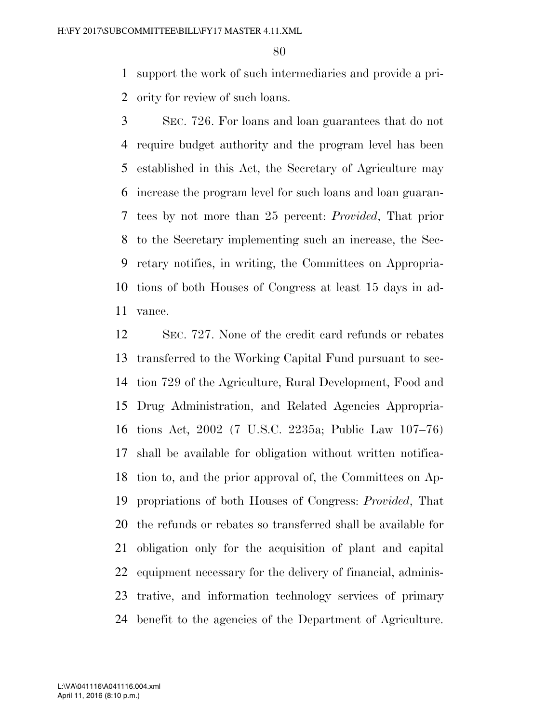support the work of such intermediaries and provide a pri-ority for review of such loans.

 SEC. 726. For loans and loan guarantees that do not require budget authority and the program level has been established in this Act, the Secretary of Agriculture may increase the program level for such loans and loan guaran- tees by not more than 25 percent: *Provided*, That prior to the Secretary implementing such an increase, the Sec- retary notifies, in writing, the Committees on Appropria- tions of both Houses of Congress at least 15 days in ad-vance.

 SEC. 727. None of the credit card refunds or rebates transferred to the Working Capital Fund pursuant to sec- tion 729 of the Agriculture, Rural Development, Food and Drug Administration, and Related Agencies Appropria- tions Act, 2002 (7 U.S.C. 2235a; Public Law 107–76) shall be available for obligation without written notifica- tion to, and the prior approval of, the Committees on Ap- propriations of both Houses of Congress: *Provided*, That the refunds or rebates so transferred shall be available for obligation only for the acquisition of plant and capital equipment necessary for the delivery of financial, adminis- trative, and information technology services of primary benefit to the agencies of the Department of Agriculture.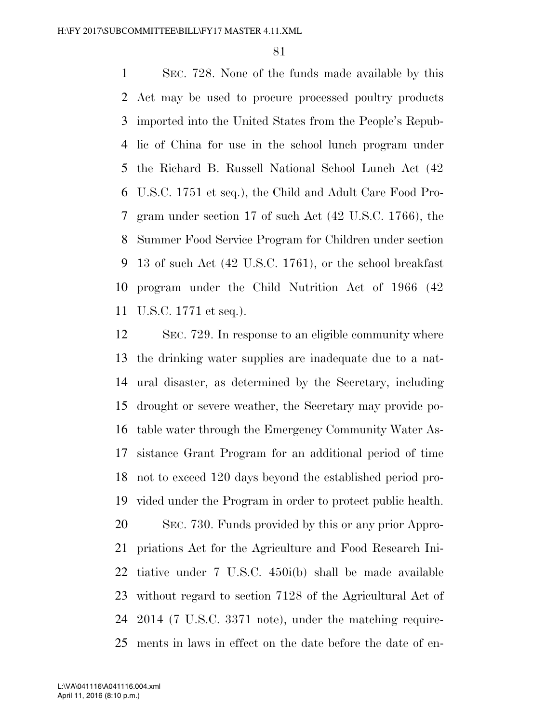SEC. 728. None of the funds made available by this Act may be used to procure processed poultry products imported into the United States from the People's Repub- lic of China for use in the school lunch program under the Richard B. Russell National School Lunch Act (42 U.S.C. 1751 et seq.), the Child and Adult Care Food Pro- gram under section 17 of such Act (42 U.S.C. 1766), the Summer Food Service Program for Children under section 13 of such Act (42 U.S.C. 1761), or the school breakfast program under the Child Nutrition Act of 1966 (42 U.S.C. 1771 et seq.).

 SEC. 729. In response to an eligible community where the drinking water supplies are inadequate due to a nat- ural disaster, as determined by the Secretary, including drought or severe weather, the Secretary may provide po- table water through the Emergency Community Water As- sistance Grant Program for an additional period of time not to exceed 120 days beyond the established period pro- vided under the Program in order to protect public health. SEC. 730. Funds provided by this or any prior Appro- priations Act for the Agriculture and Food Research Ini- tiative under 7 U.S.C. 450i(b) shall be made available without regard to section 7128 of the Agricultural Act of 2014 (7 U.S.C. 3371 note), under the matching require-ments in laws in effect on the date before the date of en-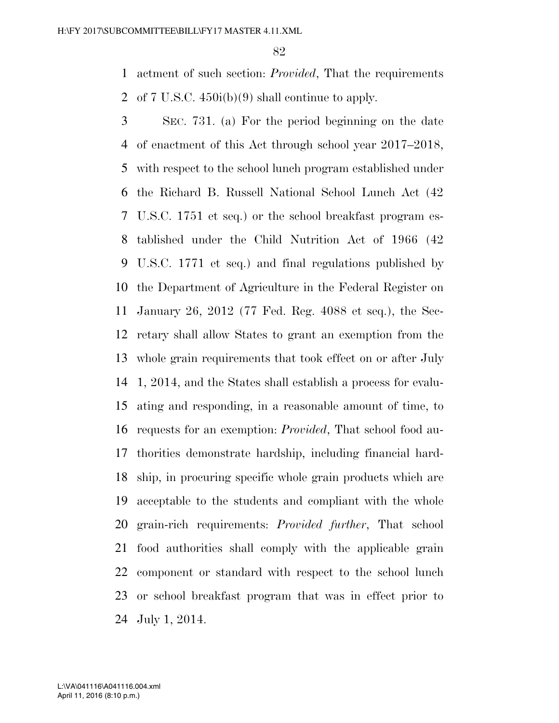actment of such section: *Provided*, That the requirements of 7 U.S.C. 450i(b)(9) shall continue to apply.

 SEC. 731. (a) For the period beginning on the date of enactment of this Act through school year 2017–2018, with respect to the school lunch program established under the Richard B. Russell National School Lunch Act (42 U.S.C. 1751 et seq.) or the school breakfast program es- tablished under the Child Nutrition Act of 1966 (42 U.S.C. 1771 et seq.) and final regulations published by the Department of Agriculture in the Federal Register on January 26, 2012 (77 Fed. Reg. 4088 et seq.), the Sec- retary shall allow States to grant an exemption from the whole grain requirements that took effect on or after July 1, 2014, and the States shall establish a process for evalu- ating and responding, in a reasonable amount of time, to requests for an exemption: *Provided*, That school food au- thorities demonstrate hardship, including financial hard- ship, in procuring specific whole grain products which are acceptable to the students and compliant with the whole grain-rich requirements: *Provided further*, That school food authorities shall comply with the applicable grain component or standard with respect to the school lunch or school breakfast program that was in effect prior to July 1, 2014.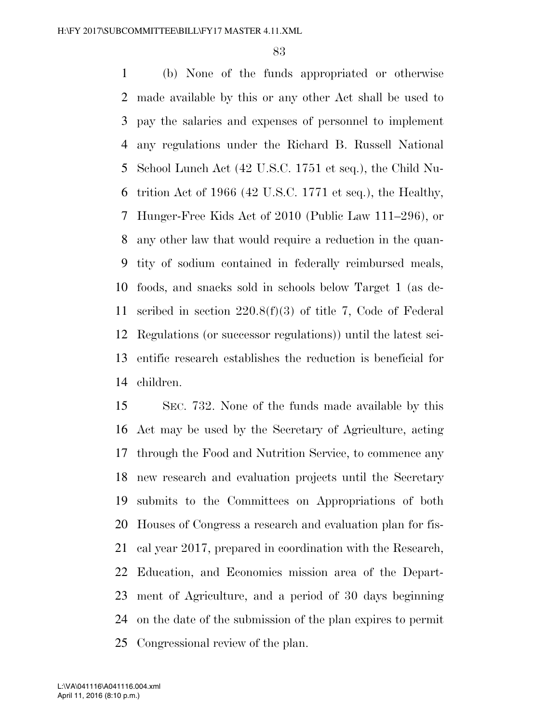(b) None of the funds appropriated or otherwise made available by this or any other Act shall be used to pay the salaries and expenses of personnel to implement any regulations under the Richard B. Russell National School Lunch Act (42 U.S.C. 1751 et seq.), the Child Nu- trition Act of 1966 (42 U.S.C. 1771 et seq.), the Healthy, Hunger-Free Kids Act of 2010 (Public Law 111–296), or any other law that would require a reduction in the quan- tity of sodium contained in federally reimbursed meals, foods, and snacks sold in schools below Target 1 (as de- scribed in section 220.8(f)(3) of title 7, Code of Federal Regulations (or successor regulations)) until the latest sci- entific research establishes the reduction is beneficial for children.

 SEC. 732. None of the funds made available by this Act may be used by the Secretary of Agriculture, acting through the Food and Nutrition Service, to commence any new research and evaluation projects until the Secretary submits to the Committees on Appropriations of both Houses of Congress a research and evaluation plan for fis- cal year 2017, prepared in coordination with the Research, Education, and Economics mission area of the Depart- ment of Agriculture, and a period of 30 days beginning on the date of the submission of the plan expires to permit Congressional review of the plan.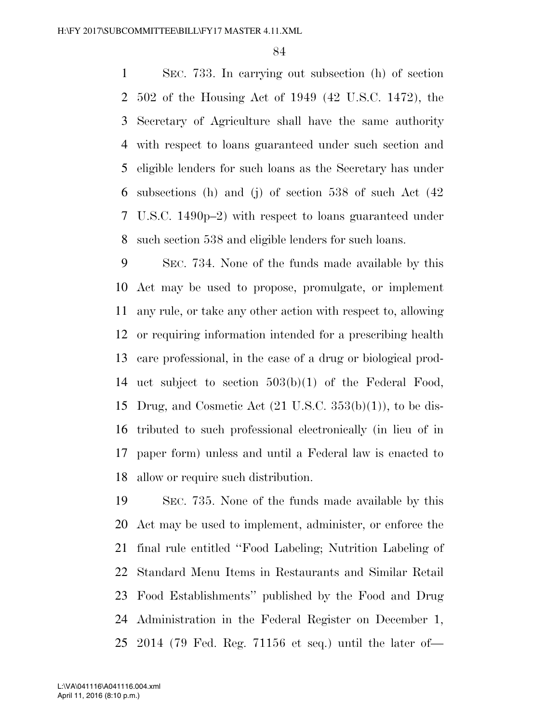SEC. 733. In carrying out subsection (h) of section 502 of the Housing Act of 1949 (42 U.S.C. 1472), the Secretary of Agriculture shall have the same authority with respect to loans guaranteed under such section and eligible lenders for such loans as the Secretary has under subsections (h) and (j) of section 538 of such Act (42 U.S.C. 1490p–2) with respect to loans guaranteed under such section 538 and eligible lenders for such loans.

 SEC. 734. None of the funds made available by this Act may be used to propose, promulgate, or implement any rule, or take any other action with respect to, allowing or requiring information intended for a prescribing health care professional, in the case of a drug or biological prod- uct subject to section 503(b)(1) of the Federal Food, Drug, and Cosmetic Act (21 U.S.C. 353(b)(1)), to be dis- tributed to such professional electronically (in lieu of in paper form) unless and until a Federal law is enacted to allow or require such distribution.

 SEC. 735. None of the funds made available by this Act may be used to implement, administer, or enforce the final rule entitled ''Food Labeling; Nutrition Labeling of Standard Menu Items in Restaurants and Similar Retail Food Establishments'' published by the Food and Drug Administration in the Federal Register on December 1, 2014 (79 Fed. Reg. 71156 et seq.) until the later of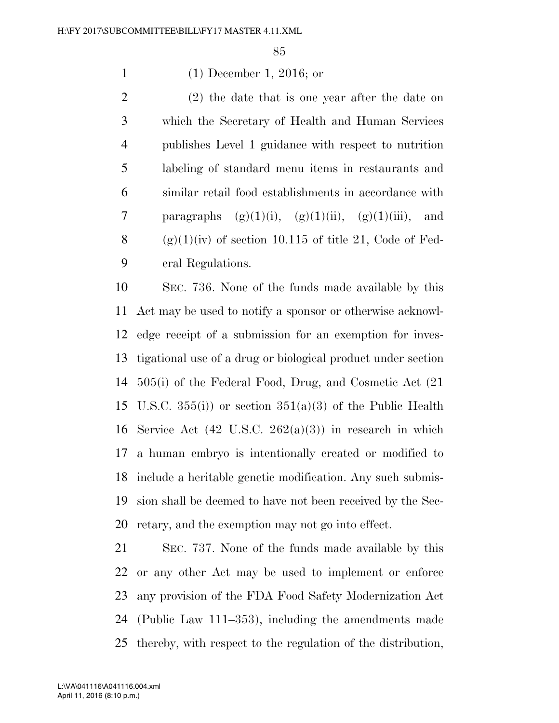(1) December 1, 2016; or

 (2) the date that is one year after the date on which the Secretary of Health and Human Services publishes Level 1 guidance with respect to nutrition labeling of standard menu items in restaurants and similar retail food establishments in accordance with 7 paragraphs  $(g)(1)(i)$ ,  $(g)(1)(ii)$ ,  $(g)(1)(iii)$ , and 8 (g)(1)(iv) of section 10.115 of title 21, Code of Fed-eral Regulations.

 SEC. 736. None of the funds made available by this Act may be used to notify a sponsor or otherwise acknowl- edge receipt of a submission for an exemption for inves- tigational use of a drug or biological product under section 505(i) of the Federal Food, Drug, and Cosmetic Act (21 15 U.S.C.  $355(i)$  or section  $351(a)(3)$  of the Public Health 16 Service Act  $(42 \text{ U.S.C. } 262(a)(3))$  in research in which a human embryo is intentionally created or modified to include a heritable genetic modification. Any such submis- sion shall be deemed to have not been received by the Sec-retary, and the exemption may not go into effect.

 SEC. 737. None of the funds made available by this or any other Act may be used to implement or enforce any provision of the FDA Food Safety Modernization Act (Public Law 111–353), including the amendments made thereby, with respect to the regulation of the distribution,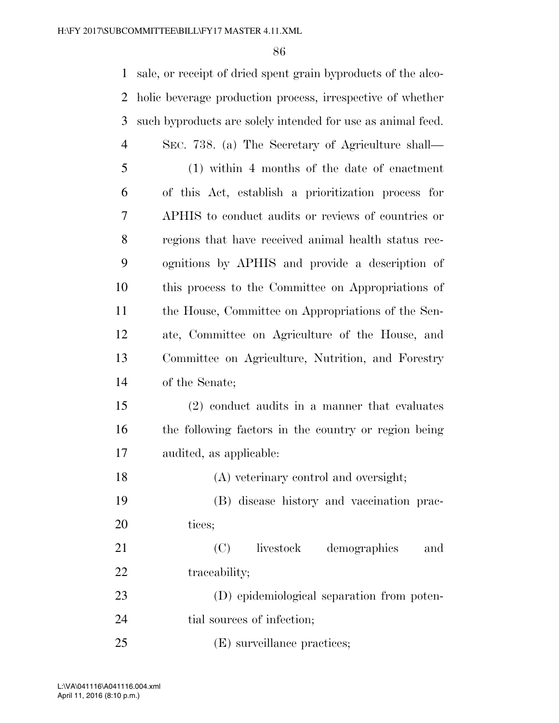sale, or receipt of dried spent grain byproducts of the alco- holic beverage production process, irrespective of whether such byproducts are solely intended for use as animal feed. SEC. 738. (a) The Secretary of Agriculture shall— (1) within 4 months of the date of enactment of this Act, establish a prioritization process for APHIS to conduct audits or reviews of countries or regions that have received animal health status rec- ognitions by APHIS and provide a description of this process to the Committee on Appropriations of the House, Committee on Appropriations of the Sen- ate, Committee on Agriculture of the House, and Committee on Agriculture, Nutrition, and Forestry of the Senate; (2) conduct audits in a manner that evaluates the following factors in the country or region being audited, as applicable: (A) veterinary control and oversight; (B) disease history and vaccination prac-20 tices; (C) livestock demographics and 22 traceability; (D) epidemiological separation from poten-24 tial sources of infection; (E) surveillance practices;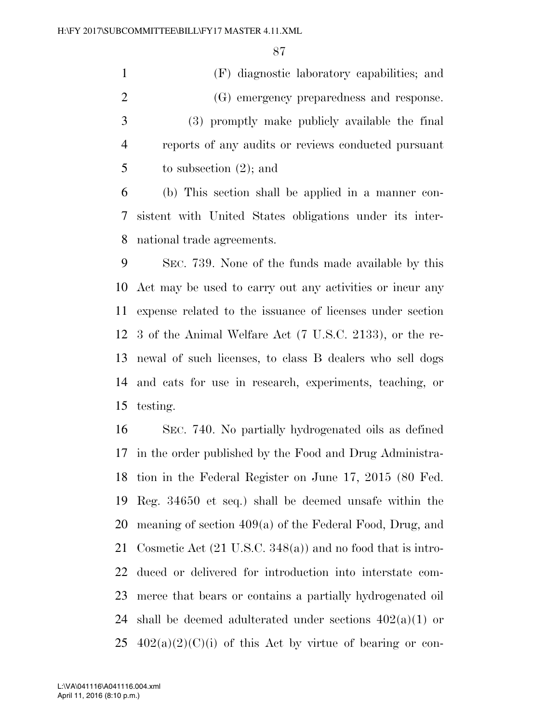(F) diagnostic laboratory capabilities; and (G) emergency preparedness and response. (3) promptly make publicly available the final reports of any audits or reviews conducted pursuant to subsection (2); and (b) This section shall be applied in a manner con-

 sistent with United States obligations under its inter-national trade agreements.

 SEC. 739. None of the funds made available by this Act may be used to carry out any activities or incur any expense related to the issuance of licenses under section 3 of the Animal Welfare Act (7 U.S.C. 2133), or the re- newal of such licenses, to class B dealers who sell dogs and cats for use in research, experiments, teaching, or testing.

 SEC. 740. No partially hydrogenated oils as defined in the order published by the Food and Drug Administra- tion in the Federal Register on June 17, 2015 (80 Fed. Reg. 34650 et seq.) shall be deemed unsafe within the meaning of section 409(a) of the Federal Food, Drug, and Cosmetic Act (21 U.S.C. 348(a)) and no food that is intro- duced or delivered for introduction into interstate com- merce that bears or contains a partially hydrogenated oil 24 shall be deemed adulterated under sections  $402(a)(1)$  or  $402(a)(2)(C)(i)$  of this Act by virtue of bearing or con-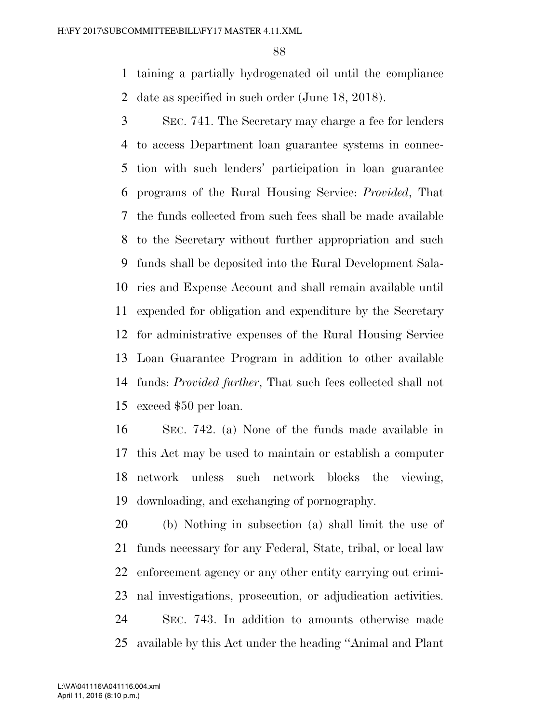taining a partially hydrogenated oil until the compliance date as specified in such order (June 18, 2018).

- SEC. 741. The Secretary may charge a fee for lenders to access Department loan guarantee systems in connec- tion with such lenders' participation in loan guarantee programs of the Rural Housing Service: *Provided*, That the funds collected from such fees shall be made available to the Secretary without further appropriation and such funds shall be deposited into the Rural Development Sala- ries and Expense Account and shall remain available until expended for obligation and expenditure by the Secretary for administrative expenses of the Rural Housing Service Loan Guarantee Program in addition to other available funds: *Provided further*, That such fees collected shall not exceed \$50 per loan.
- SEC. 742. (a) None of the funds made available in this Act may be used to maintain or establish a computer network unless such network blocks the viewing, downloading, and exchanging of pornography.

 (b) Nothing in subsection (a) shall limit the use of funds necessary for any Federal, State, tribal, or local law enforcement agency or any other entity carrying out crimi- nal investigations, prosecution, or adjudication activities. SEC. 743. In addition to amounts otherwise made available by this Act under the heading ''Animal and Plant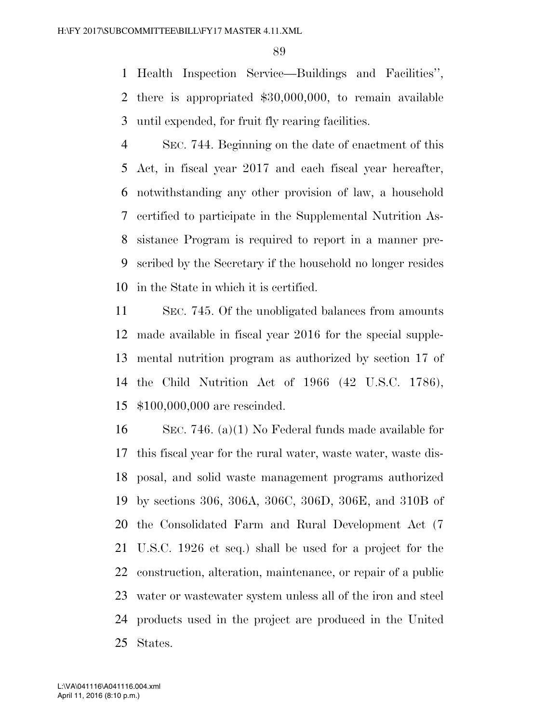Health Inspection Service—Buildings and Facilities'', there is appropriated \$30,000,000, to remain available until expended, for fruit fly rearing facilities.

 SEC. 744. Beginning on the date of enactment of this Act, in fiscal year 2017 and each fiscal year hereafter, notwithstanding any other provision of law, a household certified to participate in the Supplemental Nutrition As- sistance Program is required to report in a manner pre- scribed by the Secretary if the household no longer resides in the State in which it is certified.

 SEC. 745. Of the unobligated balances from amounts made available in fiscal year 2016 for the special supple- mental nutrition program as authorized by section 17 of the Child Nutrition Act of 1966 (42 U.S.C. 1786), \$100,000,000 are rescinded.

 SEC. 746. (a)(1) No Federal funds made available for this fiscal year for the rural water, waste water, waste dis- posal, and solid waste management programs authorized by sections 306, 306A, 306C, 306D, 306E, and 310B of the Consolidated Farm and Rural Development Act (7 U.S.C. 1926 et seq.) shall be used for a project for the construction, alteration, maintenance, or repair of a public water or wastewater system unless all of the iron and steel products used in the project are produced in the United States.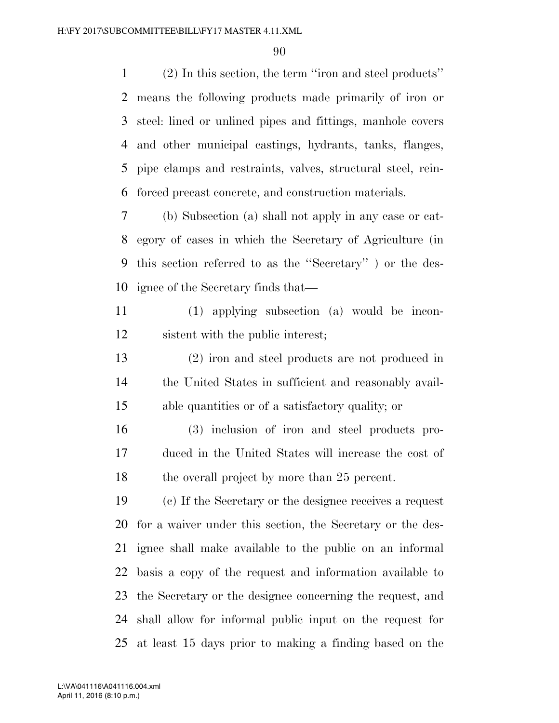(2) In this section, the term ''iron and steel products'' means the following products made primarily of iron or steel: lined or unlined pipes and fittings, manhole covers and other municipal castings, hydrants, tanks, flanges, pipe clamps and restraints, valves, structural steel, rein-forced precast concrete, and construction materials.

 (b) Subsection (a) shall not apply in any case or cat- egory of cases in which the Secretary of Agriculture (in this section referred to as the ''Secretary'' ) or the des-ignee of the Secretary finds that—

 (1) applying subsection (a) would be incon-sistent with the public interest;

 (2) iron and steel products are not produced in the United States in sufficient and reasonably avail-able quantities or of a satisfactory quality; or

 (3) inclusion of iron and steel products pro- duced in the United States will increase the cost of 18 the overall project by more than 25 percent.

 (c) If the Secretary or the designee receives a request for a waiver under this section, the Secretary or the des- ignee shall make available to the public on an informal basis a copy of the request and information available to the Secretary or the designee concerning the request, and shall allow for informal public input on the request for at least 15 days prior to making a finding based on the

April 11, 2016 (8:10 p.m.) L:\VA\041116\A041116.004.xml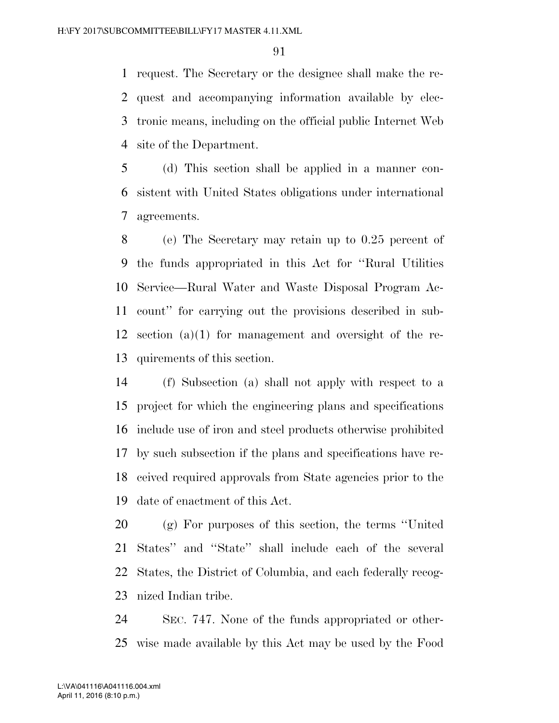request. The Secretary or the designee shall make the re- quest and accompanying information available by elec- tronic means, including on the official public Internet Web site of the Department.

 (d) This section shall be applied in a manner con- sistent with United States obligations under international agreements.

 (e) The Secretary may retain up to 0.25 percent of the funds appropriated in this Act for ''Rural Utilities Service—Rural Water and Waste Disposal Program Ac- count'' for carrying out the provisions described in sub- section (a)(1) for management and oversight of the re-quirements of this section.

 (f) Subsection (a) shall not apply with respect to a project for which the engineering plans and specifications include use of iron and steel products otherwise prohibited by such subsection if the plans and specifications have re- ceived required approvals from State agencies prior to the date of enactment of this Act.

 (g) For purposes of this section, the terms ''United States'' and ''State'' shall include each of the several States, the District of Columbia, and each federally recog-nized Indian tribe.

 SEC. 747. None of the funds appropriated or other-wise made available by this Act may be used by the Food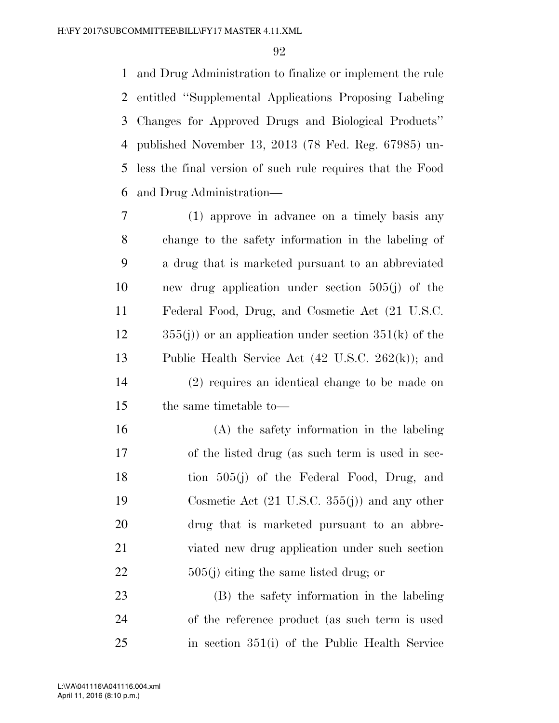and Drug Administration to finalize or implement the rule entitled ''Supplemental Applications Proposing Labeling Changes for Approved Drugs and Biological Products'' published November 13, 2013 (78 Fed. Reg. 67985) un- less the final version of such rule requires that the Food and Drug Administration—

 (1) approve in advance on a timely basis any change to the safety information in the labeling of a drug that is marketed pursuant to an abbreviated new drug application under section 505(j) of the Federal Food, Drug, and Cosmetic Act (21 U.S.C.  $12 \qquad \qquad 355(j)$  or an application under section  $351(k)$  of the Public Health Service Act (42 U.S.C. 262(k)); and (2) requires an identical change to be made on the same timetable to—

 (A) the safety information in the labeling of the listed drug (as such term is used in sec- tion 505(j) of the Federal Food, Drug, and Cosmetic Act (21 U.S.C. 355(j)) and any other drug that is marketed pursuant to an abbre- viated new drug application under such section 22 505(j) citing the same listed drug; or

 (B) the safety information in the labeling of the reference product (as such term is used in section 351(i) of the Public Health Service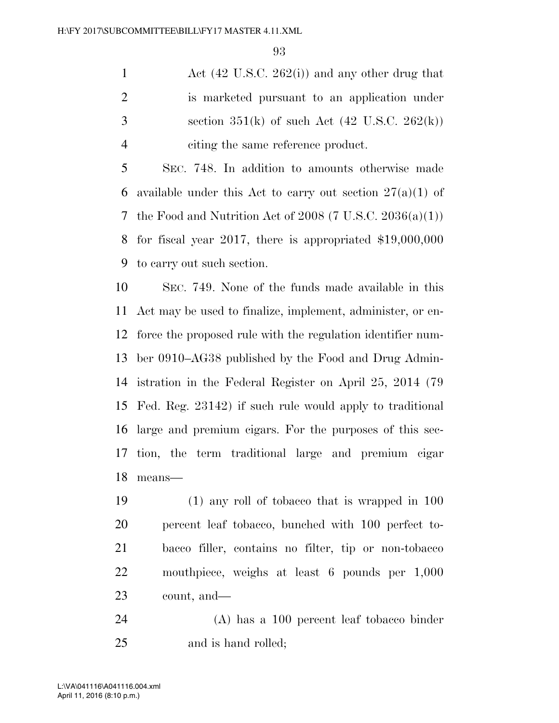1 Act (42 U.S.C. 262(i)) and any other drug that is marketed pursuant to an application under section 351(k) of such Act (42 U.S.C. 262(k)) citing the same reference product.

 SEC. 748. In addition to amounts otherwise made 6 available under this Act to carry out section  $27(a)(1)$  of 7 the Food and Nutrition Act of (7 U.S.C.  $2036(a)(1)$ ) for fiscal year 2017, there is appropriated \$19,000,000 to carry out such section.

 SEC. 749. None of the funds made available in this Act may be used to finalize, implement, administer, or en- force the proposed rule with the regulation identifier num- ber 0910–AG38 published by the Food and Drug Admin- istration in the Federal Register on April 25, 2014 (79 Fed. Reg. 23142) if such rule would apply to traditional large and premium cigars. For the purposes of this sec- tion, the term traditional large and premium cigar means—

 (1) any roll of tobacco that is wrapped in 100 percent leaf tobacco, bunched with 100 perfect to- bacco filler, contains no filter, tip or non-tobacco mouthpiece, weighs at least 6 pounds per 1,000 count, and—

 (A) has a 100 percent leaf tobacco binder and is hand rolled;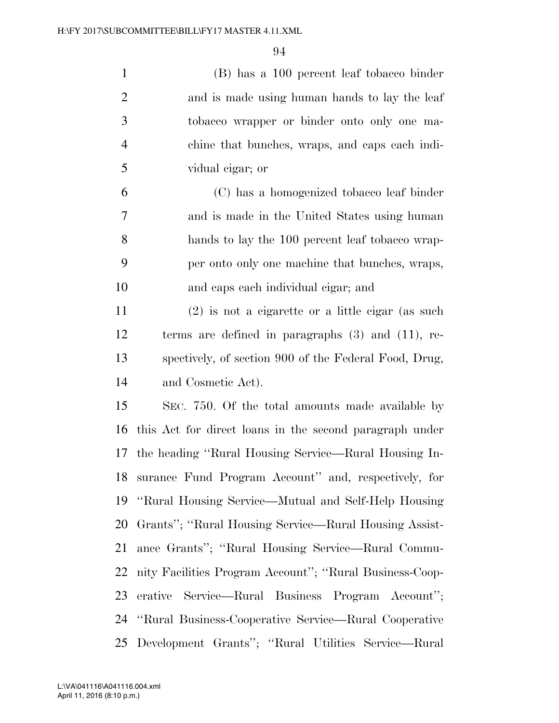(B) has a 100 percent leaf tobacco binder and is made using human hands to lay the leaf tobacco wrapper or binder onto only one ma- chine that bunches, wraps, and caps each indi- vidual cigar; or (C) has a homogenized tobacco leaf binder

 and is made in the United States using human hands to lay the 100 percent leaf tobacco wrap- per onto only one machine that bunches, wraps, and caps each individual cigar; and

 (2) is not a cigarette or a little cigar (as such terms are defined in paragraphs (3) and (11), re- spectively, of section 900 of the Federal Food, Drug, and Cosmetic Act).

 SEC. 750. Of the total amounts made available by this Act for direct loans in the second paragraph under the heading ''Rural Housing Service—Rural Housing In- surance Fund Program Account'' and, respectively, for ''Rural Housing Service—Mutual and Self-Help Housing Grants''; ''Rural Housing Service—Rural Housing Assist- ance Grants''; ''Rural Housing Service—Rural Commu- nity Facilities Program Account''; ''Rural Business-Coop- erative Service—Rural Business Program Account''; ''Rural Business-Cooperative Service—Rural Cooperative Development Grants''; ''Rural Utilities Service—Rural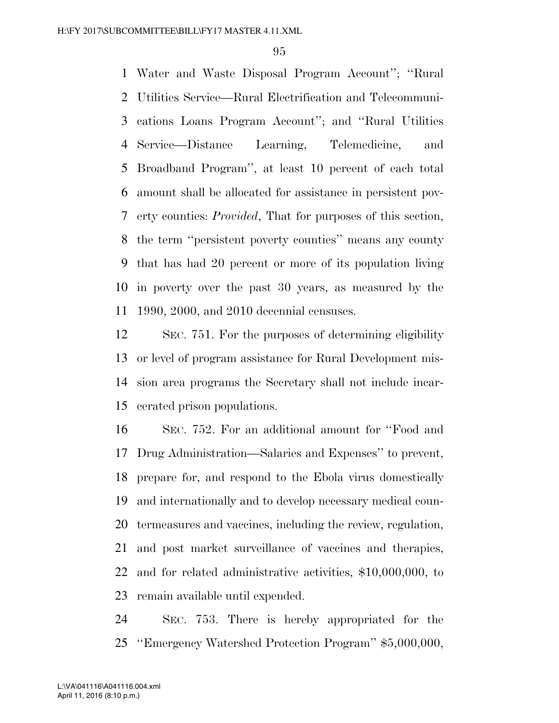Water and Waste Disposal Program Account''; ''Rural Utilities Service—Rural Electrification and Telecommuni- cations Loans Program Account''; and ''Rural Utilities Service—Distance Learning, Telemedicine, and Broadband Program'', at least 10 percent of each total amount shall be allocated for assistance in persistent pov- erty counties: *Provided*, That for purposes of this section, the term ''persistent poverty counties'' means any county that has had 20 percent or more of its population living in poverty over the past 30 years, as measured by the 1990, 2000, and 2010 decennial censuses.

 SEC. 751. For the purposes of determining eligibility or level of program assistance for Rural Development mis- sion area programs the Secretary shall not include incar-cerated prison populations.

 SEC. 752. For an additional amount for ''Food and Drug Administration—Salaries and Expenses'' to prevent, prepare for, and respond to the Ebola virus domestically and internationally and to develop necessary medical coun- termeasures and vaccines, including the review, regulation, and post market surveillance of vaccines and therapies, and for related administrative activities, \$10,000,000, to remain available until expended.

 SEC. 753. There is hereby appropriated for the ''Emergency Watershed Protection Program'' \$5,000,000,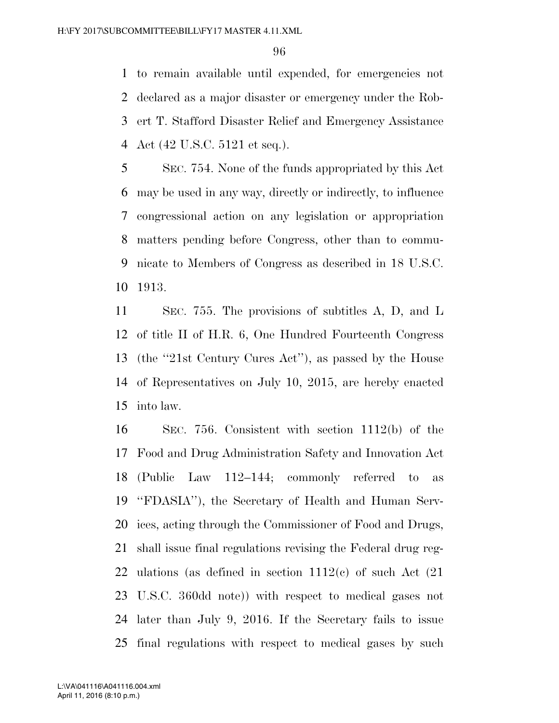to remain available until expended, for emergencies not declared as a major disaster or emergency under the Rob- ert T. Stafford Disaster Relief and Emergency Assistance Act (42 U.S.C. 5121 et seq.).

 SEC. 754. None of the funds appropriated by this Act may be used in any way, directly or indirectly, to influence congressional action on any legislation or appropriation matters pending before Congress, other than to commu- nicate to Members of Congress as described in 18 U.S.C. 1913.

 SEC. 755. The provisions of subtitles A, D, and L of title II of H.R. 6, One Hundred Fourteenth Congress (the ''21st Century Cures Act''), as passed by the House of Representatives on July 10, 2015, are hereby enacted into law.

 SEC. 756. Consistent with section 1112(b) of the Food and Drug Administration Safety and Innovation Act (Public Law 112–144; commonly referred to as ''FDASIA''), the Secretary of Health and Human Serv- ices, acting through the Commissioner of Food and Drugs, shall issue final regulations revising the Federal drug reg- ulations (as defined in section 1112(c) of such Act (21 U.S.C. 360dd note)) with respect to medical gases not later than July 9, 2016. If the Secretary fails to issue final regulations with respect to medical gases by such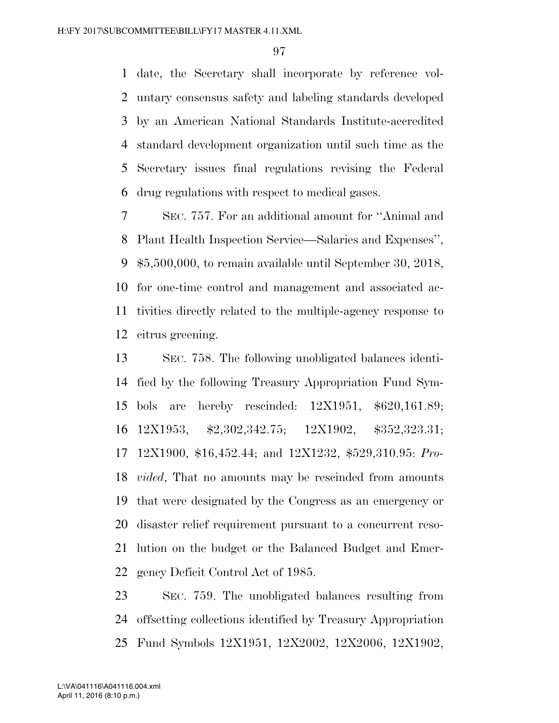date, the Secretary shall incorporate by reference vol- untary consensus safety and labeling standards developed by an American National Standards Institute-accredited standard development organization until such time as the Secretary issues final regulations revising the Federal drug regulations with respect to medical gases.

 SEC. 757. For an additional amount for ''Animal and Plant Health Inspection Service—Salaries and Expenses'', \$5,500,000, to remain available until September 30, 2018, for one-time control and management and associated ac- tivities directly related to the multiple-agency response to citrus greening.

 SEC. 758. The following unobligated balances identi- fied by the following Treasury Appropriation Fund Sym- bols are hereby rescinded: 12X1951, \$620,161.89; 12X1953, \$2,302,342.75; 12X1902, \$352,323.31; 12X1900, \$16,452.44; and 12X1232, \$529,310.95: *Pro- vided*, That no amounts may be rescinded from amounts that were designated by the Congress as an emergency or disaster relief requirement pursuant to a concurrent reso- lution on the budget or the Balanced Budget and Emer-gency Deficit Control Act of 1985.

 SEC. 759. The unobligated balances resulting from offsetting collections identified by Treasury Appropriation Fund Symbols 12X1951, 12X2002, 12X2006, 12X1902,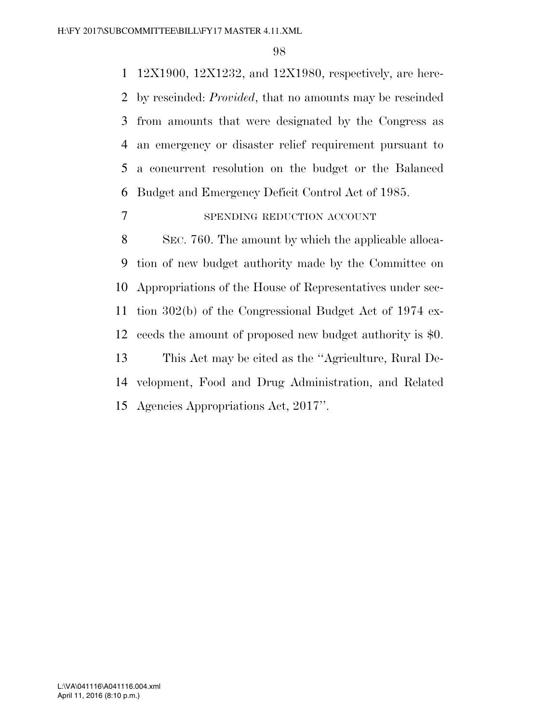12X1900, 12X1232, and 12X1980, respectively, are here- by rescinded: *Provided*, that no amounts may be rescinded from amounts that were designated by the Congress as an emergency or disaster relief requirement pursuant to a concurrent resolution on the budget or the Balanced Budget and Emergency Deficit Control Act of 1985.

SPENDING REDUCTION ACCOUNT

 SEC. 760. The amount by which the applicable alloca- tion of new budget authority made by the Committee on Appropriations of the House of Representatives under sec- tion 302(b) of the Congressional Budget Act of 1974 ex- ceeds the amount of proposed new budget authority is \$0. This Act may be cited as the ''Agriculture, Rural De- velopment, Food and Drug Administration, and Related Agencies Appropriations Act, 2017''.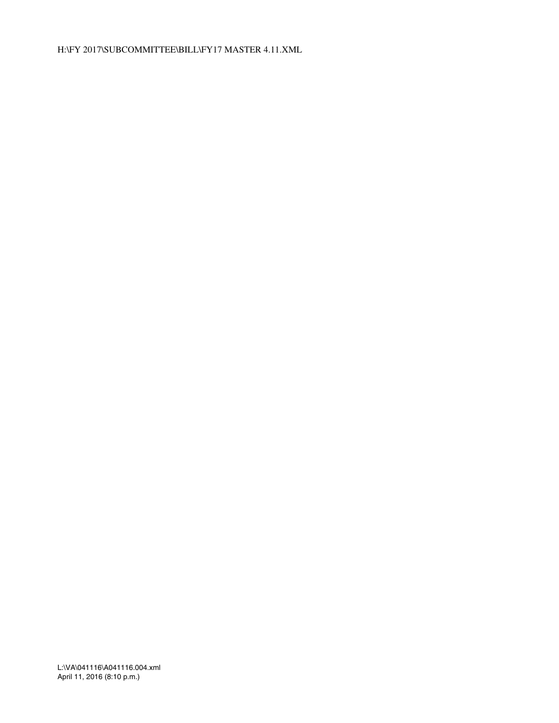## H:\FY 2017\SUBCOMMITTEE\BILL\FY17 MASTER 4.11.XML

April 11, 2016 (8:10 p.m.) L:\VA\041116\A041116.004.xml